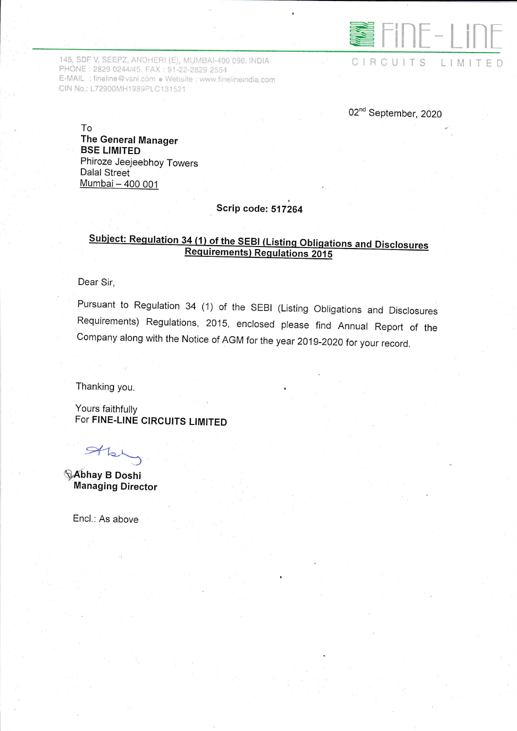

145, SDF V, SEEPZ, ANDHERI (E), MUMBAI-400 096. INDIA PHONE: 2829 0244/45. FAX: 91-22-2829 2554 E-MAIL : fineline@vsni.com o Website : www.linelineindia.com CIN No.: L72900MH1989PLC131521

02<sup>nd</sup> September, 2020

To The General Manager BSE LIMITED Phiroze Jeejeebhoy Towers Dalal Street Mumbai- 400 001

# Scrip code: 517264

# Subject: Regulation 34 (1) of the SEBI (Listing Obligations and Disclosures **Requirements)** Regulations 2015

Dear Sir,

Pursuant to Regulation 34 (1) of the SEBI (Listing Obligations and Disclosures Requirements) Regulations, 2015, enclosed please find Annual Report of the Company along with the Notice of AGM for the year 2019-2020 for your record.

Thanking you.

Yours faithfully For FINE-LINE CIRCUITS LIMITED

Abi

**SAbhay B Doshi** Managing Director

Encl.: As above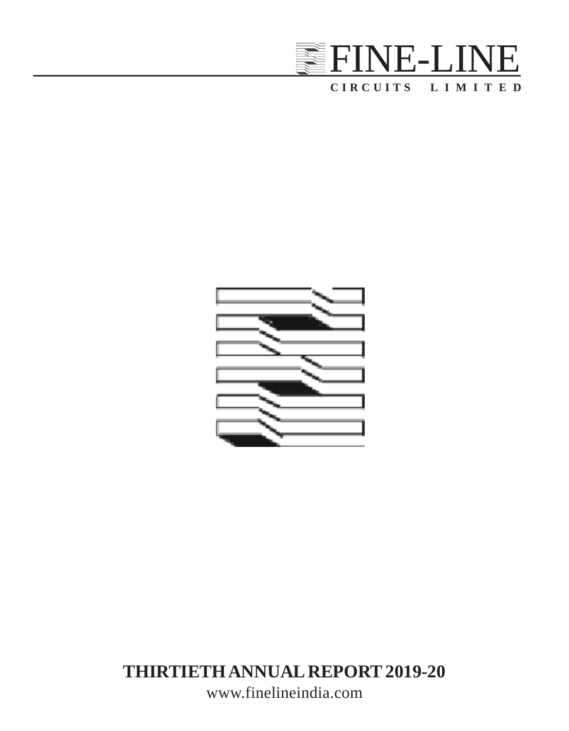



# **THIRTIETH ANNUAL REPORT 2019-20**

www.finelineindia.com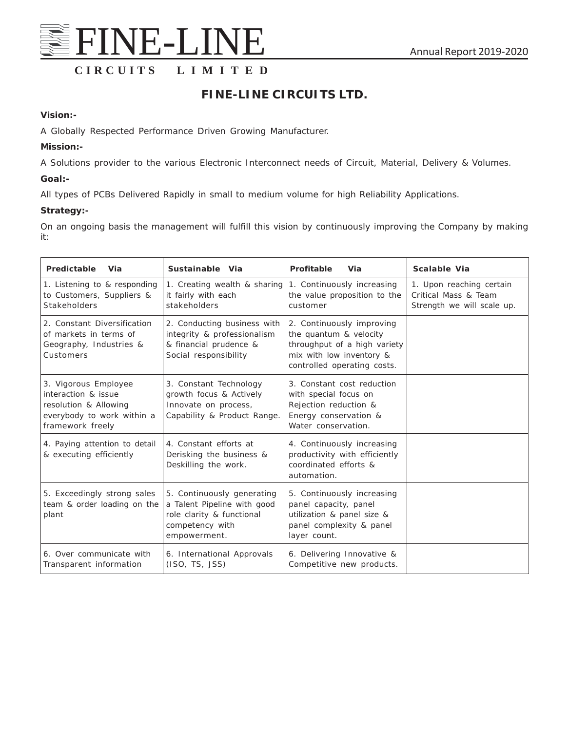

# **FINE-LINE CIRCUITS LTD.**

# **Vision:-**

A Globally Respected Performance Driven Growing Manufacturer.

# **Mission:-**

A Solutions provider to the various Electronic Interconnect needs of Circuit, Material, Delivery & Volumes.

# **Goal:-**

All types of PCBs Delivered Rapidly in small to medium volume for high Reliability Applications.

# **Strategy:-**

On an ongoing basis the management will fulfill this vision by continuously improving the Company by making it:

| Predictable<br>Via                                                                                                     | Sustainable Via                                                                                                           | Profitable<br>Via                                                                                                                              | Scalable Via                                                                   |
|------------------------------------------------------------------------------------------------------------------------|---------------------------------------------------------------------------------------------------------------------------|------------------------------------------------------------------------------------------------------------------------------------------------|--------------------------------------------------------------------------------|
| 1. Listening to & responding<br>to Customers, Suppliers &<br>Stakeholders                                              | 1. Creating wealth & sharing 1. Continuously increasing<br>it fairly with each<br>stakeholders                            | the value proposition to the<br>customer                                                                                                       | 1. Upon reaching certain<br>Critical Mass & Team<br>Strength we will scale up. |
| 2. Constant Diversification<br>of markets in terms of<br>Geography, Industries &<br>Customers                          | 2. Conducting business with<br>integrity & professionalism<br>& financial prudence &<br>Social responsibility             | 2. Continuously improving<br>the quantum & velocity<br>throughput of a high variety<br>mix with low inventory &<br>controlled operating costs. |                                                                                |
| 3. Vigorous Employee<br>interaction & issue<br>resolution & Allowing<br>everybody to work within a<br>framework freely | 3. Constant Technology<br>growth focus & Actively<br>Innovate on process,<br>Capability & Product Range.                  | 3. Constant cost reduction<br>with special focus on<br>Rejection reduction &<br>Energy conservation &<br>Water conservation.                   |                                                                                |
| 4. Paying attention to detail<br>& executing efficiently                                                               | 4. Constant efforts at<br>Derisking the business &<br>Deskilling the work.                                                | 4. Continuously increasing<br>productivity with efficiently<br>coordinated efforts &<br>automation.                                            |                                                                                |
| 5. Exceedingly strong sales<br>team & order loading on the<br>plant                                                    | 5. Continuously generating<br>a Talent Pipeline with good<br>role clarity & functional<br>competency with<br>empowerment. | 5. Continuously increasing<br>panel capacity, panel<br>utilization & panel size &<br>panel complexity & panel<br>layer count.                  |                                                                                |
| 6. Over communicate with<br>Transparent information                                                                    | 6. International Approvals<br>(ISO, TS, JSS)                                                                              | 6. Delivering Innovative &<br>Competitive new products.                                                                                        |                                                                                |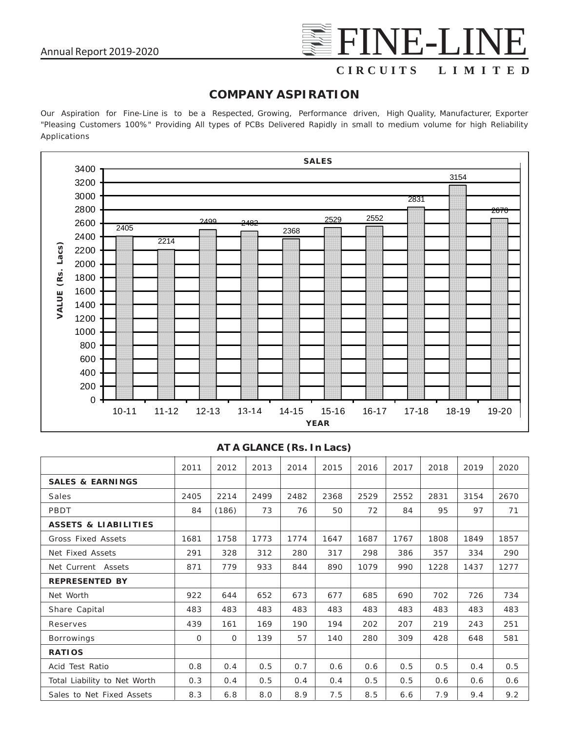

# **COMPANY ASPIRATION**

Our Aspiration for Fine-Line is to be a Respected, Growing, Performance driven, High Quality, Manufacturer, Exporter "Pleasing Customers 100%" Providing All types of PCBs Delivered Rapidly in small to medium volume for high Reliability Applications



# **AT A GLANCE (Rs. In Lacs)**

| Lacs)<br>2200<br>2000<br>(Rs.<br>1800<br>1600<br>VALUE<br>1400<br>1200<br>1000<br>800<br>600<br>400<br>200<br>$\mathbf 0$<br>$11 - 12$<br>$10 - 11$ | $12 - 13$    |              | $13 - 14$ | $14 - 15$ | $15 - 16$<br><b>YEAR</b> | $16 - 17$ | $17 - 18$ |      | $18 - 19$ | $19 - 20$ |
|-----------------------------------------------------------------------------------------------------------------------------------------------------|--------------|--------------|-----------|-----------|--------------------------|-----------|-----------|------|-----------|-----------|
| AT A GLANCE (Rs. In Lacs)                                                                                                                           |              |              |           |           |                          |           |           |      |           |           |
|                                                                                                                                                     | 2011         | 2012         | 2013      | 2014      | 2015                     | 2016      | 2017      | 2018 | 2019      | 2020      |
| <b>SALES &amp; EARNINGS</b>                                                                                                                         |              |              |           |           |                          |           |           |      |           |           |
| Sales                                                                                                                                               | 2405         | 2214         | 2499      | 2482      | 2368                     | 2529      | 2552      | 2831 | 3154      | 2670      |
| PBDT                                                                                                                                                | 84           | (186)        | 73        | 76        | 50                       | 72        | 84        | 95   | 97        | 71        |
| <b>ASSETS &amp; LIABILITIES</b>                                                                                                                     |              |              |           |           |                          |           |           |      |           |           |
| <b>Gross Fixed Assets</b>                                                                                                                           | 1681         | 1758         | 1773      | 1774      | 1647                     | 1687      | 1767      | 1808 | 1849      | 1857      |
| Net Fixed Assets                                                                                                                                    | 291          | 328          | 312       | 280       | 317                      | 298       | 386       | 357  | 334       | 290       |
| Net Current Assets                                                                                                                                  | 871          | 779          | 933       | 844       | 890                      | 1079      | 990       | 1228 | 1437      | 1277      |
| <b>REPRESENTED BY</b>                                                                                                                               |              |              |           |           |                          |           |           |      |           |           |
| Net Worth                                                                                                                                           | 922          | 644          | 652       | 673       | 677                      | 685       | 690       | 702  | 726       | 734       |
| Share Capital                                                                                                                                       | 483          | 483          | 483       | 483       | 483                      | 483       | 483       | 483  | 483       | 483       |
| Reserves                                                                                                                                            | 439          | 161          | 169       | 190       | 194                      | 202       | 207       | 219  | 243       | 251       |
| Borrowings                                                                                                                                          | $\mathbf{O}$ | $\mathbf{O}$ | 139       | 57        | 140                      | 280       | 309       | 428  | 648       | 581       |
| <b>RATIOS</b>                                                                                                                                       |              |              |           |           |                          |           |           |      |           |           |
| Acid Test Ratio                                                                                                                                     | 0.8          | 0.4          | 0.5       | 0.7       | 0.6                      | 0.6       | 0.5       | 0.5  | 0.4       | 0.5       |
| Total Liability to Net Worth                                                                                                                        | 0.3          | 0.4          | 0.5       | 0.4       | 0.4                      | 0.5       | 0.5       | 0.6  | 0.6       | 0.6       |
| Sales to Net Fixed Assets                                                                                                                           | 8.3          | 6.8          | 8.0       | 8.9       | 7.5                      | 8.5       | 6.6       | 7.9  | 9.4       | 9.2       |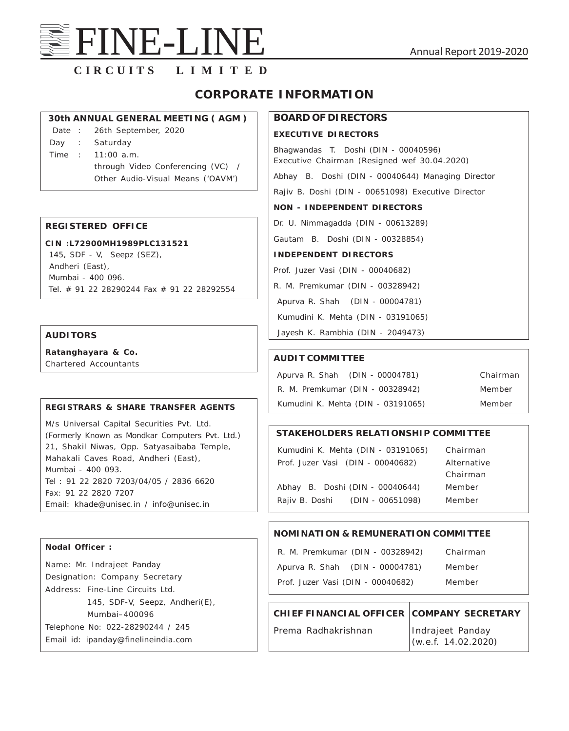

# **CORPORATE INFORMATION**

# **30th ANNUAL GENERAL MEETING ( AGM )**

- Date : 26th September, 2020
- Day : Saturday
- Time : 11:00 a.m.
	- through Video Conferencing (VC) / Other Audio-Visual Means ('OAVM')

# **REGISTERED OFFICE**

# **CIN :L72900MH1989PLC131521** 145, SDF - V, Seepz (SEZ),

 Andheri (East), Mumbai - 400 096. Tel. # 91 22 28290244 Fax # 91 22 28292554

# **AUDITORS**

**Ratanghayara & Co.** Chartered Accountants

## **REGISTRARS & SHARE TRANSFER AGENTS**

M/s Universal Capital Securities Pvt. Ltd. (Formerly Known as Mondkar Computers Pvt. Ltd.) 21, Shakil Niwas, Opp. Satyasaibaba Temple, Mahakali Caves Road, Andheri (East), Mumbai - 400 093. Tel : 91 22 2820 7203/04/05 / 2836 6620 Fax: 91 22 2820 7207 Email: khade@unisec.in / info@unisec.in

# **Nodal Officer :**

Name: Mr. Indrajeet Panday Designation: Company Secretary Address: Fine-Line Circuits Ltd. 145, SDF-V, Seepz, Andheri(E), Mumbai–400096 Telephone No: 022-28290244 / 245 Email id: ipanday@finelineindia.com

# **BOARD OF DIRECTORS**

# **EXECUTIVE DIRECTORS**

Bhagwandas T. Doshi (DIN - 00040596) Executive Chairman (Resigned wef 30.04.2020)

Abhay B. Doshi (DIN - 00040644) Managing Director

Rajiv B. Doshi (DIN - 00651098) Executive Director

### **NON - INDEPENDENT DIRECTORS**

Dr. U. Nimmagadda (DIN - 00613289)

Gautam B. Doshi (DIN - 00328854)

# **INDEPENDENT DIRECTORS**

Prof. Juzer Vasi (DIN - 00040682)

R. M. Premkumar (DIN - 00328942)

Apurva R. Shah (DIN - 00004781)

Kumudini K. Mehta (DIN - 03191065)

Jayesh K. Rambhia (DIN - 2049473)

# **AUDIT COMMITTEE**

| Apurva R. Shah (DIN - 00004781)    | Chairman |
|------------------------------------|----------|
| R. M. Premkumar (DIN - 00328942)   | Member   |
| Kumudini K. Mehta (DIN - 03191065) | Member   |

# **STAKEHOLDERS RELATIONSHIP COMMITTEE**

| Kumudini K. Mehta (DIN - 03191065)<br>Chairman |             |  |  |  |
|------------------------------------------------|-------------|--|--|--|
| Prof. Juzer Vasi (DIN - 00040682)              | Alternative |  |  |  |
|                                                | Chairman    |  |  |  |
| Abhay B. Doshi (DIN - 00040644)                | Member      |  |  |  |
| (DIN - 00651098)<br>Rajiv B. Doshi             | Member      |  |  |  |

#### **NOMINATION & REMUNERATION COMMITTEE**

| R. M. Premkumar (DIN - 00328942)  |
|-----------------------------------|
| Apurva R. Shah (DIN - 00004781)   |
| Prof. Juzer Vasi (DIN - 00040682) |

Chairman **Member Member** 

# **CHIEF FINANCIAL OFFICER COMPANY SECRETARY**

Prema Radhakrishnan | Indrajeet Panday

(w.e.f. 14.02.2020)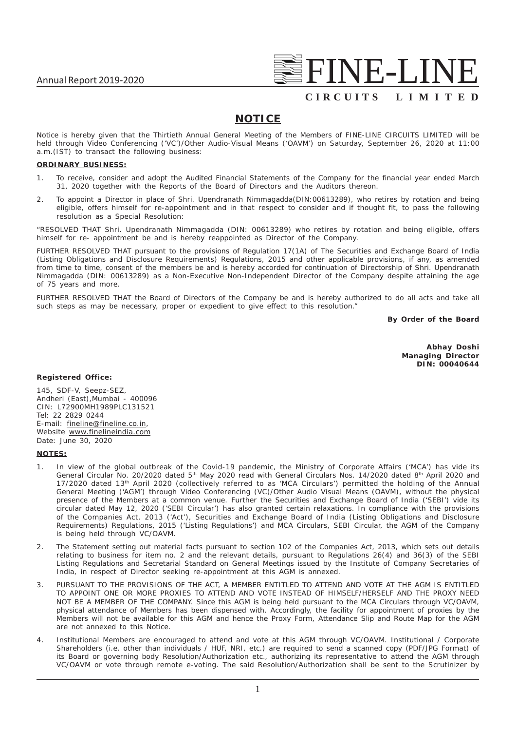

# **NOTICE**

Notice is hereby given that the Thirtieth Annual General Meeting of the Members of FINE-LINE CIRCUITS LIMITED will be held through Video Conferencing ('VC')/Other Audio-Visual Means ('OAVM') on Saturday, September 26, 2020 at 11:00 a.m.(IST) to transact the following business:

# **ORDINARY BUSINESS:**

- 1. To receive, consider and adopt the Audited Financial Statements of the Company for the financial year ended March 31, 2020 together with the Reports of the Board of Directors and the Auditors thereon.
- 2. To appoint a Director in place of Shri. Upendranath Nimmagadda(DIN:00613289), who retires by rotation and being eligible, offers himself for re-appointment and in that respect to consider and if thought fit, to pass the following resolution as a Special Resolution:

"RESOLVED THAT Shri. Upendranath Nimmagadda (DIN: 00613289) who retires by rotation and being eligible, offers himself for re- appointment be and is hereby reappointed as Director of the Company.

FURTHER RESOLVED THAT pursuant to the provisions of Regulation 17(1A) of The Securities and Exchange Board of India (Listing Obligations and Disclosure Requirements) Regulations, 2015 and other applicable provisions, if any, as amended from time to time, consent of the members be and is hereby accorded for continuation of Directorship of Shri. Upendranath Nimmagadda (DIN: 00613289) as a Non-Executive Non-Independent Director of the Company despite attaining the age of 75 years and more.

FURTHER RESOLVED THAT the Board of Directors of the Company be and is hereby authorized to do all acts and take all such steps as may be necessary, proper or expedient to give effect to this resolution."

**By Order of the Board**

**Abhay Doshi Managing Director DIN: 00040644**

# **Registered Office:**

145, SDF-V, Seepz-SEZ, Andheri (East),Mumbai - 400096 CIN: L72900MH1989PLC131521 Tel: 22 2829 0244 E-mail: fineline@fineline.co.in, Website www.finelineindia.com Date: June 30, 2020

# **NOTES:**

- 1. In view of the global outbreak of the Covid-19 pandemic, the Ministry of Corporate Affairs ('MCA') has vide its General Circular No. 20/2020 dated 5th May 2020 read with General Circulars Nos. 14/2020 dated 8th April 2020 and 17/2020 dated 13th April 2020 (collectively referred to as 'MCA Circulars') permitted the holding of the Annual General Meeting ('AGM') through Video Conferencing (VC)/Other Audio Visual Means (OAVM), without the physical presence of the Members at a common venue. Further the Securities and Exchange Board of India ('SEBI') vide its circular dated May 12, 2020 ('SEBI Circular') has also granted certain relaxations. In compliance with the provisions of the Companies Act, 2013 ('Act'), Securities and Exchange Board of India (Listing Obligations and Disclosure Requirements) Regulations, 2015 ('Listing Regulations') and MCA Circulars, SEBI Circular, the AGM of the Company is being held through VC/OAVM.
- 2. The Statement setting out material facts pursuant to section 102 of the Companies Act, 2013, which sets out details relating to business for item no. 2 and the relevant details, pursuant to Regulations 26(4) and 36(3) of the SEBI Listing Regulations and Secretarial Standard on General Meetings issued by the Institute of Company Secretaries of India, in respect of Director seeking re-appointment at this AGM is annexed.
- 3. PURSUANT TO THE PROVISIONS OF THE ACT, A MEMBER ENTITLED TO ATTEND AND VOTE AT THE AGM IS ENTITLED TO APPOINT ONE OR MORE PROXIES TO ATTEND AND VOTE INSTEAD OF HIMSELF/HERSELF AND THE PROXY NEED NOT BE A MEMBER OF THE COMPANY. Since this AGM is being held pursuant to the MCA Circulars through VC/OAVM, physical attendance of Members has been dispensed with. Accordingly, the facility for appointment of proxies by the Members will not be available for this AGM and hence the Proxy Form, Attendance Slip and Route Map for the AGM are not annexed to this Notice.
- 4. Institutional Members are encouraged to attend and vote at this AGM through VC/OAVM. Institutional / Corporate Shareholders (i.e. other than individuals / HUF, NRI, etc.) are required to send a scanned copy (PDF/JPG Format) of its Board or governing body Resolution/Authorization etc., authorizing its representative to attend the AGM through VC/OAVM or vote through remote e-voting. The said Resolution/Authorization shall be sent to the Scrutinizer by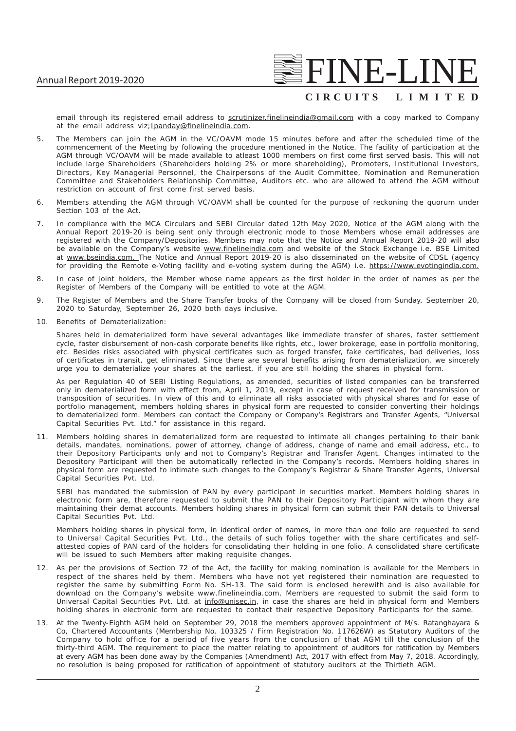# **CIRCUITS LIMITED**

email through its registered email address to scrutinizer.finelineindia@gmail.com with a copy marked to Company at the email address viz; lpanday@finelineindia.com.

- 5. The Members can join the AGM in the VC/OAVM mode 15 minutes before and after the scheduled time of the commencement of the Meeting by following the procedure mentioned in the Notice. The facility of participation at the AGM through VC/OAVM will be made available to atleast 1000 members on first come first served basis. This will not include large Shareholders (Shareholders holding 2% or more shareholding), Promoters, Institutional Investors, Directors, Key Managerial Personnel, the Chairpersons of the Audit Committee, Nomination and Remuneration Committee and Stakeholders Relationship Committee, Auditors etc. who are allowed to attend the AGM without restriction on account of first come first served basis.
- 6. Members attending the AGM through VC/OAVM shall be counted for the purpose of reckoning the quorum under Section 103 of the Act.
- 7. In compliance with the MCA Circulars and SEBI Circular dated 12th May 2020, Notice of the AGM along with the Annual Report 2019-20 is being sent only through electronic mode to those Members whose email addresses are registered with the Company/Depositories. Members may note that the Notice and Annual Report 2019-20 will also be available on the Company's website www.finelineindia.com and website of the Stock Exchange i.e. BSE Limited at www.bseindia.com. The Notice and Annual Report 2019-20 is also disseminated on the website of CDSL (agency for providing the Remote e-Voting facility and e-voting system during the AGM) i.e. https://www.evotingindia.com.
- 8. In case of joint holders, the Member whose name appears as the first holder in the order of names as per the Register of Members of the Company will be entitled to vote at the AGM.
- 9. The Register of Members and the Share Transfer books of the Company will be closed from Sunday, September 20, 2020 to Saturday, September 26, 2020 both days inclusive.
- 10. Benefits of Dematerialization:

Shares held in dematerialized form have several advantages like immediate transfer of shares, faster settlement cycle, faster disbursement of non-cash corporate benefits like rights, etc., lower brokerage, ease in portfolio monitoring, etc. Besides risks associated with physical certificates such as forged transfer, fake certificates, bad deliveries, loss of certificates in transit, get eliminated. Since there are several benefits arising from dematerialization, we sincerely urge you to dematerialize your shares at the earliest, if you are still holding the shares in physical form.

As per Regulation 40 of SEBI Listing Regulations, as amended, securities of listed companies can be transferred only in dematerialized form with effect from, April 1, 2019, except in case of request received for transmission or transposition of securities. In view of this and to eliminate all risks associated with physical shares and for ease of portfolio management, members holding shares in physical form are requested to consider converting their holdings to dematerialized form. Members can contact the Company or Company's Registrars and Transfer Agents, "Universal Capital Securities Pvt. Ltd." for assistance in this regard.

11. Members holding shares in dematerialized form are requested to intimate all changes pertaining to their bank details, mandates, nominations, power of attorney, change of address, change of name and email address, etc., to their Depository Participants only and not to Company's Registrar and Transfer Agent. Changes intimated to the Depository Participant will then be automatically reflected in the Company's records. Members holding shares in physical form are requested to intimate such changes to the Company's Registrar & Share Transfer Agents, Universal Capital Securities Pvt. Ltd.

SEBI has mandated the submission of PAN by every participant in securities market. Members holding shares in electronic form are, therefore requested to submit the PAN to their Depository Participant with whom they are maintaining their demat accounts. Members holding shares in physical form can submit their PAN details to Universal Capital Securities Pvt. Ltd.

Members holding shares in physical form, in identical order of names, in more than one folio are requested to send to Universal Capital Securities Pvt. Ltd., the details of such folios together with the share certificates and selfattested copies of PAN card of the holders for consolidating their holding in one folio. A consolidated share certificate will be issued to such Members after making requisite changes.

- 12. As per the provisions of Section 72 of the Act, the facility for making nomination is available for the Members in respect of the shares held by them. Members who have not yet registered their nomination are requested to register the same by submitting Form No. SH-13. The said form is enclosed herewith and is also available for download on the Company's website www.finelineindia.com. Members are requested to submit the said form to Universal Capital Securities Pvt. Ltd. at info@unisec.in, in case the shares are held in physical form and Members holding shares in electronic form are requested to contact their respective Depository Participants for the same.
- 13. At the Twenty-Eighth AGM held on September 29, 2018 the members approved appointment of M/s. Ratanghayara & Co, Chartered Accountants (Membership No. 103325 / Firm Registration No. 117626W) as Statutory Auditors of the Company to hold office for a period of five years from the conclusion of that AGM till the conclusion of the thirty-third AGM. The requirement to place the matter relating to appointment of auditors for ratification by Members at every AGM has been done away by the Companies (Amendment) Act, 2017 with effect from May 7, 2018. Accordingly, no resolution is being proposed for ratification of appointment of statutory auditors at the Thirtieth AGM.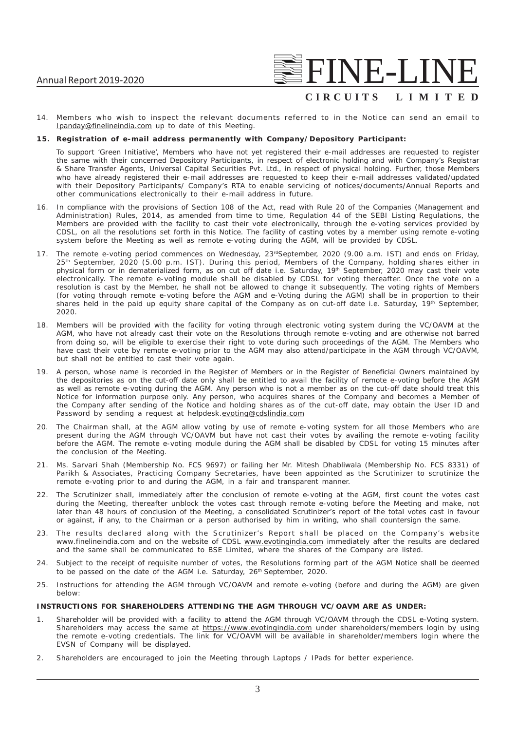# Annual Report 2019-2020  $\blacksquare$

# **CIRCUITS LIMITED**

14. Members who wish to inspect the relevant documents referred to in the Notice can send an email to Ipanday@finelineindia.com up to date of this Meeting.

# **15. Registration of e-mail address permanently with Company/Depository Participant:**

To support 'Green Initiative', Members who have not yet registered their e-mail addresses are requested to register the same with their concerned Depository Participants, in respect of electronic holding and with Company's Registrar & Share Transfer Agents, Universal Capital Securities Pvt. Ltd., in respect of physical holding. Further, those Members who have already registered their e-mail addresses are requested to keep their e-mail addresses validated/updated with their Depository Participants/ Company's RTA to enable servicing of notices/documents/Annual Reports and other communications electronically to their e-mail address in future.

- 16. In compliance with the provisions of Section 108 of the Act, read with Rule 20 of the Companies (Management and Administration) Rules, 2014, as amended from time to time, Regulation 44 of the SEBI Listing Regulations, the Members are provided with the facility to cast their vote electronically, through the e-voting services provided by CDSL, on all the resolutions set forth in this Notice. The facility of casting votes by a member using remote e-voting system before the Meeting as well as remote e-voting during the AGM, will be provided by CDSL.
- 17. The remote e-voting period commences on Wednesday, 23<sup>rd</sup>September, 2020 (9.00 a.m. IST) and ends on Friday, 25<sup>th</sup> September, 2020 (5.00 p.m. IST). During this period, Members of the Company, holding shares either in physical form or in dematerialized form, as on cut off date i.e. Saturday, 19th September, 2020 may cast their vote electronically. The remote e-voting module shall be disabled by CDSL for voting thereafter. Once the vote on a resolution is cast by the Member, he shall not be allowed to change it subsequently. The voting rights of Members (for voting through remote e-voting before the AGM and e-Voting during the AGM) shall be in proportion to their shares held in the paid up equity share capital of the Company as on cut-off date i.e. Saturday, 19<sup>th</sup> September, 2020.
- 18. Members will be provided with the facility for voting through electronic voting system during the VC/OAVM at the AGM, who have not already cast their vote on the Resolutions through remote e-voting and are otherwise not barred from doing so, will be eligible to exercise their right to vote during such proceedings of the AGM. The Members who have cast their vote by remote e-voting prior to the AGM may also attend/participate in the AGM through VC/OAVM, but shall not be entitled to cast their vote again.
- 19. A person, whose name is recorded in the Register of Members or in the Register of Beneficial Owners maintained by the depositories as on the cut-off date only shall be entitled to avail the facility of remote e-voting before the AGM as well as remote e-voting during the AGM. Any person who is not a member as on the cut-off date should treat this Notice for information purpose only. Any person, who acquires shares of the Company and becomes a Member of the Company after sending of the Notice and holding shares as of the cut-off date, may obtain the User ID and Password by sending a request at helpdesk.evoting@cdslindia.com
- 20. The Chairman shall, at the AGM allow voting by use of remote e-voting system for all those Members who are present during the AGM through VC/OAVM but have not cast their votes by availing the remote e-voting facility before the AGM. The remote e-voting module during the AGM shall be disabled by CDSL for voting 15 minutes after the conclusion of the Meeting.
- 21. Ms. Sarvari Shah (Membership No. FCS 9697) or failing her Mr. Mitesh Dhabliwala (Membership No. FCS 8331) of Parikh & Associates, Practicing Company Secretaries, have been appointed as the Scrutinizer to scrutinize the remote e-voting prior to and during the AGM, in a fair and transparent manner.
- 22. The Scrutinizer shall, immediately after the conclusion of remote e-voting at the AGM, first count the votes cast during the Meeting, thereafter unblock the votes cast through remote e-voting before the Meeting and make, not later than 48 hours of conclusion of the Meeting, a consolidated Scrutinizer's report of the total votes cast in favour or against, if any, to the Chairman or a person authorised by him in writing, who shall countersign the same.
- 23. The results declared along with the Scrutinizer's Report shall be placed on the Company's website www.finelineindia.com and on the website of CDSL www.evotingindia.com immediately after the results are declared and the same shall be communicated to BSE Limited, where the shares of the Company are listed.
- 24. Subject to the receipt of requisite number of votes, the Resolutions forming part of the AGM Notice shall be deemed to be passed on the date of the AGM i.e. Saturday, 26<sup>th</sup> September, 2020.
- 25. Instructions for attending the AGM through VC/OAVM and remote e-voting (before and during the AGM) are given below:

# **INSTRUCTIONS FOR SHAREHOLDERS ATTENDING THE AGM THROUGH VC/OAVM ARE AS UNDER:**

- 1. Shareholder will be provided with a facility to attend the AGM through VC/OAVM through the CDSL e-Voting system. Shareholders may access the same at https://www.evotingindia.com under shareholders/members login by using the remote e-voting credentials. The link for VC/OAVM will be available in shareholder/members login where the EVSN of Company will be displayed.
- 2. Shareholders are encouraged to join the Meeting through Laptops / IPads for better experience.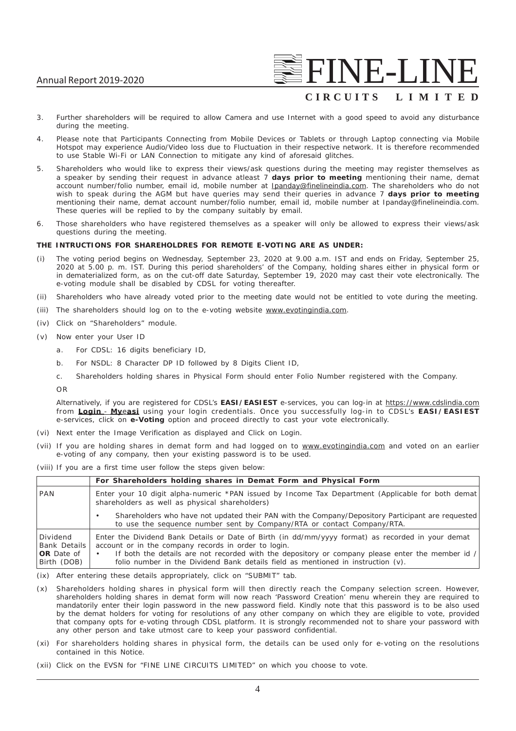# **CIRCUITS LIMITED**

- 3. Further shareholders will be required to allow Camera and use Internet with a good speed to avoid any disturbance during the meeting.
- 4. Please note that Participants Connecting from Mobile Devices or Tablets or through Laptop connecting via Mobile Hotspot may experience Audio/Video loss due to Fluctuation in their respective network. It is therefore recommended to use Stable Wi-Fi or LAN Connection to mitigate any kind of aforesaid glitches.
- 5. Shareholders who would like to express their views/ask questions during the meeting may register themselves as a speaker by sending their request in advance atleast 7 **days prior to meeting** mentioning their name, demat account number/folio number, email id, mobile number at lpanday@finelineindia.com. The shareholders who do not wish to speak during the AGM but have queries may send their queries in advance 7 **days prior to meeting** mentioning their name, demat account number/folio number, email id, mobile number at Ipanday@finelineindia.com. These queries will be replied to by the company suitably by email.
- 6. Those shareholders who have registered themselves as a speaker will only be allowed to express their views/ask questions during the meeting.

# **THE INTRUCTIONS FOR SHAREHOLDRES FOR REMOTE E-VOTING ARE AS UNDER:**

- (i) The voting period begins on Wednesday, September 23, 2020 at 9.00 a.m. IST and ends on Friday, September 25, 2020 at 5.00 p. m. IST. During this period shareholders' of the Company, holding shares either in physical form or in dematerialized form, as on the cut-off date Saturday, September 19, 2020 may cast their vote electronically. The e-voting module shall be disabled by CDSL for voting thereafter.
- (ii) Shareholders who have already voted prior to the meeting date would not be entitled to vote during the meeting.
- (iii) The shareholders should log on to the e-voting website www.evotingindia.com.
- (iv) Click on "Shareholders" module.
- (v) Now enter your User ID
	- a. For CDSL: 16 digits beneficiary ID,
	- b. For NSDL: 8 Character DP ID followed by 8 Digits Client ID,
	- c. Shareholders holding shares in Physical Form should enter Folio Number registered with the Company.

OR

Alternatively, if you are registered for CDSL's **EASI/EASIEST** e-services, you can log-in at https://www.cdslindia.com from **Login** - **My**e**asi** using your login credentials. Once you successfully log-in to CDSL's **EASI/EASIEST** e-services, click on **e-Voting** option and proceed directly to cast your vote electronically.

- (vi) Next enter the Image Verification as displayed and Click on Login.
- (vii) If you are holding shares in demat form and had logged on to www.evotingindia.com and voted on an earlier e-voting of any company, then your existing password is to be used.

(viii) If you are a first time user follow the steps given below:

|                                                              | For Shareholders holding shares in Demat Form and Physical Form                                                                                                                                                                                                                                                                                   |  |  |  |  |
|--------------------------------------------------------------|---------------------------------------------------------------------------------------------------------------------------------------------------------------------------------------------------------------------------------------------------------------------------------------------------------------------------------------------------|--|--|--|--|
| <b>PAN</b>                                                   | Enter your 10 digit alpha-numeric *PAN issued by Income Tax Department (Applicable for both demat)<br>shareholders as well as physical shareholders)                                                                                                                                                                                              |  |  |  |  |
|                                                              | Shareholders who have not updated their PAN with the Company/Depository Participant are requested<br>to use the sequence number sent by Company/RTA or contact Company/RTA.                                                                                                                                                                       |  |  |  |  |
| Dividend<br>Bank Details<br><b>OR</b> Date of<br>Birth (DOB) | Enter the Dividend Bank Details or Date of Birth (in dd/mm/yyyy format) as recorded in your demat<br>account or in the company records in order to login.<br>If both the details are not recorded with the depository or company please enter the member id /<br>folio number in the Dividend Bank details field as mentioned in instruction (v). |  |  |  |  |

(ix) After entering these details appropriately, click on "SUBMIT" tab.

- (x) Shareholders holding shares in physical form will then directly reach the Company selection screen. However, shareholders holding shares in demat form will now reach 'Password Creation' menu wherein they are required to mandatorily enter their login password in the new password field. Kindly note that this password is to be also used by the demat holders for voting for resolutions of any other company on which they are eligible to vote, provided that company opts for e-voting through CDSL platform. It is strongly recommended not to share your password with any other person and take utmost care to keep your password confidential.
- (xi) For shareholders holding shares in physical form, the details can be used only for e-voting on the resolutions contained in this Notice.
- (xii) Click on the EVSN for "FINE LINE CIRCUITS LIMITED" on which you choose to vote.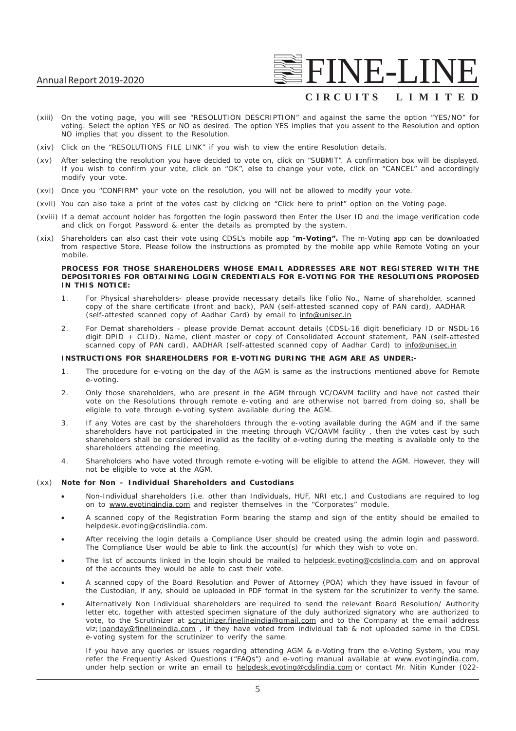# **CIRCUITS LIMITED**

- (xiii) On the voting page, you will see "RESOLUTION DESCRIPTION" and against the same the option "YES/NO" for voting. Select the option YES or NO as desired. The option YES implies that you assent to the Resolution and option NO implies that you dissent to the Resolution.
- (xiv) Click on the "RESOLUTIONS FILE LINK" if you wish to view the entire Resolution details.
- (xv) After selecting the resolution you have decided to vote on, click on "SUBMIT". A confirmation box will be displayed. If you wish to confirm your vote, click on "OK", else to change your vote, click on "CANCEL" and accordingly modify your vote.
- (xvi) Once you "CONFIRM" your vote on the resolution, you will not be allowed to modify your vote.
- (xvii) You can also take a print of the votes cast by clicking on "Click here to print" option on the Voting page.
- (xviii) If a demat account holder has forgotten the login password then Enter the User ID and the image verification code and click on Forgot Password & enter the details as prompted by the system.
- (xix) Shareholders can also cast their vote using CDSL's mobile app "**m-Voting".** The m-Voting app can be downloaded from respective Store. Please follow the instructions as prompted by the mobile app while Remote Voting on your mobile.

### **PROCESS FOR THOSE SHAREHOLDERS WHOSE EMAIL ADDRESSES ARE NOT REGISTERED WITH THE DEPOSITORIES FOR OBTAINING LOGIN CREDENTIALS FOR E-VOTING FOR THE RESOLUTIONS PROPOSED IN THIS NOTICE:**

- 1. For Physical shareholders- please provide necessary details like Folio No., Name of shareholder, scanned copy of the share certificate (front and back), PAN (self-attested scanned copy of PAN card), AADHAR (self-attested scanned copy of Aadhar Card) by email to info@unisec.in
- 2. For Demat shareholders please provide Demat account details (CDSL-16 digit beneficiary ID or NSDL-16 digit DPID + CLID), Name, client master or copy of Consolidated Account statement, PAN (self-attested scanned copy of PAN card), AADHAR (self-attested scanned copy of Aadhar Card) to info@unisec.in

## **INSTRUCTIONS FOR SHAREHOLDERS FOR E-VOTING DURING THE AGM ARE AS UNDER:-**

- 1. The procedure for e-voting on the day of the AGM is same as the instructions mentioned above for Remote e-voting.
- 2. Only those shareholders, who are present in the AGM through VC/OAVM facility and have not casted their vote on the Resolutions through remote e-voting and are otherwise not barred from doing so, shall be eligible to vote through e-voting system available during the AGM.
- 3. If any Votes are cast by the shareholders through the e-voting available during the AGM and if the same shareholders have not participated in the meeting through VC/OAVM facility , then the votes cast by such shareholders shall be considered invalid as the facility of e-voting during the meeting is available only to the shareholders attending the meeting.
- 4. Shareholders who have voted through remote e-voting will be eligible to attend the AGM. However, they will not be eligible to vote at the AGM.

### (xx) **Note for Non – Individual Shareholders and Custodians**

- Non-Individual shareholders (i.e. other than Individuals, HUF, NRI etc.) and Custodians are required to log on to www.evotingindia.com and register themselves in the "Corporates" module.
- A scanned copy of the Registration Form bearing the stamp and sign of the entity should be emailed to helpdesk.evoting@cdslindia.com.
- After receiving the login details a Compliance User should be created using the admin login and password. The Compliance User would be able to link the account(s) for which they wish to vote on.
- The list of accounts linked in the login should be mailed to helpdesk.evoting@cdslindia.com and on approval of the accounts they would be able to cast their vote.
- A scanned copy of the Board Resolution and Power of Attorney (POA) which they have issued in favour of the Custodian, if any, should be uploaded in PDF format in the system for the scrutinizer to verify the same.
- Alternatively Non Individual shareholders are required to send the relevant Board Resolution/ Authority letter etc. together with attested specimen signature of the duly authorized signatory who are authorized to vote, to the Scrutinizer at scrutinizer.finelineindia@gmail.com and to the Company at the email address viz;Ipanday@finelineindia.com , if they have voted from individual tab & not uploaded same in the CDSL e-voting system for the scrutinizer to verify the same.

If you have any queries or issues regarding attending AGM & e-Voting from the e-Voting System, you may refer the Frequently Asked Questions ("FAQs") and e-voting manual available at www.evotingindia.com, under help section or write an email to helpdesk.evoting@cdslindia.com or contact Mr. Nitin Kunder (022-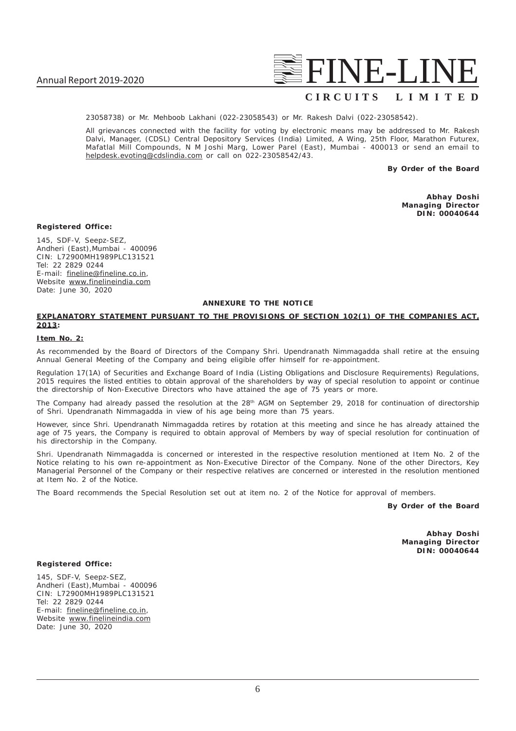

23058738) or Mr. Mehboob Lakhani (022-23058543) or Mr. Rakesh Dalvi (022-23058542).

All grievances connected with the facility for voting by electronic means may be addressed to Mr. Rakesh Dalvi, Manager, (CDSL) Central Depository Services (India) Limited, A Wing, 25th Floor, Marathon Futurex, Mafatlal Mill Compounds, N M Joshi Marg, Lower Parel (East), Mumbai - 400013 or send an email to helpdesk.evoting@cdslindia.com or call on 022-23058542/43.

**By Order of the Board**

**Abhay Doshi Managing Director DIN: 00040644**

**Registered Office:**

145, SDF-V, Seepz-SEZ, Andheri (East),Mumbai - 400096 CIN: L72900MH1989PLC131521 Tel: 22 2829 0244 E-mail: fineline@fineline.co.in, Website www.finelineindia.com Date: June 30, 2020

# **ANNEXURE TO THE NOTICE**

#### **EXPLANATORY STATEMENT PURSUANT TO THE PROVISIONS OF SECTION 102(1) OF THE COMPANIES ACT, 2013:**

#### **Item No. 2:**

As recommended by the Board of Directors of the Company Shri. Upendranath Nimmagadda shall retire at the ensuing Annual General Meeting of the Company and being eligible offer himself for re-appointment.

Regulation 17(1A) of Securities and Exchange Board of India (Listing Obligations and Disclosure Requirements) Regulations, 2015 requires the listed entities to obtain approval of the shareholders by way of special resolution to appoint or continue the directorship of Non-Executive Directors who have attained the age of 75 years or more.

The Company had already passed the resolution at the 28<sup>th</sup> AGM on September 29, 2018 for continuation of directorship of Shri. Upendranath Nimmagadda in view of his age being more than 75 years.

However, since Shri. Upendranath Nimmagadda retires by rotation at this meeting and since he has already attained the age of 75 years, the Company is required to obtain approval of Members by way of special resolution for continuation of his directorship in the Company.

Shri. Upendranath Nimmagadda is concerned or interested in the respective resolution mentioned at Item No. 2 of the Notice relating to his own re-appointment as Non-Executive Director of the Company. None of the other Directors, Key Managerial Personnel of the Company or their respective relatives are concerned or interested in the resolution mentioned at Item No. 2 of the Notice.

The Board recommends the Special Resolution set out at item no. 2 of the Notice for approval of members.

**By Order of the Board**

**Abhay Doshi Managing Director DIN: 00040644**

**Registered Office:**

145, SDF-V, Seepz-SEZ, Andheri (East),Mumbai - 400096 CIN: L72900MH1989PLC131521 Tel: 22 2829 0244 E-mail: fineline@fineline.co.in, Website www.finelineindia.com Date: June 30, 2020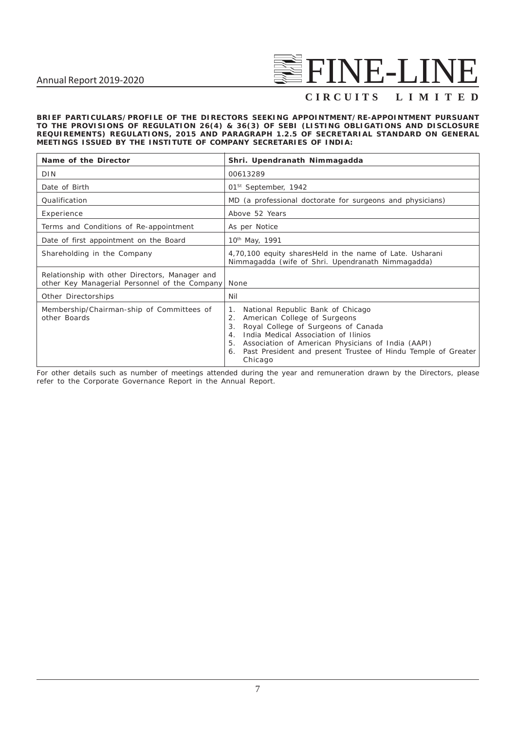# **CIRCUITS LIMITED**

# **BRIEF PARTICULARS/PROFILE OF THE DIRECTORS SEEKING APPOINTMENT/RE-APPOINTMENT PURSUANT TO THE PROVISIONS OF REGULATION 26(4) & 36(3) OF SEBI (LISTING OBLIGATIONS AND DISCLOSURE REQUIREMENTS) REGULATIONS, 2015 AND PARAGRAPH 1.2.5 OF SECRETARIAL STANDARD ON GENERAL MEETINGS ISSUED BY THE INSTITUTE OF COMPANY SECRETARIES OF INDIA:**

| Name of the Director                                                                            | Shri. Upendranath Nimmagadda                                                                                                                                                                                                                                                                                     |  |
|-------------------------------------------------------------------------------------------------|------------------------------------------------------------------------------------------------------------------------------------------------------------------------------------------------------------------------------------------------------------------------------------------------------------------|--|
| <b>DIN</b>                                                                                      | 00613289                                                                                                                                                                                                                                                                                                         |  |
| Date of Birth                                                                                   | 01 <sup>St</sup> September, 1942                                                                                                                                                                                                                                                                                 |  |
| Qualification                                                                                   | MD (a professional doctorate for surgeons and physicians)                                                                                                                                                                                                                                                        |  |
| Experience                                                                                      | Above 52 Years                                                                                                                                                                                                                                                                                                   |  |
| Terms and Conditions of Re-appointment                                                          | As per Notice                                                                                                                                                                                                                                                                                                    |  |
| Date of first appointment on the Board                                                          | 10th May, 1991                                                                                                                                                                                                                                                                                                   |  |
| Shareholding in the Company                                                                     | 4,70,100 equity shares Held in the name of Late. Usharani<br>Nimmagadda (wife of Shri. Upendranath Nimmagadda)                                                                                                                                                                                                   |  |
| Relationship with other Directors, Manager and<br>other Key Managerial Personnel of the Company | None                                                                                                                                                                                                                                                                                                             |  |
| Other Directorships                                                                             | Nil                                                                                                                                                                                                                                                                                                              |  |
| Membership/Chairman-ship of Committees of<br>other Boards                                       | National Republic Bank of Chicago<br>1.<br>American College of Surgeons<br>2.<br>Royal College of Surgeons of Canada<br>3.<br>India Medical Association of Ilinios<br>4.<br>Association of American Physicians of India (AAPI)<br>Past President and present Trustee of Hindu Temple of Greater<br>6.<br>Chicago |  |

For other details such as number of meetings attended during the year and remuneration drawn by the Directors, please refer to the Corporate Governance Report in the Annual Report.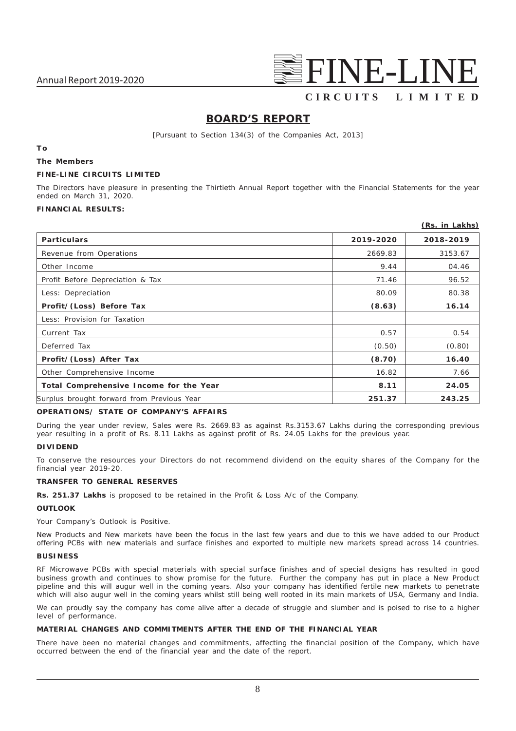# **CIRCUITS LIMITED**

# **BOARD'S REPORT**

*[Pursuant to Section 134(3) of the Companies Act, 2013]*

# **To**

# **The Members**

# **FINE-LINE CIRCUITS LIMITED**

The Directors have pleasure in presenting the Thirtieth Annual Report together with the Financial Statements for the year ended on March 31, 2020.

# **FINANCIAL RESULTS:**

|                                            |           | (Rs. in Lakhs) |
|--------------------------------------------|-----------|----------------|
| <b>Particulars</b>                         | 2019-2020 | 2018-2019      |
| Revenue from Operations                    | 2669.83   | 3153.67        |
| Other Income                               | 9.44      | 04.46          |
| Profit Before Depreciation & Tax           | 71.46     | 96.52          |
| Less: Depreciation                         | 80.09     | 80.38          |
| Profit/(Loss) Before Tax                   | (8.63)    | 16.14          |
| Less: Provision for Taxation               |           |                |
| Current Tax                                | 0.57      | 0.54           |
| Deferred Tax                               | (0.50)    | (0.80)         |
| Profit/(Loss) After Tax                    | (8.70)    | 16.40          |
| Other Comprehensive Income                 | 16.82     | 7.66           |
| Total Comprehensive Income for the Year    | 8.11      | 24.05          |
| Surplus brought forward from Previous Year | 251.37    | 243.25         |

# **OPERATIONS/ STATE OF COMPANY'S AFFAIRS**

During the year under review, Sales were Rs. 2669.83 as against Rs.3153.67 Lakhs during the corresponding previous year resulting in a profit of Rs. 8.11 Lakhs as against profit of Rs. 24.05 Lakhs for the previous year.

# **DIVIDEND**

To conserve the resources your Directors do not recommend dividend on the equity shares of the Company for the financial year 2019-20.

# **TRANSFER TO GENERAL RESERVES**

**Rs. 251.37 Lakhs** is proposed to be retained in the Profit & Loss A/c of the Company.

# **OUTLOOK**

Your Company's Outlook is Positive.

New Products and New markets have been the focus in the last few years and due to this we have added to our Product offering PCBs with new materials and surface finishes and exported to multiple new markets spread across 14 countries.

# **BUSINESS**

RF Microwave PCBs with special materials with special surface finishes and of special designs has resulted in good business growth and continues to show promise for the future. Further the company has put in place a New Product pipeline and this will augur well in the coming years. Also your company has identified fertile new markets to penetrate which will also augur well in the coming years whilst still being well rooted in its main markets of USA, Germany and India.

We can proudly say the company has come alive after a decade of struggle and slumber and is poised to rise to a higher level of performance.

# **MATERIAL CHANGES AND COMMITMENTS AFTER THE END OF THE FINANCIAL YEAR**

There have been no material changes and commitments, affecting the financial position of the Company, which have occurred between the end of the financial year and the date of the report.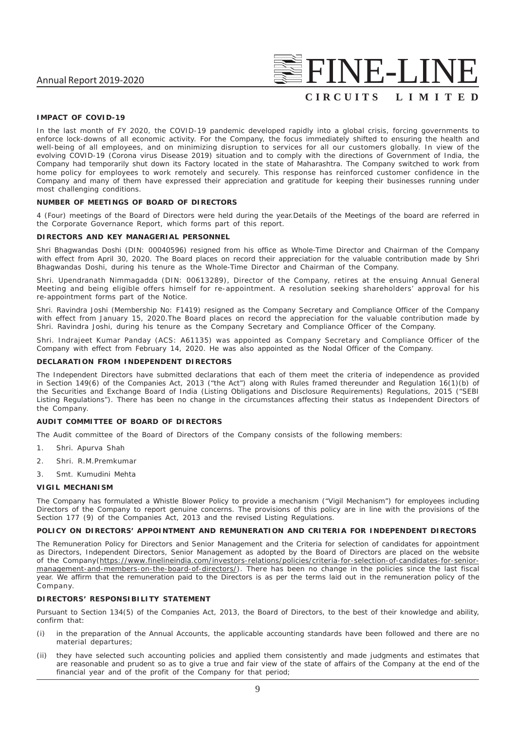# Annual Report 2019-2020  $\mathbb{E}[\text{NE-L}]$

# **CIRCUITS LIMITED**

## **IMPACT OF COVID-19**

In the last month of FY 2020, the COVID-19 pandemic developed rapidly into a global crisis, forcing governments to enforce lock-downs of all economic activity. For the Company, the focus immediately shifted to ensuring the health and well-being of all employees, and on minimizing disruption to services for all our customers globally. In view of the evolving COVID-19 (Corona virus Disease 2019) situation and to comply with the directions of Government of India, the Company had temporarily shut down its Factory located in the state of Maharashtra. The Company switched to work from home policy for employees to work remotely and securely. This response has reinforced customer confidence in the Company and many of them have expressed their appreciation and gratitude for keeping their businesses running under most challenging conditions.

# **NUMBER OF MEETINGS OF BOARD OF DIRECTORS**

4 (Four) meetings of the Board of Directors were held during the year.Details of the Meetings of the board are referred in the Corporate Governance Report, which forms part of this report.

# **DIRECTORS AND KEY MANAGERIAL PERSONNEL**

Shri Bhagwandas Doshi (DIN: 00040596) resigned from his office as Whole-Time Director and Chairman of the Company with effect from April 30, 2020. The Board places on record their appreciation for the valuable contribution made by Shri Bhagwandas Doshi, during his tenure as the Whole-Time Director and Chairman of the Company.

Shri. Upendranath Nimmagadda (DIN: 00613289), Director of the Company, retires at the ensuing Annual General Meeting and being eligible offers himself for re-appointment. A resolution seeking shareholders' approval for his re-appointment forms part of the Notice.

Shri. Ravindra Joshi (Membership No: F1419) resigned as the Company Secretary and Compliance Officer of the Company with effect from January 15, 2020.The Board places on record the appreciation for the valuable contribution made by Shri. Ravindra Joshi, during his tenure as the Company Secretary and Compliance Officer of the Company.

Shri. Indrajeet Kumar Panday (ACS: A61135) was appointed as Company Secretary and Compliance Officer of the Company with effect from February 14, 2020. He was also appointed as the Nodal Officer of the Company.

# **DECLARATION FROM INDEPENDENT DIRECTORS**

The Independent Directors have submitted declarations that each of them meet the criteria of independence as provided in Section 149(6) of the Companies Act, 2013 ("the Act") along with Rules framed thereunder and Regulation 16(1)(b) of the Securities and Exchange Board of India (Listing Obligations and Disclosure Requirements) Regulations, 2015 ("SEBI Listing Regulations"). There has been no change in the circumstances affecting their status as Independent Directors of the Company.

### **AUDIT COMMITTEE OF BOARD OF DIRECTORS**

The Audit committee of the Board of Directors of the Company consists of the following members:

- 1. Shri. Apurva Shah
- 2. Shri. R.M.Premkumar
- 3. Smt. Kumudini Mehta

### **VIGIL MECHANISM**

The Company has formulated a Whistle Blower Policy to provide a mechanism ("Vigil Mechanism") for employees including Directors of the Company to report genuine concerns. The provisions of this policy are in line with the provisions of the Section 177 (9) of the Companies Act, 2013 and the revised Listing Regulations.

# **POLICY ON DIRECTORS' APPOINTMENT AND REMUNERATION AND CRITERIA FOR INDEPENDENT DIRECTORS**

The Remuneration Policy for Directors and Senior Management and the Criteria for selection of candidates for appointment as Directors, Independent Directors, Senior Management as adopted by the Board of Directors are placed on the website of the Company(https://www.finelineindia.com/investors-relations/policies/criteria-for-selection-of-candidates-for-seniormanagement-and-members-on-the-board-of-directors/). There has been no change in the policies since the last fiscal year. We affirm that the remuneration paid to the Directors is as per the terms laid out in the remuneration policy of the Company.

### **DIRECTORS' RESPONSIBILITY STATEMENT**

Pursuant to Section 134(5) of the Companies Act, 2013, the Board of Directors, to the best of their knowledge and ability, confirm that:

- (i) in the preparation of the Annual Accounts, the applicable accounting standards have been followed and there are no material departures;
- (ii) they have selected such accounting policies and applied them consistently and made judgments and estimates that are reasonable and prudent so as to give a true and fair view of the state of affairs of the Company at the end of the financial year and of the profit of the Company for that period;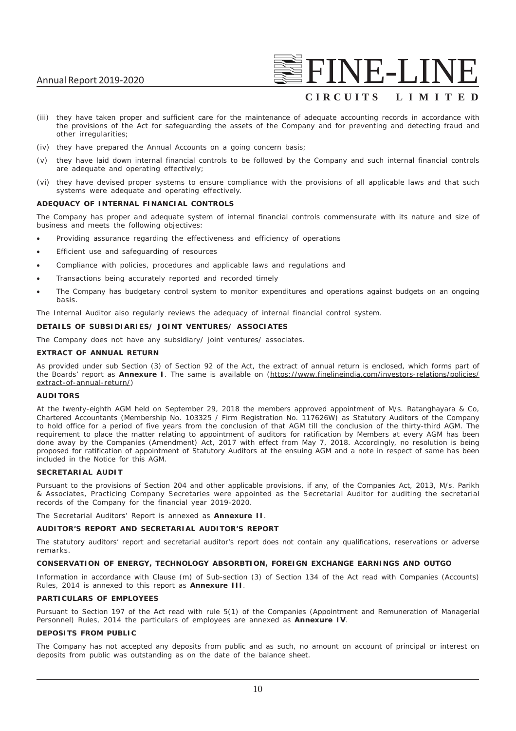Annual Report 2019-2020 **FINE-LINE CIRCUITS LIMITED**

# (iii) they have taken proper and sufficient care for the maintenance of adequate accounting records in accordance with the provisions of the Act for safeguarding the assets of the Company and for preventing and detecting fraud and other irregularities;

- (iv) they have prepared the Annual Accounts on a going concern basis;
- (v) they have laid down internal financial controls to be followed by the Company and such internal financial controls are adequate and operating effectively;
- (vi) they have devised proper systems to ensure compliance with the provisions of all applicable laws and that such systems were adequate and operating effectively.

# **ADEQUACY OF INTERNAL FINANCIAL CONTROLS**

The Company has proper and adequate system of internal financial controls commensurate with its nature and size of business and meets the following objectives:

- Providing assurance regarding the effectiveness and efficiency of operations
- Efficient use and safeguarding of resources
- Compliance with policies, procedures and applicable laws and regulations and
- Transactions being accurately reported and recorded timely
- The Company has budgetary control system to monitor expenditures and operations against budgets on an ongoing basis.

The Internal Auditor also regularly reviews the adequacy of internal financial control system.

# **DETAILS OF SUBSIDIARIES/ JOINT VENTURES/ ASSOCIATES**

The Company does not have any subsidiary/ joint ventures/ associates.

# **EXTRACT OF ANNUAL RETURN**

As provided under sub Section (3) of Section 92 of the Act, the extract of annual return is enclosed, which forms part of the Boards' report as **Annexure I**. The same is available on (https://www.finelineindia.com/investors-relations/policies/ extract-of-annual-return/)

# **AUDITORS**

At the twenty-eighth AGM held on September 29, 2018 the members approved appointment of M/s. Ratanghayara & Co, Chartered Accountants (Membership No. 103325 / Firm Registration No. 117626W) as Statutory Auditors of the Company to hold office for a period of five years from the conclusion of that AGM till the conclusion of the thirty-third AGM. The requirement to place the matter relating to appointment of auditors for ratification by Members at every AGM has been done away by the Companies (Amendment) Act, 2017 with effect from May 7, 2018. Accordingly, no resolution is being proposed for ratification of appointment of Statutory Auditors at the ensuing AGM and a note in respect of same has been included in the Notice for this AGM.

# **SECRETARIAL AUDIT**

Pursuant to the provisions of Section 204 and other applicable provisions, if any, of the Companies Act, 2013, M/s. Parikh & Associates, Practicing Company Secretaries were appointed as the Secretarial Auditor for auditing the secretarial records of the Company for the financial year 2019-2020.

The Secretarial Auditors' Report is annexed as **Annexure II**.

### **AUDITOR'S REPORT AND SECRETARIAL AUDITOR'S REPORT**

The statutory auditors' report and secretarial auditor's report does not contain any qualifications, reservations or adverse remarks.

# **CONSERVATION OF ENERGY, TECHNOLOGY ABSORBTION, FOREIGN EXCHANGE EARNINGS AND OUTGO**

Information in accordance with Clause (m) of Sub-section (3) of Section 134 of the Act read with Companies (Accounts) Rules, 2014 is annexed to this report as **Annexure III**.

# **PARTICULARS OF EMPLOYEES**

Pursuant to Section 197 of the Act read with rule 5(1) of the Companies (Appointment and Remuneration of Managerial Personnel) Rules, 2014 the particulars of employees are annexed as **Annexure IV**.

# **DEPOSITS FROM PUBLIC**

The Company has not accepted any deposits from public and as such, no amount on account of principal or interest on deposits from public was outstanding as on the date of the balance sheet.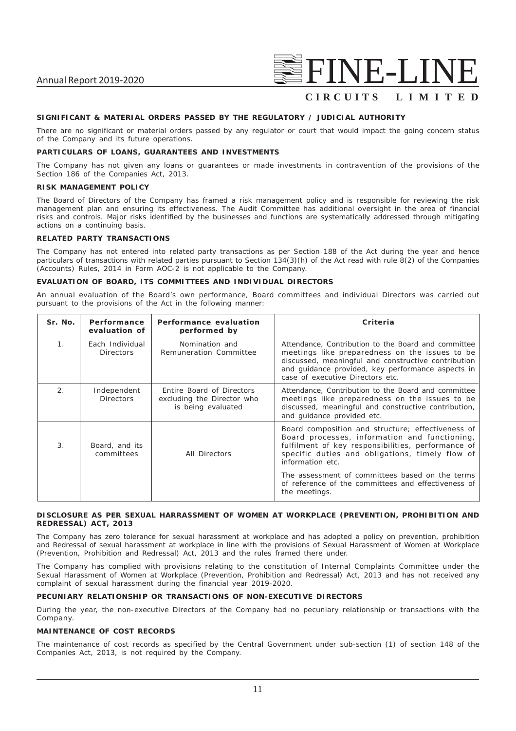

# **SIGNIFICANT & MATERIAL ORDERS PASSED BY THE REGULATORY / JUDICIAL AUTHORITY**

There are no significant or material orders passed by any regulator or court that would impact the going concern status of the Company and its future operations.

## **PARTICULARS OF LOANS, GUARANTEES AND INVESTMENTS**

The Company has not given any loans or guarantees or made investments in contravention of the provisions of the Section 186 of the Companies Act, 2013.

# **RISK MANAGEMENT POLICY**

The Board of Directors of the Company has framed a risk management policy and is responsible for reviewing the risk management plan and ensuring its effectiveness. The Audit Committee has additional oversight in the area of financial risks and controls. Major risks identified by the businesses and functions are systematically addressed through mitigating actions on a continuing basis.

#### **RELATED PARTY TRANSACTIONS**

The Company has not entered into related party transactions as per Section 188 of the Act during the year and hence particulars of transactions with related parties pursuant to Section 134(3)(h) of the Act read with rule 8(2) of the Companies (Accounts) Rules, 2014 in Form AOC-2 is not applicable to the Company.

## **EVALUATION OF BOARD, ITS COMMITTEES AND INDIVIDUAL DIRECTORS**

An annual evaluation of the Board's own performance, Board committees and individual Directors was carried out pursuant to the provisions of the Act in the following manner:

| Sr. No.        | Performance<br>evaluation of        | Performance evaluation<br>performed by                                        | Criteria                                                                                                                                                                                                                                              |
|----------------|-------------------------------------|-------------------------------------------------------------------------------|-------------------------------------------------------------------------------------------------------------------------------------------------------------------------------------------------------------------------------------------------------|
| $\mathbf{1}$ . | Each Individual<br><b>Directors</b> | Nomination and<br>Remuneration Committee                                      | Attendance, Contribution to the Board and committee<br>meetings like preparedness on the issues to be<br>discussed, meaningful and constructive contribution<br>and guidance provided, key performance aspects in<br>case of executive Directors etc. |
| 2.             | Independent<br><b>Directors</b>     | Entire Board of Directors<br>excluding the Director who<br>is being evaluated | Attendance, Contribution to the Board and committee<br>meetings like preparedness on the issues to be<br>discussed, meaningful and constructive contribution,<br>and guidance provided etc.                                                           |
| $\mathcal{R}$  | Board, and its<br>committees        | All Directors                                                                 | Board composition and structure; effectiveness of<br>Board processes, information and functioning,<br>fulfilment of key responsibilities, performance of<br>specific duties and obligations, timely flow of<br>information etc.                       |
|                |                                     |                                                                               | The assessment of committees based on the terms<br>of reference of the committees and effectiveness of<br>the meetings.                                                                                                                               |

# **DISCLOSURE AS PER SEXUAL HARRASSMENT OF WOMEN AT WORKPLACE (PREVENTION, PROHIBITION AND REDRESSAL) ACT, 2013**

The Company has zero tolerance for sexual harassment at workplace and has adopted a policy on prevention, prohibition and Redressal of sexual harassment at workplace in line with the provisions of Sexual Harassment of Women at Workplace (Prevention, Prohibition and Redressal) Act, 2013 and the rules framed there under.

The Company has complied with provisions relating to the constitution of Internal Complaints Committee under the Sexual Harassment of Women at Workplace (Prevention, Prohibition and Redressal) Act, 2013 and has not received any complaint of sexual harassment during the financial year 2019-2020.

# **PECUNIARY RELATIONSHIP OR TRANSACTIONS OF NON-EXECUTIVE DIRECTORS**

During the year, the non-executive Directors of the Company had no pecuniary relationship or transactions with the Company.

# **MAINTENANCE OF COST RECORDS**

The maintenance of cost records as specified by the Central Government under sub-section (1) of section 148 of the Companies Act, 2013, is not required by the Company.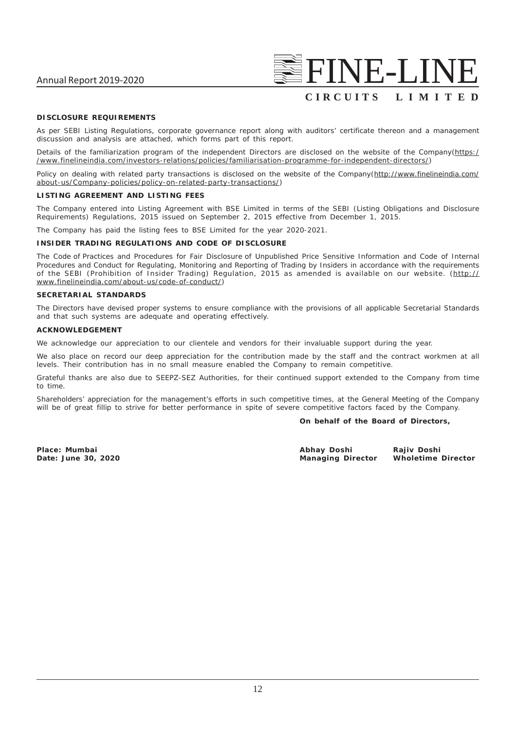# **CIRCUITS LIMITED**

## **DISCLOSURE REQUIREMENTS**

As per SEBI Listing Regulations, corporate governance report along with auditors' certificate thereon and a management discussion and analysis are attached, which forms part of this report.

Details of the familiarization program of the independent Directors are disclosed on the website of the Company(https:/ /www.finelineindia.com/investors-relations/policies/familiarisation-programme-for-independent-directors/)

Policy on dealing with related party transactions is disclosed on the website of the Company(http://www.finelineindia.com/ about-us/Company-policies/policy-on-related-party-transactions/)

## **LISTING AGREEMENT AND LISTING FEES**

The Company entered into Listing Agreement with BSE Limited in terms of the SEBI (Listing Obligations and Disclosure Requirements) Regulations, 2015 issued on September 2, 2015 effective from December 1, 2015.

The Company has paid the listing fees to BSE Limited for the year 2020-2021.

### **INSIDER TRADING REGULATIONS AND CODE OF DISCLOSURE**

The Code of Practices and Procedures for Fair Disclosure of Unpublished Price Sensitive Information and Code of Internal Procedures and Conduct for Regulating, Monitoring and Reporting of Trading by Insiders in accordance with the requirements of the SEBI (Prohibition of Insider Trading) Regulation, 2015 as amended is available on our website. (http:// www.finelineindia.com/about-us/code-of-conduct/)

## **SECRETARIAL STANDARDS**

The Directors have devised proper systems to ensure compliance with the provisions of all applicable Secretarial Standards and that such systems are adequate and operating effectively.

# **ACKNOWLEDGEMENT**

We acknowledge our appreciation to our clientele and vendors for their invaluable support during the year.

We also place on record our deep appreciation for the contribution made by the staff and the contract workmen at all levels. Their contribution has in no small measure enabled the Company to remain competitive.

Grateful thanks are also due to SEEPZ-SEZ Authorities, for their continued support extended to the Company from time to time.

Shareholders' appreciation for the management's efforts in such competitive times, at the General Meeting of the Company will be of great fillip to strive for better performance in spite of severe competitive factors faced by the Company.

# **On behalf of the Board of Directors,**

**Date: June 30, 2020** 

**Place: Mumbai Abhay Doshi Rajiv Doshi**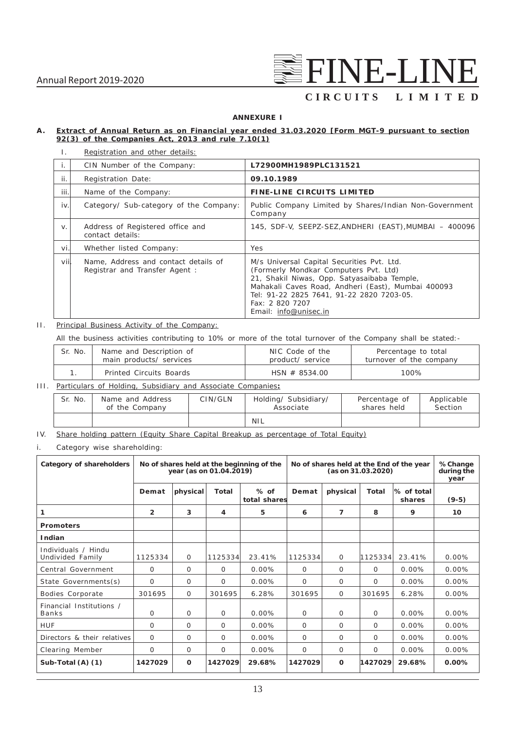# Annual Report 2019-2020<br>  $\blacksquare$

# **CIRCUITS LIMITED**

# **ANNEXURE I**

# **A. Extract of Annual Return as on Financial year ended 31.03.2020 [Form MGT-9 pursuant to section 92(3) of the Companies Act, 2013 and rule 7.10(1)**

| Ι.    | Registration and other details:                                        |                                                                                                                                                                                                                                                                                   |
|-------|------------------------------------------------------------------------|-----------------------------------------------------------------------------------------------------------------------------------------------------------------------------------------------------------------------------------------------------------------------------------|
| i.    | CIN Number of the Company:                                             | L72900MH1989PLC131521                                                                                                                                                                                                                                                             |
| ii.   | Registration Date:                                                     | 09.10.1989                                                                                                                                                                                                                                                                        |
| iii.  | Name of the Company:                                                   | <b>FINE-LINE CIRCUITS LIMITED</b>                                                                                                                                                                                                                                                 |
| iv.   | Category/ Sub-category of the Company:                                 | Public Company Limited by Shares/Indian Non-Government<br>Company                                                                                                                                                                                                                 |
| V.    | Address of Registered office and<br>contact details:                   | 145, SDF-V, SEEPZ-SEZ, ANDHERI (EAST), MUMBAI - 400096                                                                                                                                                                                                                            |
| vi.   | Whether listed Company:                                                | Yes                                                                                                                                                                                                                                                                               |
| viil. | Name, Address and contact details of<br>Registrar and Transfer Agent : | M/s Universal Capital Securities Pvt. Ltd.<br>(Formerly Mondkar Computers Pvt. Ltd)<br>21, Shakil Niwas, Opp. Satyasaibaba Temple,<br>Mahakali Caves Road, Andheri (East), Mumbai 400093<br>Tel: 91-22 2825 7641, 91-22 2820 7203-05.<br>Fax: 2 820 7207<br>Email: info@unisec.in |

# II. Principal Business Activity of the Company:

All the business activities contributing to 10% or more of the total turnover of the Company shall be stated:-

| Sr. No. | Name and Description of | NIC Code of the  | Percentage to total     |
|---------|-------------------------|------------------|-------------------------|
|         | main products/ services | product/ service | turnover of the company |
|         | Printed Circuits Boards | HSN $#$ 8534.00  | 100%                    |

# III. Particulars of Holding, Subsidiary and Associate Companies**:**

| Sr. No. | Name and Address<br>of the Company | CIN/GLN | Holding/ Subsidiary/<br>Associate | Percentage of<br>shares held | Applicable<br>Section |
|---------|------------------------------------|---------|-----------------------------------|------------------------------|-----------------------|
|         |                                    |         | NIL                               |                              |                       |

# IV. Share holding pattern (Equity Share Capital Breakup as percentage of Total Equity)

# i. Category wise shareholding:

| Category of shareholders                 | No of shares held at the beginning of the<br>year (as on 01.04.2019) |          |          |                        |          | No of shares held at the End of the year<br>(as on 31.03.2020) | %Change<br>during the<br>year |                      |          |
|------------------------------------------|----------------------------------------------------------------------|----------|----------|------------------------|----------|----------------------------------------------------------------|-------------------------------|----------------------|----------|
|                                          | Demat                                                                | physical | Total    | $%$ of<br>total shares | Demat    | physical                                                       | <b>Total</b>                  | % of total<br>shares | $(9-5)$  |
| 1                                        | $\overline{2}$                                                       | 3        | 4        | 5                      | 6        | 7                                                              | 8                             | 9                    | 10       |
| <b>Promoters</b>                         |                                                                      |          |          |                        |          |                                                                |                               |                      |          |
| Indian                                   |                                                                      |          |          |                        |          |                                                                |                               |                      |          |
| Individuals / Hindu<br>Undivided Family  | 1125334                                                              | $\Omega$ | 1125334  | 23.41%                 | 1125334  | $\Omega$                                                       | 1125334                       | 23.41%               | $0.00\%$ |
| Central Government                       | $\Omega$                                                             | $\Omega$ | $\Omega$ | $0.00\%$               | 0        | $\Omega$                                                       | 0                             | $0.00\%$             | 0.00%    |
| State Governments(s)                     | 0                                                                    | $\Omega$ | $\Omega$ | 0.00%                  | 0        | $\Omega$                                                       | 0                             | 0.00%                | 0.00%    |
| Bodies Corporate                         | 301695                                                               | 0        | 301695   | 6.28%                  | 301695   | $\circ$                                                        | 301695                        | 6.28%                | 0.00%    |
| Financial Institutions /<br><b>Banks</b> | $\Omega$                                                             | $\Omega$ | $\Omega$ | 0.00%                  | $\Omega$ | $\Omega$                                                       | 0                             | $0.00\%$             | $0.00\%$ |
| <b>HUF</b>                               | $\Omega$                                                             | $\Omega$ | $\Omega$ | 0.00%                  | 0        | $\Omega$                                                       | $\Omega$                      | $0.00\%$             | 0.00%    |
| Directors & their relatives              | $\Omega$                                                             | $\Omega$ | $\Omega$ | $0.00\%$               | $\Omega$ | $\Omega$                                                       | 0                             | $0.00\%$             | $0.00\%$ |
| Clearing Member                          | $\Omega$                                                             | $\Omega$ | $\Omega$ | $0.00\%$               | $\Omega$ | $\Omega$                                                       | $\Omega$                      | $0.00\%$             | $0.00\%$ |
| Sub-Total (A) (1)                        | 1427029                                                              | $\Omega$ | 1427029  | 29.68%                 | 1427029  | $\mathbf 0$                                                    | 1427029                       | 29.68%               | 0.00%    |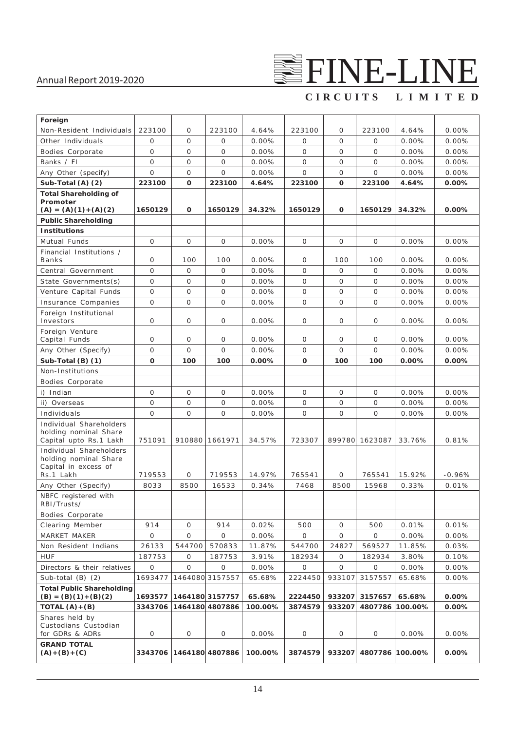# **CIRCUITS LIMITED**

| Foreign                                         |                |                |                     |          |         |              |                |         |          |
|-------------------------------------------------|----------------|----------------|---------------------|----------|---------|--------------|----------------|---------|----------|
| Non-Resident Individuals                        | 223100         | $\overline{O}$ | 223100              | 4.64%    | 223100  | 0            | 223100         | 4.64%   | 0.00%    |
| Other Individuals                               | $\mathsf{O}$   | $\mathbf 0$    | 0                   | 0.00%    | 0       | 0            | 0              | 0.00%   | 0.00%    |
| Bodies Corporate                                | $\mathsf{O}$   | $\mathbf{O}$   | $\mathbf 0$         | 0.00%    | $\circ$ | 0            | $\mathbf{O}$   | 0.00%   | 0.00%    |
| Banks / FI                                      | $\mathsf{O}$   | $\circ$        | $\mathbf 0$         | 0.00%    | $\circ$ | $\mathbf{O}$ | $\mathbf{O}$   | 0.00%   | 0.00%    |
| Any Other (specify)                             | $\overline{O}$ | $\circ$        | $\overline{O}$      | 0.00%    | $\circ$ | 0            | $\mathbf{O}$   | 0.00%   | 0.00%    |
| Sub-Total $(A)$ $(2)$                           | 223100         | 0              | 223100              | 4.64%    | 223100  | 0            | 223100         | 4.64%   | 0.00%    |
| <b>Total Shareholding of</b>                    |                |                |                     |          |         |              |                |         |          |
| Promoter                                        |                |                |                     |          |         |              |                |         |          |
| $(A) = (A)(1) + (A)(2)$                         | 1650129        | 0              | 1650129             | 34.32%   | 1650129 | 0            | 1650129        | 34.32%  | 0.00%    |
| <b>Public Shareholding</b>                      |                |                |                     |          |         |              |                |         |          |
| <b>Institutions</b>                             |                |                |                     |          |         |              |                |         |          |
| Mutual Funds                                    | 0              | 0              | 0                   | 0.00%    | 0       | 0            | 0              | 0.00%   | 0.00%    |
| Financial Institutions /<br>Banks               | 0              | 100            | 100                 | 0.00%    | 0       | 100          | 100            | 0.00%   | 0.00%    |
| Central Government                              | $\mathbf{O}$   | $\circ$        | $\circ$             | 0.00%    | $\circ$ | $\mathbf{O}$ | $\circ$        | 0.00%   | 0.00%    |
| State Governments(s)                            | $\circ$        | $\overline{O}$ | $\circ$             | 0.00%    | $\circ$ | $\mathbf{O}$ | $\mathbf{O}$   | 0.00%   | 0.00%    |
| Venture Capital Funds                           | $\circ$        | $\overline{O}$ | $\circ$             | 0.00%    | $\circ$ | $\mathbf{O}$ | $\mathbf{O}$   | 0.00%   | 0.00%    |
| Insurance Companies                             | $\mathbf 0$    | $\overline{O}$ | $\mathbf{O}$        | 0.00%    | $\circ$ | $\mathbf{O}$ | $\circ$        | 0.00%   | 0.00%    |
| Foreign Institutional                           |                |                |                     |          |         |              |                |         |          |
| Investors                                       | $\mathbf 0$    | $\overline{O}$ | 0                   | 0.00%    | 0       | 0            | 0              | 0.00%   | 0.00%    |
| Foreign Venture                                 |                |                |                     |          |         |              |                |         |          |
| Capital Funds                                   | 0              | 0              | 0                   | 0.00%    | 0       | 0            | 0              | 0.00%   | 0.00%    |
| Any Other (Specify)                             | $\circ$        | $\circ$        | $\overline{O}$      | 0.00%    | $\circ$ | $\mathbf{O}$ | $\mathbf{O}$   | 0.00%   | 0.00%    |
| Sub-Total (B) (1)                               | O              | 100            | 100                 | 0.00%    | 0       | 100          | 100            | 0.00%   | 0.00%    |
| Non-Institutions                                |                |                |                     |          |         |              |                |         |          |
| Bodies Corporate                                |                |                |                     |          |         |              |                |         |          |
| i) Indian                                       | 0              | $\mathsf{O}$   | 0                   | 0.00%    | 0       | 0            | 0              | 0.00%   | 0.00%    |
| ii) Overseas                                    | $\mathbf{O}$   | 0              | $\circ$             | 0.00%    | $\circ$ | 0            | $\circ$        | 0.00%   | 0.00%    |
| Individuals                                     | $\mathbf{O}$   | $\circ$        | $\circ$             | 0.00%    | $\circ$ | $\circ$      | $\circ$        | 0.00%   | 0.00%    |
| Individual Shareholders                         |                |                |                     |          |         |              |                |         |          |
| holding nominal Share<br>Capital upto Rs.1 Lakh | 751091         | 910880         | 1661971             | 34.57%   | 723307  |              | 899780 1623087 | 33.76%  | 0.81%    |
| Individual Shareholders                         |                |                |                     |          |         |              |                |         |          |
| holding nominal Share                           |                |                |                     |          |         |              |                |         |          |
| Capital in excess of                            |                |                |                     |          |         |              |                |         |          |
| Rs.1 Lakh                                       | 719553         | 0              | 719553              | 14.97%   | 765541  | 0            | 765541         | 15.92%  | $-0.96%$ |
| Any Other (Specify)                             | 8033           | 8500           | 16533               | 0.34%    | 7468    | 8500         | 15968          | 0.33%   | 0.01%    |
| NBFC registered with<br>RBI/Trusts/             |                |                |                     |          |         |              |                |         |          |
| Bodies Corporate                                |                |                |                     |          |         |              |                |         |          |
| Clearing Member                                 | 914            | 0              | 914                 | 0.02%    | 500     | 0            | 500            | 0.01%   | 0.01%    |
| MARKET MAKER                                    | 0              | 0              | 0                   | $0.00\%$ | $\circ$ | 0            | $\circ$        | 0.00%   | 0.00%    |
| Non Resident Indians                            | 26133          | 544700         | 570833              | 11.87%   | 544700  | 24827        | 569527         | 11.85%  | 0.03%    |
| HUF                                             | 187753         | 0              | 187753              | 3.91%    | 182934  | 0            | 182934         | 3.80%   | 0.10%    |
| Directors & their relatives                     | 0              | $\circ$        | 0                   | $0.00\%$ | 0       | 0            | 0              | 0.00%   | 0.00%    |
| Sub-total (B) (2)                               | 1693477        |                | 1464080 3157557     | 65.68%   | 2224450 | 933107       | 3157557        | 65.68%  | 0.00%    |
| <b>Total Public Shareholding</b>                |                |                |                     |          |         |              |                |         |          |
| $(B) = (B)(1) + (B)(2)$                         | 1693577        |                | 1464180 3157757     | 65.68%   | 2224450 | 933207       | 3157657        | 65.68%  | 0.00%    |
| TOTAL $(A)+(B)$                                 | 3343706        |                | 1464180 4807886     | 100.00%  | 3874579 | 933207       | 4807786        | 100.00% | 0.00%    |
| Shares held by                                  |                |                |                     |          |         |              |                |         |          |
| Custodians Custodian<br>for GDRs & ADRs         | 0              | 0              | $\mathsf{O}\xspace$ | 0.00%    | 0       | 0            | 0              | 0.00%   | 0.00%    |
| <b>GRAND TOTAL</b>                              |                |                |                     |          |         |              |                |         |          |
| $(A)+(B)+(C)$                                   | 3343706        |                | 1464180 4807886     | 100.00%  | 3874579 | 933207       | 4807786        | 100.00% | 0.00%    |
|                                                 |                |                |                     |          |         |              |                |         |          |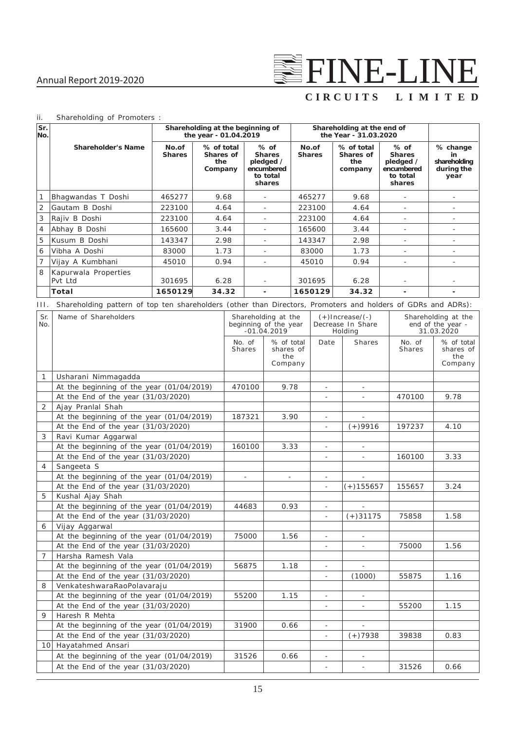# **CIRCUITS LIMITED**

# ii. Shareholding of Promoters :

| Sr.<br>No.     |                                 |                        | Shareholding at the beginning of<br>the year - 01.04.2019 |                                                                          |                        | Shareholding at the end of<br>the Year - 31.03.2020 |                                                                          |                                                             |
|----------------|---------------------------------|------------------------|-----------------------------------------------------------|--------------------------------------------------------------------------|------------------------|-----------------------------------------------------|--------------------------------------------------------------------------|-------------------------------------------------------------|
|                | <b>Shareholder's Name</b>       | No.of<br><b>Shares</b> | % of total<br>Shares of<br>the<br>Company                 | $%$ of<br><b>Shares</b><br>pledged /<br>encumbered<br>to total<br>shares | No.of<br><b>Shares</b> | % of total<br>Shares of<br>the<br>company           | $%$ of<br><b>Shares</b><br>pledged /<br>encumbered<br>to total<br>shares | % change<br><b>in</b><br>shareholding<br>during the<br>year |
|                | Bhagwandas T Doshi              | 465277                 | 9.68                                                      |                                                                          | 465277                 | 9.68                                                | $\overline{\phantom{a}}$                                                 |                                                             |
| $\overline{2}$ | Gautam B Doshi                  | 223100                 | 4.64                                                      |                                                                          | 223100                 | 4.64                                                |                                                                          |                                                             |
| 3              | Rajiv B Doshi                   | 223100                 | 4.64                                                      | $\overline{\phantom{a}}$                                                 | 223100                 | 4.64                                                | $\overline{\phantom{0}}$                                                 | $\overline{\phantom{0}}$                                    |
| 4              | Abhay B Doshi                   | 165600                 | 3.44                                                      | $\overline{\phantom{a}}$                                                 | 165600                 | 3.44                                                | $\overline{\phantom{0}}$                                                 |                                                             |
| 5              | Kusum B Doshi                   | 143347                 | 2.98                                                      |                                                                          | 143347                 | 2.98                                                |                                                                          |                                                             |
| 6              | Vibha A Doshi                   | 83000                  | 1.73                                                      | $\overline{\phantom{a}}$                                                 | 83000                  | 1.73                                                | ٠                                                                        | $\overline{\phantom{0}}$                                    |
| $\overline{7}$ | Vijay A Kumbhani                | 45010                  | 0.94                                                      | $\overline{\phantom{a}}$                                                 | 45010                  | 0.94                                                | ٠                                                                        | -                                                           |
| 8              | Kapurwala Properties<br>Pvt Ltd | 301695                 | 6.28                                                      |                                                                          | 301695                 | 6.28                                                |                                                                          |                                                             |
|                | Total                           | 1650129                | 34.32                                                     | ٠                                                                        | 1650129                | 34.32                                               | -                                                                        |                                                             |

III. Shareholding pattern of top ten shareholders (other than Directors, Promoters and holders of GDRs and ADRs):

| Sr.<br>No.     | Name of Shareholders                      |                          | Shareholding at the<br>beginning of the year<br>$-01.04.2019$ |                          | $(+)$ Increase/ $(-)$<br>Decrease In Share<br>Holding |                         | Shareholding at the<br>end of the year -<br>31.03.2020 |
|----------------|-------------------------------------------|--------------------------|---------------------------------------------------------------|--------------------------|-------------------------------------------------------|-------------------------|--------------------------------------------------------|
|                |                                           | No. of<br><b>Shares</b>  | % of total<br>shares of<br>the<br>Company                     | Date                     | Shares                                                | No. of<br><b>Shares</b> | % of total<br>shares of<br>the<br>Company              |
| 1              | Usharani Nimmagadda                       |                          |                                                               |                          |                                                       |                         |                                                        |
|                | At the beginning of the year (01/04/2019) | 470100                   | 9.78                                                          | $\equiv$                 | ÷,                                                    |                         |                                                        |
|                | At the End of the year (31/03/2020)       |                          |                                                               | $\overline{a}$           | $\overline{a}$                                        | 470100                  | 9.78                                                   |
| 2              | Ajay Pranlal Shah                         |                          |                                                               |                          |                                                       |                         |                                                        |
|                | At the beginning of the year (01/04/2019) | 187321                   | 3.90                                                          | $\overline{\phantom{a}}$ |                                                       |                         |                                                        |
|                | At the End of the year (31/03/2020)       |                          |                                                               |                          | $(+)9916$                                             | 197237                  | 4.10                                                   |
| 3              | Ravi Kumar Aggarwal                       |                          |                                                               |                          |                                                       |                         |                                                        |
|                | At the beginning of the year (01/04/2019) | 160100                   | 3.33                                                          | $\overline{\phantom{a}}$ |                                                       |                         |                                                        |
|                | At the End of the year (31/03/2020)       |                          |                                                               | $\overline{a}$           |                                                       | 160100                  | 3.33                                                   |
| $\overline{4}$ | Sangeeta S                                |                          |                                                               |                          |                                                       |                         |                                                        |
|                | At the beginning of the year (01/04/2019) | $\overline{\phantom{a}}$ | $\bar{ }$                                                     | $\overline{\phantom{a}}$ | $\overline{a}$                                        |                         |                                                        |
|                | At the End of the year (31/03/2020)       |                          |                                                               |                          | $(+)155657$                                           | 155657                  | 3.24                                                   |
| 5              | Kushal Ajay Shah                          |                          |                                                               |                          |                                                       |                         |                                                        |
|                | At the beginning of the year (01/04/2019) | 44683                    | 0.93                                                          | $\frac{1}{2}$            |                                                       |                         |                                                        |
|                | At the End of the year (31/03/2020)       |                          |                                                               | $\overline{\phantom{a}}$ | $(+)31175$                                            | 75858                   | 1.58                                                   |
| 6              | Vijay Aggarwal                            |                          |                                                               |                          |                                                       |                         |                                                        |
|                | At the beginning of the year (01/04/2019) | 75000                    | 1.56                                                          | $\overline{\phantom{a}}$ | $\overline{\phantom{a}}$                              |                         |                                                        |
|                | At the End of the year (31/03/2020)       |                          |                                                               | $\overline{\phantom{a}}$ | $\overline{\phantom{a}}$                              | 75000                   | 1.56                                                   |
| $\overline{7}$ | Harsha Ramesh Vala                        |                          |                                                               |                          |                                                       |                         |                                                        |
|                | At the beginning of the year (01/04/2019) | 56875                    | 1.18                                                          | $\overline{\phantom{a}}$ | $\overline{\phantom{a}}$                              |                         |                                                        |
|                | At the End of the year (31/03/2020)       |                          |                                                               | $\blacksquare$           | (1000)                                                | 55875                   | 1.16                                                   |
| 8              | VenkateshwaraRaoPolavaraju                |                          |                                                               |                          |                                                       |                         |                                                        |
|                | At the beginning of the year (01/04/2019) | 55200                    | 1.15                                                          | $\overline{a}$           |                                                       |                         |                                                        |
|                | At the End of the year (31/03/2020)       |                          |                                                               |                          |                                                       | 55200                   | 1.15                                                   |
| 9              | Haresh R Mehta                            |                          |                                                               |                          |                                                       |                         |                                                        |
|                | At the beginning of the year (01/04/2019) | 31900                    | 0.66                                                          |                          |                                                       |                         |                                                        |
|                | At the End of the year (31/03/2020)       |                          |                                                               | $\overline{\phantom{a}}$ | $(+)7938$                                             | 39838                   | 0.83                                                   |
|                | 10 Hayatahmed Ansari                      |                          |                                                               |                          |                                                       |                         |                                                        |
|                | At the beginning of the year (01/04/2019) | 31526                    | 0.66                                                          |                          | ÷,                                                    |                         |                                                        |
|                | At the End of the year (31/03/2020)       |                          |                                                               | $\overline{\phantom{a}}$ | $\overline{a}$                                        | 31526                   | 0.66                                                   |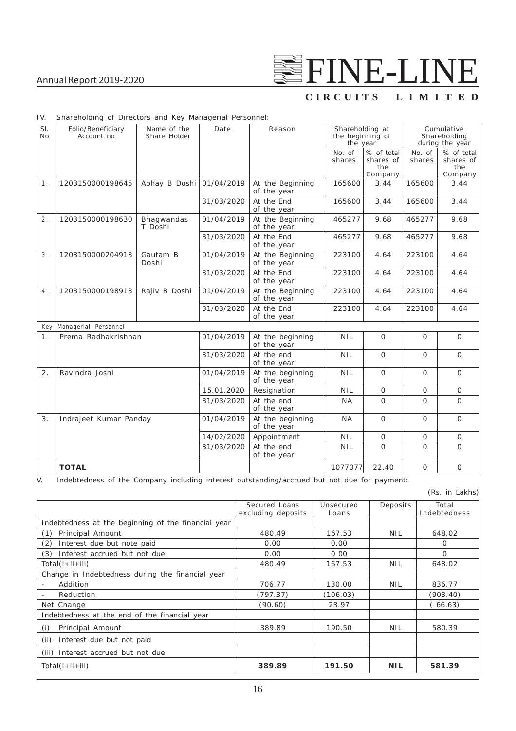# Annual Report 2019-2020<br>  $\blacksquare$

# **CIRCUITS LIMITED**

| SI.<br>N <sub>o</sub> | Folio/Beneficiary<br>Account no | Name of the<br>Share Holder | Date       | Reason                          | Shareholding at<br>the beginning of<br>the year |                                           |                  | Cumulative<br>Shareholding<br>during the year |
|-----------------------|---------------------------------|-----------------------------|------------|---------------------------------|-------------------------------------------------|-------------------------------------------|------------------|-----------------------------------------------|
|                       |                                 |                             |            |                                 | No. of<br>shares                                | % of total<br>shares of<br>the<br>Company | No. of<br>shares | % of total<br>shares of<br>the<br>Company     |
| 1.                    | 1203150000198645                | Abhay B Doshi               | 01/04/2019 | At the Beginning<br>of the year | 165600                                          | 3.44                                      | 165600           | 3.44                                          |
|                       |                                 |                             | 31/03/2020 | At the End<br>of the year       | 165600                                          | 3.44                                      | 165600           | 3.44                                          |
| $2$ .                 | 1203150000198630                | Bhagwandas<br>T Doshi       | 01/04/2019 | At the Beginning<br>of the year | 465277                                          | 9.68                                      | 465277           | 9.68                                          |
|                       |                                 |                             | 31/03/2020 | At the End<br>of the year       | 465277                                          | 9.68                                      | 465277           | 9.68                                          |
| 3.                    | 1203150000204913                | Gautam B<br>Doshi           | 01/04/2019 | At the Beginning<br>of the year | 223100                                          | 4.64                                      | 223100           | 4.64                                          |
|                       |                                 |                             | 31/03/2020 | At the End<br>of the year       | 223100                                          | 4.64                                      | 223100           | 4.64                                          |
| 4.                    | 1203150000198913                | Rajiv B Doshi               | 01/04/2019 | At the Beginning<br>of the year | 223100                                          | 4.64                                      | 223100           | 4.64                                          |
|                       |                                 |                             | 31/03/2020 | At the End<br>of the year       | 223100                                          | 4.64                                      | 223100           | 4.64                                          |
|                       | Key Managerial Personnel        |                             |            |                                 |                                                 |                                           |                  |                                               |
| 1 <sub>1</sub>        | Prema Radhakrishnan             |                             | 01/04/2019 | At the beginning<br>of the year | <b>NIL</b>                                      | $\Omega$                                  | $\Omega$         | $\Omega$                                      |
|                       |                                 |                             | 31/03/2020 | At the end<br>of the year       | <b>NIL</b>                                      | $\Omega$                                  | $\Omega$         | $\Omega$                                      |
| 2.                    | Ravindra Joshi                  |                             | 01/04/2019 | At the beginning<br>of the year | <b>NIL</b>                                      | $\mathbf 0$                               | $\Omega$         | $\mathbf{O}$                                  |
|                       |                                 |                             | 15.01.2020 | Resignation                     | <b>NIL</b>                                      | $\mathbf 0$                               | $\mathbf{O}$     | $\mathsf{O}$                                  |
|                       |                                 |                             | 31/03/2020 | At the end<br>of the year       | <b>NA</b>                                       | $\Omega$                                  | $\Omega$         | $\mathbf{O}$                                  |
| 3.                    | Indrajeet Kumar Panday          |                             | 01/04/2019 | At the beginning<br>of the year | <b>NA</b>                                       | $\Omega$                                  | $\Omega$         | $\Omega$                                      |
|                       |                                 |                             | 14/02/2020 | Appointment                     | <b>NIL</b>                                      | $\mathbf{O}$                              | $\mathbf{O}$     | $\mathsf{O}$                                  |
|                       |                                 |                             | 31/03/2020 | At the end<br>of the year       | <b>NIL</b>                                      | $\Omega$                                  | $\Omega$         | $\Omega$                                      |
|                       | <b>TOTAL</b>                    |                             |            |                                 | 1077077                                         | 22.40                                     | $\mathbf{O}$     | $\mathbf{O}$                                  |

# IV. Shareholding of Directors and Key Managerial Personnel:

V. Indebtedness of the Company including interest outstanding/accrued but not due for payment:

(Rs. in Lakhs) Secured Loans | Unsecured | Deposits | Total excluding deposits Loans Indebtedness Indebtedness at the beginning of the financial year (1) Principal Amount 480.49 167.53 NIL 648.02 (2) Interest due but note paid 0.00 0.00 0 (3) Interest accrued but not due 0.00 0 00 0 Total(i+ii+iii) 480.49 167.53 NIL 648.02 Change in Indebtedness during the financial year - Addition 706.77 130.00 NIL 836.77 - Reduction (797.37) (106.03) (903.40) Net Change (90.60) 23.97 ( 66.63) Indebtedness at the end of the financial year (i) Principal Amount 389.89 190.50 NIL 580.39 (ii) Interest due but not paid (iii) Interest accrued but not due Total(i+ii+iii) **389.89 191.50 NIL 581.39**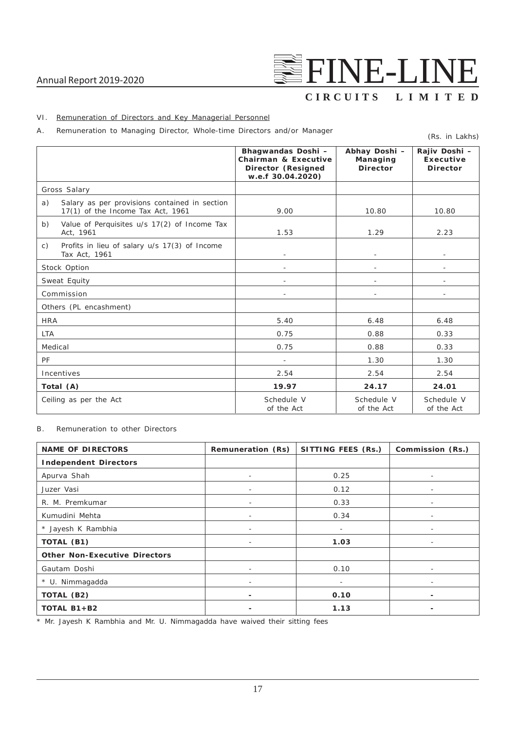# Annual Report 2019-2020<br>  $\blacksquare$ **CIRCUITS LIMITED**

# VI. Remuneration of Directors and Key Managerial Personnel

A. Remuneration to Managing Director, Whole-time Directors and/or Manager

(Rs. in Lakhs)

|                                                                                          | Bhagwandas Doshi -<br><b>Chairman &amp; Executive</b><br>Director (Resigned<br>w.e.f 30.04.2020) | Abhay Doshi -<br>Managing<br><b>Director</b> | Rajiv Doshi -<br>Executive<br><b>Director</b> |
|------------------------------------------------------------------------------------------|--------------------------------------------------------------------------------------------------|----------------------------------------------|-----------------------------------------------|
| Gross Salary                                                                             |                                                                                                  |                                              |                                               |
| Salary as per provisions contained in section<br>a)<br>17(1) of the Income Tax Act, 1961 | 9.00                                                                                             | 10.80                                        | 10.80                                         |
| Value of Perquisites u/s 17(2) of Income Tax<br>b)<br>Act, 1961                          | 1.53                                                                                             | 1.29                                         | 2.23                                          |
| Profits in lieu of salary u/s 17(3) of Income<br>$\mathsf{C}$ )<br>Tax Act, 1961         |                                                                                                  |                                              |                                               |
| Stock Option                                                                             | $\overline{\phantom{a}}$                                                                         | $\overline{\phantom{a}}$                     | $\overline{\phantom{a}}$                      |
| Sweat Equity                                                                             |                                                                                                  |                                              |                                               |
| Commission                                                                               |                                                                                                  |                                              |                                               |
| Others (PL encashment)                                                                   |                                                                                                  |                                              |                                               |
| <b>HRA</b>                                                                               | 5.40                                                                                             | 6.48                                         | 6.48                                          |
| <b>LTA</b>                                                                               | 0.75                                                                                             | 0.88                                         | 0.33                                          |
| Medical                                                                                  | 0.75                                                                                             | 0.88                                         | 0.33                                          |
| <b>PF</b>                                                                                |                                                                                                  | 1.30                                         | 1.30                                          |
| Incentives                                                                               | 2.54                                                                                             | 2.54                                         | 2.54                                          |
| Total (A)                                                                                | 19.97                                                                                            | 24.17                                        | 24.01                                         |
| Ceiling as per the Act                                                                   | Schedule V<br>of the Act                                                                         | Schedule V<br>of the Act                     | Schedule V<br>of the Act                      |

# B. Remuneration to other Directors

| <b>NAME OF DIRECTORS</b>             | Remuneration (Rs)        | SITTING FEES (Rs.)       | Commission (Rs.) |
|--------------------------------------|--------------------------|--------------------------|------------------|
| <b>Independent Directors</b>         |                          |                          |                  |
| Apurva Shah                          |                          | 0.25                     |                  |
| Juzer Vasi                           | $\overline{\phantom{a}}$ | 0.12                     |                  |
| R. M. Premkumar                      | $\overline{\phantom{a}}$ | 0.33                     |                  |
| Kumudini Mehta                       | $\overline{\phantom{a}}$ | 0.34                     |                  |
| * Jayesh K Rambhia                   | $\overline{\phantom{a}}$ | $\overline{\phantom{a}}$ |                  |
| TOTAL (B1)                           | $\overline{\phantom{a}}$ | 1.03                     |                  |
| <b>Other Non-Executive Directors</b> |                          |                          |                  |
| Gautam Doshi                         |                          | 0.10                     |                  |
| * U. Nimmagadda                      | $\overline{\phantom{0}}$ | ٠                        |                  |
| TOTAL (B2)                           |                          | 0.10                     |                  |
| TOTAL B1+B2                          |                          | 1.13                     |                  |

\* Mr. Jayesh K Rambhia and Mr. U. Nimmagadda have waived their sitting fees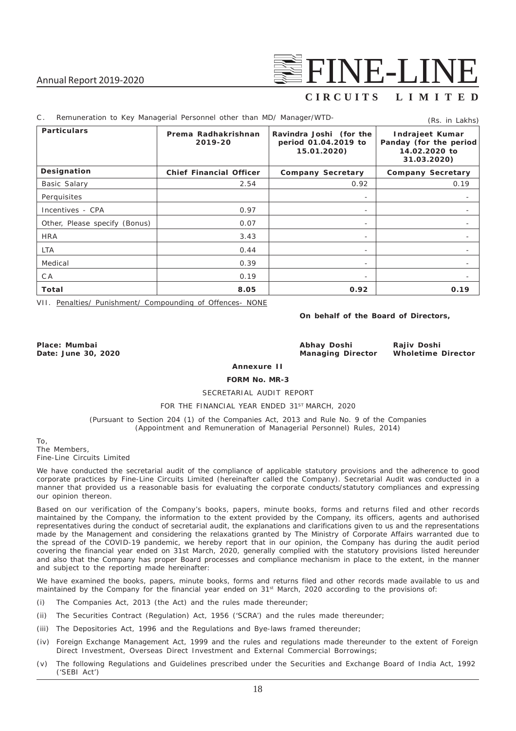# **CIRCUITS LIMITED**

| <b>Particulars</b>            | Prema Radhakrishnan<br>2019-20 | Ravindra Joshi (for the<br>period 01.04.2019 to<br>15.01.2020) | Indrajeet Kumar<br>Panday (for the period<br>14.02.2020 to<br>31.03.2020) |
|-------------------------------|--------------------------------|----------------------------------------------------------------|---------------------------------------------------------------------------|
| Designation                   | <b>Chief Financial Officer</b> | <b>Company Secretary</b>                                       | <b>Company Secretary</b>                                                  |
| Basic Salary                  | 2.54                           | 0.92                                                           | 0.19                                                                      |
| Perquisites                   |                                | $\qquad \qquad \blacksquare$                                   |                                                                           |
| Incentives - CPA              | 0.97                           | $\qquad \qquad -$                                              |                                                                           |
| Other, Please specify (Bonus) | 0.07                           | $\qquad \qquad \blacksquare$                                   |                                                                           |
| <b>HRA</b>                    | 3.43                           | -                                                              |                                                                           |
| <b>LTA</b>                    | 0.44                           | $\qquad \qquad -$                                              |                                                                           |
| Medical                       | 0.39                           | $\overline{\phantom{a}}$                                       |                                                                           |
| C A                           | 0.19                           | $\qquad \qquad -$                                              |                                                                           |
| Total                         | 8.05                           | 0.92                                                           | 0.19                                                                      |

VII. Penalties/ Punishment/ Compounding of Offences- NONE

C . Remuneration to Key Managerial Personnel other than MD/ Manager/WTD-

**On behalf of the Board of Directors,**

**Place: Mumbai Abhay Doshi Rajiv Doshi Date: June 30, 2020 Managing Director Wholetime Director**

(Rs. in Lakhs)

**Annexure II FORM No. MR-3**

SECRETARIAL AUDIT REPORT

# FOR THE FINANCIAL YEAR ENDED 31ST MARCH, 2020

(Pursuant to Section 204 (1) of the Companies Act, 2013 and Rule No. 9 of the Companies (Appointment and Remuneration of Managerial Personnel) Rules, 2014)

To, The Members, Fine-Line Circuits Limited

We have conducted the secretarial audit of the compliance of applicable statutory provisions and the adherence to good corporate practices by Fine-Line Circuits Limited (hereinafter called the Company). Secretarial Audit was conducted in a manner that provided us a reasonable basis for evaluating the corporate conducts/statutory compliances and expressing our opinion thereon.

Based on our verification of the Company's books, papers, minute books, forms and returns filed and other records maintained by the Company, the information to the extent provided by the Company, its officers, agents and authorised representatives during the conduct of secretarial audit, the explanations and clarifications given to us and the representations made by the Management and considering the relaxations granted by The Ministry of Corporate Affairs warranted due to the spread of the COVID-19 pandemic, we hereby report that in our opinion, the Company has during the audit period covering the financial year ended on 31st March, 2020, generally complied with the statutory provisions listed hereunder and also that the Company has proper Board processes and compliance mechanism in place to the extent, in the manner and subject to the reporting made hereinafter:

We have examined the books, papers, minute books, forms and returns filed and other records made available to us and maintained by the Company for the financial year ended on 31<sup>st</sup> March, 2020 according to the provisions of:

- (i) The Companies Act, 2013 (the Act) and the rules made thereunder;
- (ii) The Securities Contract (Regulation) Act, 1956 ('SCRA') and the rules made thereunder;
- (iii) The Depositories Act, 1996 and the Regulations and Bye-laws framed thereunder;
- (iv) Foreign Exchange Management Act, 1999 and the rules and regulations made thereunder to the extent of Foreign Direct Investment, Overseas Direct Investment and External Commercial Borrowings;
- (v) The following Regulations and Guidelines prescribed under the Securities and Exchange Board of India Act, 1992 ('SEBI Act')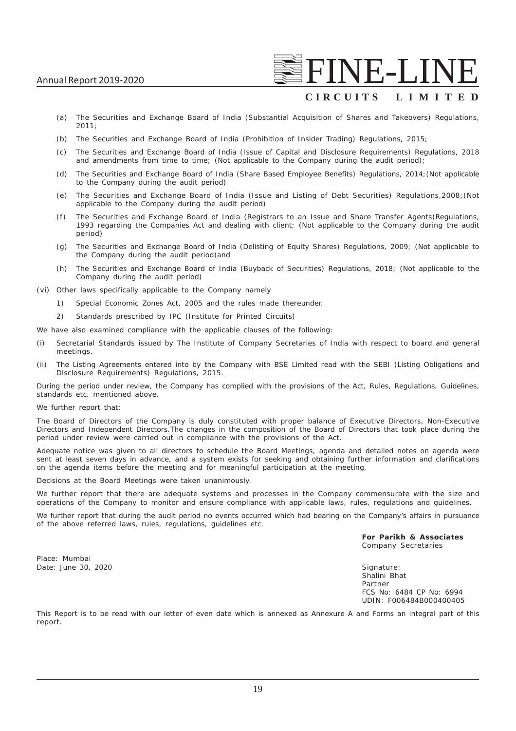# **CIRCUITS LIMITED**

- (a) The Securities and Exchange Board of India (Substantial Acquisition of Shares and Takeovers) Regulations, 2011;
- (b) The Securities and Exchange Board of India (Prohibition of Insider Trading) Regulations, 2015;
- (c) The Securities and Exchange Board of India (Issue of Capital and Disclosure Requirements) Regulations, 2018 and amendments from time to time; (Not applicable to the Company during the audit period);
- (d) The Securities and Exchange Board of India (Share Based Employee Benefits) Regulations, 2014;(Not applicable to the Company during the audit period)
- (e) The Securities and Exchange Board of India (Issue and Listing of Debt Securities) Regulations,2008;(Not applicable to the Company during the audit period)
- (f) The Securities and Exchange Board of India (Registrars to an Issue and Share Transfer Agents)Regulations, 1993 regarding the Companies Act and dealing with client; (Not applicable to the Company during the audit period)
- (g) The Securities and Exchange Board of India (Delisting of Equity Shares) Regulations, 2009; (Not applicable to the Company during the audit period)and
- (h) The Securities and Exchange Board of India (Buyback of Securities) Regulations, 2018; (Not applicable to the Company during the audit period)
- (vi) Other laws specifically applicable to the Company namely
	- 1) Special Economic Zones Act, 2005 and the rules made thereunder.
		- 2) Standards prescribed by IPC (Institute for Printed Circuits)

We have also examined compliance with the applicable clauses of the following:

- (i) Secretarial Standards issued by The Institute of Company Secretaries of India with respect to board and general meetings.
- (ii) The Listing Agreements entered into by the Company with BSE Limited read with the SEBI (Listing Obligations and Disclosure Requirements) Regulations, 2015.

During the period under review, the Company has complied with the provisions of the Act, Rules, Regulations, Guidelines, standards etc. mentioned above.

We further report that:

The Board of Directors of the Company is duly constituted with proper balance of Executive Directors, Non-Executive Directors and Independent Directors.The changes in the composition of the Board of Directors that took place during the period under review were carried out in compliance with the provisions of the Act.

Adequate notice was given to all directors to schedule the Board Meetings, agenda and detailed notes on agenda were sent at least seven days in advance, and a system exists for seeking and obtaining further information and clarifications on the agenda items before the meeting and for meaningful participation at the meeting.

Decisions at the Board Meetings were taken unanimously.

We further report that there are adequate systems and processes in the Company commensurate with the size and operations of the Company to monitor and ensure compliance with applicable laws, rules, regulations and guidelines.

We further report that during the audit period no events occurred which had bearing on the Company's affairs in pursuance of the above referred laws, rules, regulations, guidelines etc.

> **For Parikh & Associates** Company Secretaries

Place: Mumbai Date: June 30, 2020 Signature:

Shalini Bhat Partner FCS No: 6484 CP No: 6994 UDIN: F006484B000400405

*This Report is to be read with our letter of even date which is annexed as Annexure A and Forms an integral part of this report.*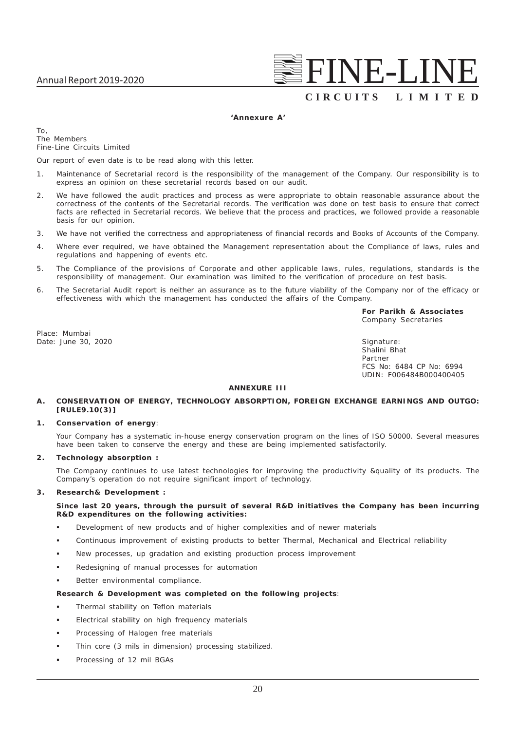

# **'Annexure A'**

To, The Members Fine-Line Circuits Limited

Our report of even date is to be read along with this letter.

- 1. Maintenance of Secretarial record is the responsibility of the management of the Company. Our responsibility is to express an opinion on these secretarial records based on our audit.
- 2. We have followed the audit practices and process as were appropriate to obtain reasonable assurance about the correctness of the contents of the Secretarial records. The verification was done on test basis to ensure that correct facts are reflected in Secretarial records. We believe that the process and practices, we followed provide a reasonable basis for our opinion.
- 3. We have not verified the correctness and appropriateness of financial records and Books of Accounts of the Company.
- 4. Where ever required, we have obtained the Management representation about the Compliance of laws, rules and regulations and happening of events etc.
- 5. The Compliance of the provisions of Corporate and other applicable laws, rules, regulations, standards is the responsibility of management. Our examination was limited to the verification of procedure on test basis.
- 6. The Secretarial Audit report is neither an assurance as to the future viability of the Company nor of the efficacy or effectiveness with which the management has conducted the affairs of the Company.

**For Parikh & Associates** Company Secretaries

Place: Mumbai Date: June 30, 2020 Signature: Signature: Signature: Signature: Signature: Signature: Signature: Signature: Signature: Signature: Signature: Signature: Signature: Signature: Signature: Signature: Signature: Signature: Sign

Shalini Bhat Partner FCS No: 6484 CP No: 6994 UDIN: F006484B000400405

# **ANNEXURE III**

**A. CONSERVATION OF ENERGY, TECHNOLOGY ABSORPTION, FOREIGN EXCHANGE EARNINGS AND OUTGO: [RULE9.10(3)]**

# **1. Conservation of energy**:

Your Company has a systematic in-house energy conservation program on the lines of ISO 50000. Several measures have been taken to conserve the energy and these are being implemented satisfactorily.

### **2. Technology absorption :**

The Company continues to use latest technologies for improving the productivity &quality of its products. The Company's operation do not require significant import of technology.

# **3. Research& Development :**

# **Since last 20 years, through the pursuit of several R&D initiatives the Company has been incurring R&D expenditures on the following activities:**

- Development of new products and of higher complexities and of newer materials
- Continuous improvement of existing products to better Thermal, Mechanical and Electrical reliability
- New processes, up gradation and existing production process improvement
- Redesigning of manual processes for automation
- Better environmental compliance.

# **Research & Development was completed on the following projects**:

- **Thermal stability on Teflon materials**
- **Electrical stability on high frequency materials**
- Processing of Halogen free materials
- Thin core (3 mils in dimension) processing stabilized.
- Processing of 12 mil BGAs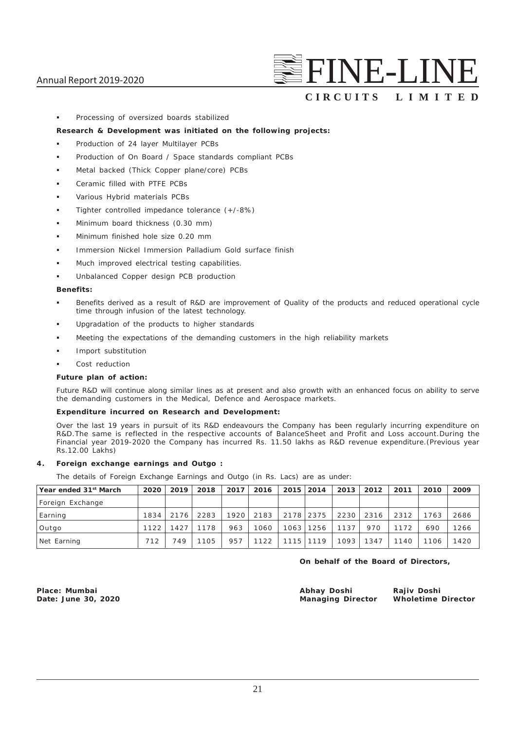# **CIRCUITS LIMITED**

Processing of oversized boards stabilized

# **Research & Development was initiated on the following projects:**

- **Production of 24 layer Multilayer PCBs**
- Production of On Board / Space standards compliant PCBs
- Metal backed (Thick Copper plane/core) PCBs
- Ceramic filled with PTFE PCBs
- Various Hybrid materials PCBs
- Tighter controlled impedance tolerance (+/-8%)
- Minimum board thickness (0.30 mm)
- Minimum finished hole size 0.20 mm
- Immersion Nickel Immersion Palladium Gold surface finish
- Much improved electrical testing capabilities.
- Unbalanced Copper design PCB production

# **Benefits:**

- Benefits derived as a result of R&D are improvement of Quality of the products and reduced operational cycle time through infusion of the latest technology.
- Upgradation of the products to higher standards
- Meeting the expectations of the demanding customers in the high reliability markets
- Import substitution
- Cost reduction

### **Future plan of action:**

Future R&D will continue along similar lines as at present and also growth with an enhanced focus on ability to serve the demanding customers in the Medical, Defence and Aerospace markets.

# **Expenditure incurred on Research and Development:**

Over the last 19 years in pursuit of its R&D endeavours the Company has been regularly incurring expenditure on R&D.The same is reflected in the respective accounts of BalanceSheet and Profit and Loss account.During the Financial year 2019-2020 the Company has incurred Rs. 11.50 lakhs as R&D revenue expenditure.(Previous year Rs.12.00 Lakhs)

# **4. Foreign exchange earnings and Outgo :**

The details of Foreign Exchange Earnings and Outgo (in Rs. Lacs) are as under:

| Year ended 31 <sup>st</sup> March | 2020 | 2019 | 2018 | 2017 | 2016 | 2015      | 2014 | 2013 | 2012 | 2011 | 2010 | 2009 |
|-----------------------------------|------|------|------|------|------|-----------|------|------|------|------|------|------|
| Foreign Exchange                  |      |      |      |      |      |           |      |      |      |      |      |      |
| Earning                           | 1834 | 2176 | 2283 | 1920 | 2183 | 2178 2375 |      | 2230 | 2316 | 2312 | 1763 | 2686 |
| Outgo                             | 1122 | 1427 | 1178 | 963  | 1060 | 1063      | 1256 | 1137 | 970  | 1172 | 690  | 1266 |
| Net Earning                       | 712  | 749  | 105  | 957  | 1122 | 1115      | 1119 | 1093 | 1347 | 1140 | 1106 | 1420 |

### **On behalf of the Board of Directors,**

**Place: Mumbai Abhay Doshi Rajiv Doshi Date: June 30, 2020 Managing Director Wholetime Director**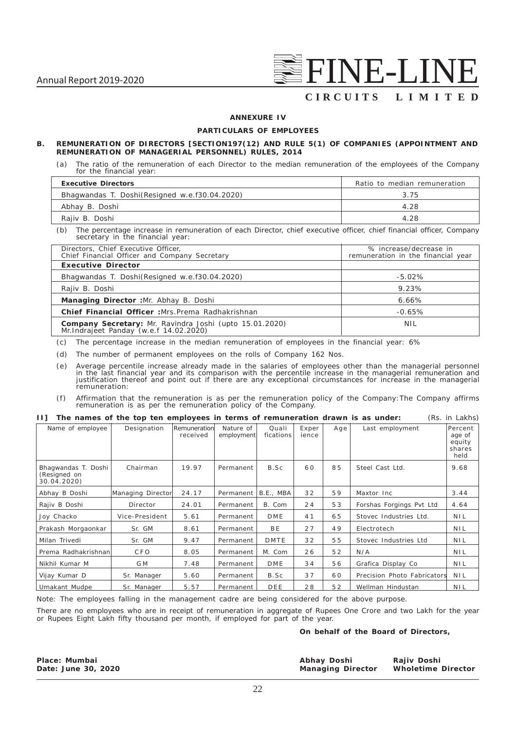

# **ANNEXURE IV**

**PARTICULARS OF EMPLOYEES**

# **B. REMUNERATION OF DIRECTORS [SECTION197(12) AND RULE 5(1) OF COMPANIES (APPOINTMENT AND REMUNERATION OF MANAGERIAL PERSONNEL) RULES, 2014**

(a) The ratio of the remuneration of each Director to the median remuneration of the employees of the Company for the financial year:

| <b>Executive Directors</b>                     | Ratio to median remuneration |
|------------------------------------------------|------------------------------|
| Bhagwandas T. Doshi (Resigned w.e.f30.04.2020) | 3.75                         |
| Abhay B. Doshi                                 | 4.28                         |
| Rajiv B. Doshi                                 | 4.28                         |

(b) The percentage increase in remuneration of each Director, chief executive officer, chief financial officer, Company secretary in the financial year:

| Directors, Chief Executive Officer,<br>Chief Financial Officer and Company Secretary               | % increase/decrease in<br>remuneration in the financial year |  |  |  |
|----------------------------------------------------------------------------------------------------|--------------------------------------------------------------|--|--|--|
| <b>Executive Director</b>                                                                          |                                                              |  |  |  |
| Bhagwandas T. Doshi (Resigned w.e.f30.04.2020)                                                     | $-5.02\%$                                                    |  |  |  |
| Rajiv B. Doshi                                                                                     | 9.23%                                                        |  |  |  |
| Managing Director: Mr. Abhay B. Doshi                                                              | 6.66%                                                        |  |  |  |
| Chief Financial Officer : Mrs. Prema Radhakrishnan                                                 | $-0.65%$                                                     |  |  |  |
| Company Secretary: Mr. Ravindra Joshi (upto 15.01.2020)<br>Mr. Indrajeet Panday (w.e.f 14.02.2020) | NIL                                                          |  |  |  |

(c) The percentage increase in the median remuneration of employees in the financial year: 6%

- (d) The number of permanent employees on the rolls of Company 162 Nos.
- (e) Average percentile increase already made in the salaries of employees other than the managerial personnel<br>in the last financial year and its comparison with the percentile increase in the managerial remuneration and<br>ju remuneration:
- (f) Affirmation that the remuneration is as per the remuneration policy of the Company:The Company affirms remuneration is as per the remuneration policy of the Company.

### **II] The names of the top ten employees in terms of remuneration drawn is as under:** (Rs. in Lakhs)

| Name of employee                                   | Designation       | Remuneration<br>received | Nature of<br>employment | Quali<br>fications | Exper<br>ience | Age | Last employment             | Percent<br>age of<br>equity<br>shares<br>held |
|----------------------------------------------------|-------------------|--------------------------|-------------------------|--------------------|----------------|-----|-----------------------------|-----------------------------------------------|
| Bhagwandas T. Doshi<br>(Resigned on<br>30.04.2020) | Chairman          | 19.97                    | Permanent               | B.Sc               | 60             | 85  | Steel Cast Ltd.             | 9.68                                          |
| Abhay B Doshi                                      | Managing Director | 24.17                    | Permanent               | B.E., MBA          | 32             | 59  | Maxtor Inc                  | 3.44                                          |
| Rajiv B Doshi                                      | Director          | 24.01                    | Permanent               | B. Com             | 24             | 53  | Forshas Forgings Pvt Ltd    | 4.64                                          |
| Joy Chacko                                         | Vice-President    | 5.61                     | Permanent               | DME                | 41             | 65  | Stovec Industries Ltd.      | NIL                                           |
| Prakash Morgaonkar                                 | Sr. GM            | 8.61                     | Permanent               | BE.                | 27             | 49  | Electrotech                 | N I L                                         |
| Milan Trivedi                                      | Sr. GM            | 9.47                     | Permanent               | DMTE               | 32             | 55  | Stovec Industries Ltd       | NIL                                           |
| Prema Radhakrishnan                                | <b>CFO</b>        | 8.05                     | Permanent               | M. Com             | 26             | 52  | N/A                         | <b>NIL</b>                                    |
| Nikhil Kumar M                                     | G M               | 7.48                     | Permanent               | DME                | 34             | 56  | Grafica Display Co          | N I L                                         |
| Vijay Kumar D                                      | Sr. Manager       | 5.60                     | Permanent               | B.Sc               | 37             | 60  | Precision Photo Fabricators | <b>NIL</b>                                    |
| Umakant Mudpe                                      | Sr. Manager       | 5.57                     | Permanent               | DEE                | 28             | 52  | Wellman Hindustan           | N I L                                         |

Note: The employees falling in the management cadre are being considered for the above purpose.

There are no employees who are in receipt of remuneration in aggregate of Rupees One Crore and two Lakh for the year or Rupees Eight Lakh fifty thousand per month, if employed for part of the year.

# **On behalf of the Board of Directors,**

**Place: Mumbai** Date: June 30, 2020

| Abhay Doshi              | Rajiv Doshi               |
|--------------------------|---------------------------|
| <b>Managing Director</b> | <b>Wholetime Director</b> |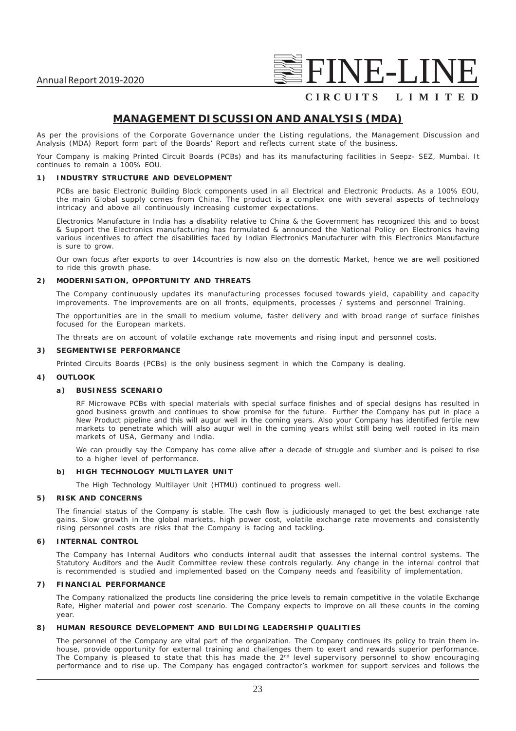# Annual Report 2019-2020  $\blacksquare$

# **CIRCUITS LIMITED**

# **MANAGEMENT DISCUSSION AND ANALYSIS (MDA)**

As per the provisions of the Corporate Governance under the Listing regulations, the Management Discussion and Analysis (MDA) Report form part of the Boards' Report and reflects current state of the business.

Your Company is making Printed Circuit Boards (PCBs) and has its manufacturing facilities in Seepz- SEZ, Mumbai. It continues to remain a 100% EOU.

# **1) INDUSTRY STRUCTURE AND DEVELOPMENT**

PCBs are basic Electronic Building Block components used in all Electrical and Electronic Products. As a 100% EOU, the main Global supply comes from China. The product is a complex one with several aspects of technology intricacy and above all continuously increasing customer expectations.

Electronics Manufacture in India has a disability relative to China & the Government has recognized this and to boost & Support the Electronics manufacturing has formulated & announced the National Policy on Electronics having various incentives to affect the disabilities faced by Indian Electronics Manufacturer with this Electronics Manufacture is sure to grow.

Our own focus after exports to over 14countries is now also on the domestic Market, hence we are well positioned to ride this growth phase.

# **2) MODERNISATION, OPPORTUNITY AND THREATS**

The Company continuously updates its manufacturing processes focused towards yield, capability and capacity improvements. The improvements are on all fronts, equipments, processes / systems and personnel Training.

The opportunities are in the small to medium volume, faster delivery and with broad range of surface finishes focused for the European markets.

The threats are on account of volatile exchange rate movements and rising input and personnel costs.

## **3) SEGMENTWISE PERFORMANCE**

Printed Circuits Boards (PCBs) is the only business segment in which the Company is dealing.

# **4) OUTLOOK**

## **a) BUSINESS SCENARIO**

RF Microwave PCBs with special materials with special surface finishes and of special designs has resulted in good business growth and continues to show promise for the future. Further the Company has put in place a New Product pipeline and this will augur well in the coming years. Also your Company has identified fertile new markets to penetrate which will also augur well in the coming years whilst still being well rooted in its main markets of USA, Germany and India.

We can proudly say the Company has come alive after a decade of struggle and slumber and is poised to rise to a higher level of performance.

# **b) HIGH TECHNOLOGY MULTILAYER UNIT**

The High Technology Multilayer Unit (HTMU) continued to progress well.

# **5) RISK AND CONCERNS**

The financial status of the Company is stable. The cash flow is judiciously managed to get the best exchange rate gains. Slow growth in the global markets, high power cost, volatile exchange rate movements and consistently rising personnel costs are risks that the Company is facing and tackling.

# **6) INTERNAL CONTROL**

The Company has Internal Auditors who conducts internal audit that assesses the internal control systems. The Statutory Auditors and the Audit Committee review these controls regularly. Any change in the internal control that is recommended is studied and implemented based on the Company needs and feasibility of implementation.

# **7) FINANCIAL PERFORMANCE**

The Company rationalized the products line considering the price levels to remain competitive in the volatile Exchange Rate, Higher material and power cost scenario. The Company expects to improve on all these counts in the coming year.

# **8) HUMAN RESOURCE DEVELOPMENT AND BUILDING LEADERSHIP QUALITIES**

The personnel of the Company are vital part of the organization. The Company continues its policy to train them inhouse, provide opportunity for external training and challenges them to exert and rewards superior performance. The Company is pleased to state that this has made the  $2<sup>nd</sup>$  level supervisory personnel to show encouraging performance and to rise up. The Company has engaged contractor's workmen for support services and follows the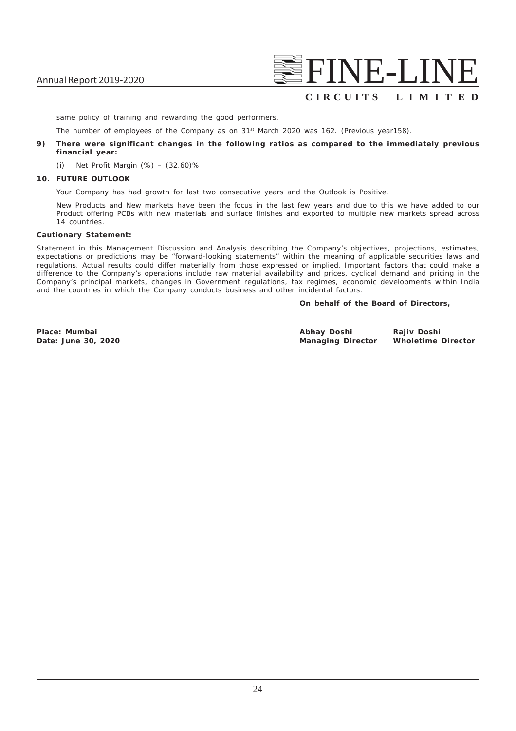# **CIRCUITS LIMITED**

same policy of training and rewarding the good performers.

The number of employees of the Company as on 31<sup>st</sup> March 2020 was 162. (Previous year158).

**9) There were significant changes in the following ratios as compared to the immediately previous financial year:**

(i) Net Profit Margin (%) – (32.60)%

# **10. FUTURE OUTLOOK**

Your Company has had growth for last two consecutive years and the Outlook is Positive.

New Products and New markets have been the focus in the last few years and due to this we have added to our Product offering PCBs with new materials and surface finishes and exported to multiple new markets spread across 14 countries.

# **Cautionary Statement:**

Statement in this Management Discussion and Analysis describing the Company's objectives, projections, estimates, expectations or predictions may be "forward-looking statements" within the meaning of applicable securities laws and regulations. Actual results could differ materially from those expressed or implied. Important factors that could make a difference to the Company's operations include raw material availability and prices, cyclical demand and pricing in the Company's principal markets, changes in Government regulations, tax regimes, economic developments within India and the countries in which the Company conducts business and other incidental factors.

# **On behalf of the Board of Directors,**

**Place: Mumbai Abhay Doshi Rajiv Doshi Managing Director Wholetime Director**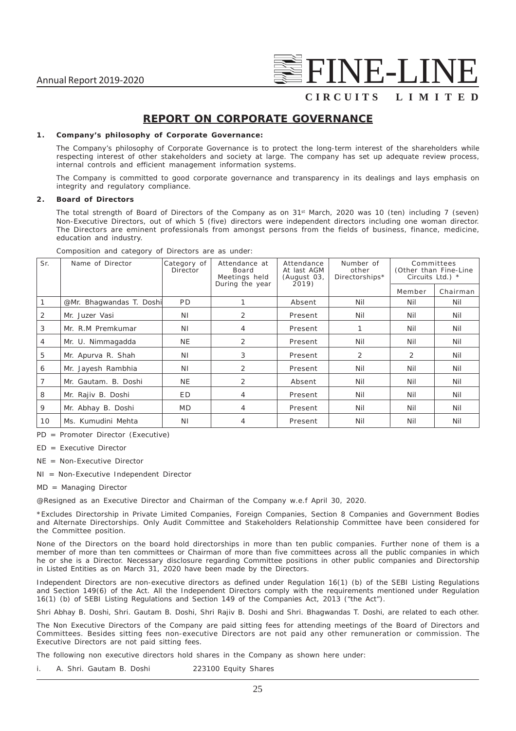# **CIRCUITS LIMITED**

# **REPORT ON CORPORATE GOVERNANCE**

## **1. Company's philosophy of Corporate Governance:**

The Company's philosophy of Corporate Governance is to protect the long-term interest of the shareholders while respecting interest of other stakeholders and society at large. The company has set up adequate review process, internal controls and efficient management information systems.

The Company is committed to good corporate governance and transparency in its dealings and lays emphasis on integrity and regulatory compliance.

### **2. Board of Directors**

The total strength of Board of Directors of the Company as on 31<sup>st</sup> March, 2020 was 10 (ten) including 7 (seven) Non-Executive Directors, out of which 5 (five) directors were independent directors including one woman director. The Directors are eminent professionals from amongst persons from the fields of business, finance, medicine, education and industry.

| Sr.            | Name of Director         | Category of<br><b>Director</b> | Attendance at<br>Board<br>Meetings held<br>During the year | Attendance<br>Number of<br>At last AGM<br>other<br>Directorships*<br>(August 03,<br>2019) |     | Committees<br>(Other than Fine-Line<br>Circuits Ltd.) * |          |
|----------------|--------------------------|--------------------------------|------------------------------------------------------------|-------------------------------------------------------------------------------------------|-----|---------------------------------------------------------|----------|
|                |                          |                                |                                                            |                                                                                           |     | Member                                                  | Chairman |
|                | @Mr. Bhagwandas T. Doshi | <b>PD</b>                      |                                                            | Absent                                                                                    | Nil | Nil                                                     | Nil      |
| 2              | Mr. Juzer Vasi           | ΝI                             | 2                                                          | Present                                                                                   | Nil | Nil                                                     | Nil      |
| 3              | Mr. R.M Premkumar        | N <sub>1</sub>                 | 4                                                          | Present                                                                                   | 1   | Nil                                                     | Nil      |
| $\overline{4}$ | Mr. U. Nimmagadda        | NE                             | 2                                                          | Present                                                                                   | Nil | Nil                                                     | Nil      |
| 5              | Mr. Apurva R. Shah       | N1                             | 3                                                          | Present                                                                                   | 2   | 2                                                       | Nil      |
| 6              | Mr. Jayesh Rambhia       | N1                             | 2                                                          | Present                                                                                   | Nil | Nil                                                     | Nil      |
| $\overline{7}$ | Mr. Gautam. B. Doshi     | NE                             | 2                                                          | Absent                                                                                    | Nil | Nil                                                     | Nil      |
| 8              | Mr. Rajiv B. Doshi       | ED                             | 4                                                          | Present                                                                                   | Nil | Nil                                                     | Nil      |
| 9              | Mr. Abhay B. Doshi       | <b>MD</b>                      | 4                                                          | Present                                                                                   | Nil | Nil                                                     | Nil      |
| 10             | Ms. Kumudini Mehta       | ΝI                             | 4                                                          | Present                                                                                   | Nil | Nil                                                     | Nil      |

Composition and category of Directors are as under:

PD = Promoter Director (Executive)

ED = Executive Director

NE = Non-Executive Director

- NI = Non-Executive Independent Director
- MD = Managing Director

@Resigned as an Executive Director and Chairman of the Company w.e.f April 30, 2020.

\*Excludes Directorship in Private Limited Companies, Foreign Companies, Section 8 Companies and Government Bodies and Alternate Directorships. Only Audit Committee and Stakeholders Relationship Committee have been considered for the Committee position.

None of the Directors on the board hold directorships in more than ten public companies. Further none of them is a member of more than ten committees or Chairman of more than five committees across all the public companies in which he or she is a Director. Necessary disclosure regarding Committee positions in other public companies and Directorship in Listed Entities as on March 31, 2020 have been made by the Directors.

Independent Directors are non-executive directors as defined under Regulation 16(1) (b) of the SEBI Listing Regulations and Section 149(6) of the Act. All the Independent Directors comply with the requirements mentioned under Regulation 16(1) (b) of SEBI Listing Regulations and Section 149 of the Companies Act, 2013 ("the Act").

Shri Abhay B. Doshi, Shri. Gautam B. Doshi, Shri Rajiv B. Doshi and Shri. Bhagwandas T. Doshi, are related to each other.

The Non Executive Directors of the Company are paid sitting fees for attending meetings of the Board of Directors and Committees. Besides sitting fees non-executive Directors are not paid any other remuneration or commission. The Executive Directors are not paid sitting fees.

The following non executive directors hold shares in the Company as shown here under:

i. A. Shri. Gautam B. Doshi 223100 Equity Shares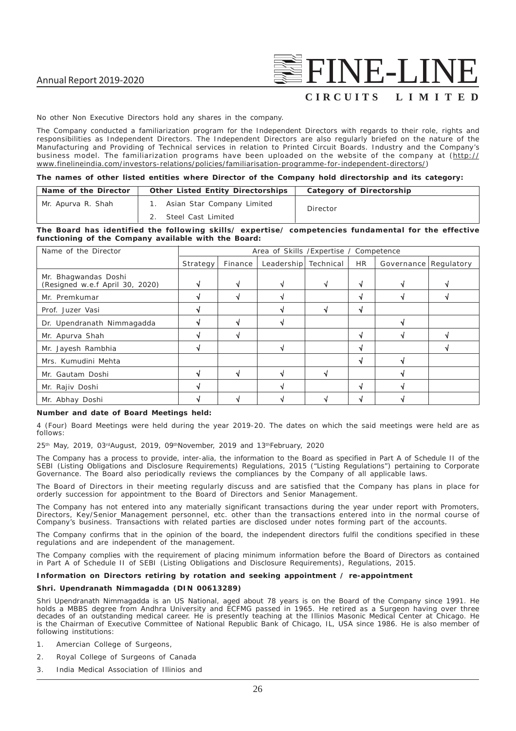

No other Non Executive Directors hold any shares in the company.

The Company conducted a familiarization program for the Independent Directors with regards to their role, rights and responsibilities as Independent Directors. The Independent Directors are also regularly briefed on the nature of the Manufacturing and Providing of Technical services in relation to Printed Circuit Boards. Industry and the Company's business model. The familiarization programs have been uploaded on the website of the company at (http:// www.finelineindia.com/investors-relations/policies/familiarisation-programme-for-independent-directors/)

#### **The names of other listed entities where Director of the Company hold directorship and its category:**

| Name of the Director | <b>Other Listed Entity Directorships</b> | Category of Directorship |
|----------------------|------------------------------------------|--------------------------|
| ' Mr. Apurva R. Shah | Asian Star Company Limited               | Director                 |
|                      | Steel Cast Limited                       |                          |

#### **The Board has identified the following skills/ expertise/ competencies fundamental for the effective functioning of the Company available with the Board:**

| Name of the Director                                    | Area of Skills / Expertise / Competence |         |            |           |           |            |            |
|---------------------------------------------------------|-----------------------------------------|---------|------------|-----------|-----------|------------|------------|
|                                                         | Strategy                                | Finance | Leadership | Technical | <b>HR</b> | Governance | Regulatory |
| Mr. Bhagwandas Doshi<br>(Resigned w.e.f April 30, 2020) |                                         |         |            |           | N         |            |            |
| Mr. Premkumar                                           |                                         |         |            |           | N         |            |            |
| Prof. Juzer Vasi                                        |                                         |         |            |           | N         |            |            |
| Dr. Upendranath Nimmagadda                              |                                         |         |            |           |           |            |            |
| Mr. Apurva Shah                                         |                                         |         |            |           | N         |            |            |
| Mr. Jayesh Rambhia                                      |                                         |         |            |           | N         |            |            |
| Mrs. Kumudini Mehta                                     |                                         |         |            |           | N         |            |            |
| Mr. Gautam Doshi                                        |                                         |         |            |           |           |            |            |
| Mr. Rajiv Doshi                                         |                                         |         |            |           | N         |            |            |
| Mr. Abhay Doshi                                         |                                         |         |            |           |           |            |            |

# **Number and date of Board Meetings held:**

4 (Four) Board Meetings were held during the year 2019-20. The dates on which the said meetings were held are as follows:

25th May, 2019, 03rdAugust, 2019, 09thNovember, 2019 and 13thFebruary, 2020

The Company has a process to provide, inter-alia, the information to the Board as specified in Part A of Schedule II of the SEBI (Listing Obligations and Disclosure Requirements) Regulations, 2015 ("Listing Regulations") pertaining to Corporate Governance. The Board also periodically reviews the compliances by the Company of all applicable laws.

The Board of Directors in their meeting regularly discuss and are satisfied that the Company has plans in place for orderly succession for appointment to the Board of Directors and Senior Management.

The Company has not entered into any materially significant transactions during the year under report with Promoters, Directors, Key/Senior Management personnel, etc. other than the transactions entered into in the normal course of Company's business. Transactions with related parties are disclosed under notes forming part of the accounts.

The Company confirms that in the opinion of the board, the independent directors fulfil the conditions specified in these regulations and are independent of the management.

The Company complies with the requirement of placing minimum information before the Board of Directors as contained in Part A of Schedule II of SEBI (Listing Obligations and Disclosure Requirements), Regulations, 2015.

# **Information on Directors retiring by rotation and seeking appointment / re-appointment**

## **Shri. Upendranath Nimmagadda (DIN 00613289)**

Shri Upendranath Nimmagadda is an US National, aged about 78 years is on the Board of the Company since 1991. He holds a MBBS degree from Andhra University and ECFMG passed in 1965. He retired as a Surgeon having over three decades of an outstanding medical career. He is presently teaching at the Illinios Masonic Medical Center at Chicago. He is the Chairman of Executive Committee of National Republic Bank of Chicago, IL, USA since 1986. He is also member of following institutions:

- 1. Amercian College of Surgeons,
- 2. Royal College of Surgeons of Canada
- 3. India Medical Association of Illinios and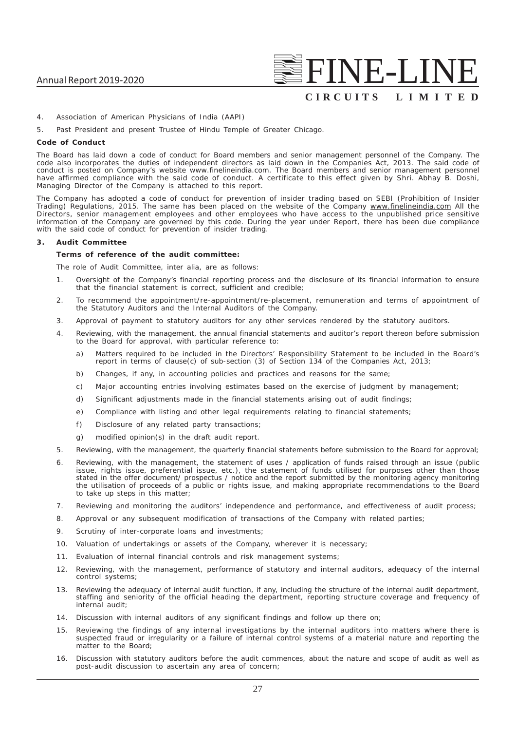# Annual Report 2019-2020  $\blacksquare$

# **CIRCUITS LIMITED**

- 4. Association of American Physicians of India (AAPI)
- 5. Past President and present Trustee of Hindu Temple of Greater Chicago.

## **Code of Conduct**

The Board has laid down a code of conduct for Board members and senior management personnel of the Company. The code also incorporates the duties of independent directors as laid down in the Companies Act, 2013. The said code of conduct is posted on Company's website www.finelineindia.com. The Board members and senior management personnel have affirmed compliance with the said code of conduct. A certificate to this effect given by Shri. Abhay B. Doshi, Managing Director of the Company is attached to this report.

The Company has adopted a code of conduct for prevention of insider trading based on SEBI (Prohibition of Insider Trading) Regulations, 2015. The same has been placed on the website of the Company www.finelineindia.com All the Directors, senior management employees and other employees who have access to the unpublished price sensitive information of the Company are governed by this code. During the year under Report, there has been due compliance with the said code of conduct for prevention of insider trading.

# **3. Audit Committee**

### **Terms of reference of the audit committee:**

The role of Audit Committee, inter alia, are as follows:

- 1. Oversight of the Company's financial reporting process and the disclosure of its financial information to ensure that the financial statement is correct, sufficient and credible;
- 2. To recommend the appointment/re-appointment/re-placement, remuneration and terms of appointment of the Statutory Auditors and the Internal Auditors of the Company.
- 3. Approval of payment to statutory auditors for any other services rendered by the statutory auditors.
- 4. Reviewing, with the management, the annual financial statements and auditor's report thereon before submission to the Board for approval, with particular reference to:
	- a) Matters required to be included in the Directors' Responsibility Statement to be included in the Board's report in terms of clause(c) of sub-section (3) of Section 134 of the Companies Act, 2013;
	- b) Changes, if any, in accounting policies and practices and reasons for the same;
	- c) Major accounting entries involving estimates based on the exercise of judgment by management;
	- d) Significant adjustments made in the financial statements arising out of audit findings;
	- e) Compliance with listing and other legal requirements relating to financial statements;
	- f) Disclosure of any related party transactions;
	- g) modified opinion(s) in the draft audit report.
- 5. Reviewing, with the management, the quarterly financial statements before submission to the Board for approval;
- 6. Reviewing, with the management, the statement of uses / application of funds raised through an issue (public issue, rights issue, preferential issue, etc.), the statement of funds utilised for purposes other than those stated in the offer document/ prospectus / notice and the report submitted by the monitoring agency monitoring the utilisation of proceeds of a public or rights issue, and making appropriate recommendations to the Board to take up steps in this matter;
- 7. Reviewing and monitoring the auditors' independence and performance, and effectiveness of audit process;
- 8. Approval or any subsequent modification of transactions of the Company with related parties;
- 9. Scrutiny of inter-corporate loans and investments;
- 10. Valuation of undertakings or assets of the Company, wherever it is necessary;
- 11. Evaluation of internal financial controls and risk management systems;
- 12. Reviewing, with the management, performance of statutory and internal auditors, adequacy of the internal control systems;
- 13. Reviewing the adequacy of internal audit function, if any, including the structure of the internal audit department, staffing and seniority of the official heading the department, reporting structure coverage and frequency of internal audit;
- 14. Discussion with internal auditors of any significant findings and follow up there on;
- 15. Reviewing the findings of any internal investigations by the internal auditors into matters where there is suspected fraud or irregularity or a failure of internal control systems of a material nature and reporting the matter to the Board;
- 16. Discussion with statutory auditors before the audit commences, about the nature and scope of audit as well as post-audit discussion to ascertain any area of concern;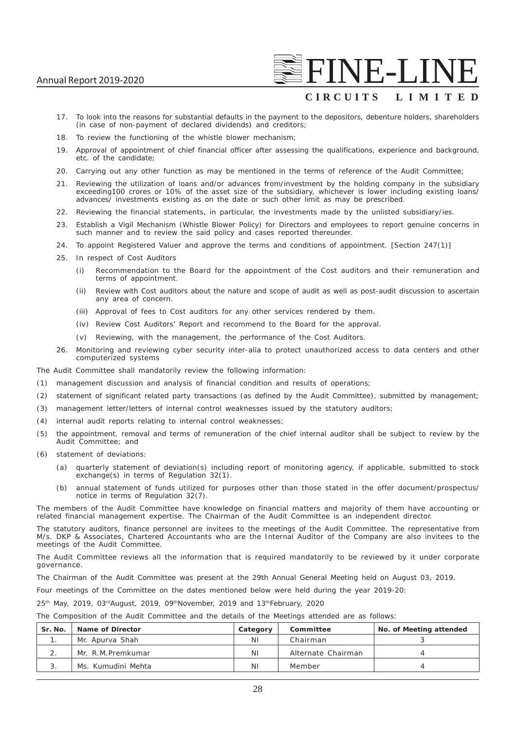# **CIRCUITS LIMITED**

- 17. To look into the reasons for substantial defaults in the payment to the depositors, debenture holders, shareholders (in case of non-payment of declared dividends) and creditors;
- 18. To review the functioning of the whistle blower mechanism;
- 19. Approval of appointment of chief financial officer after assessing the qualifications, experience and background, etc. of the candidate;
- 20. Carrying out any other function as may be mentioned in the terms of reference of the Audit Committee;
- 21. Reviewing the utilization of loans and/or advances from/investment by the holding company in the subsidiary exceeding100 crores or 10% of the asset size of the subsidiary, whichever is lower including existing loans/ advances/ investments existing as on the date or such other limit as may be prescribed.
- 22. Reviewing the financial statements, in particular, the investments made by the unlisted subsidiary/ies.
- 23. Establish a Vigil Mechanism (Whistle Blower Policy) for Directors and employees to report genuine concerns in such manner and to review the said policy and cases reported thereunder.
- 24. To appoint Registered Valuer and approve the terms and conditions of appointment. [Section 247(1)]
- 25. In respect of Cost Auditors
	- (i) Recommendation to the Board for the appointment of the Cost auditors and their remuneration and terms of appointment.
	- (ii) Review with Cost auditors about the nature and scope of audit as well as post-audit discussion to ascertain any area of concern.
	- (iii) Approval of fees to Cost auditors for any other services rendered by them.
	- (iv) Review Cost Auditors' Report and recommend to the Board for the approval.
	- (v) Reviewing, with the management, the performance of the Cost Auditors.
- 26. Monitoring and reviewing cyber security inter-alia to protect unauthorized access to data centers and other computerized systems

The Audit Committee shall mandatorily review the following information:

- (1) management discussion and analysis of financial condition and results of operations;
- (2) statement of significant related party transactions (as defined by the Audit Committee), submitted by management;
- (3) management letter/letters of internal control weaknesses issued by the statutory auditors;
- (4) internal audit reports relating to internal control weaknesses;
- (5) the appointment, removal and terms of remuneration of the chief internal auditor shall be subject to review by the Audit Committee; and
- (6) statement of deviations:
	- (a) quarterly statement of deviation(s) including report of monitoring agency, if applicable, submitted to stock exchange(s) in terms of Regulation 32(1).
	- (b) annual statement of funds utilized for purposes other than those stated in the offer document/prospectus/ notice in terms of Regulation 32(7).

The members of the Audit Committee have knowledge on financial matters and majority of them have accounting or related financial management expertise. The Chairman of the Audit Committee is an independent director.

The statutory auditors, finance personnel are invitees to the meetings of the Audit Committee. The representative from M/s. DKP & Associates, Chartered Accountants who are the Internal Auditor of the Company are also invitees to the meetings of the Audit Committee.

The Audit Committee reviews all the information that is required mandatorily to be reviewed by it under corporate governance.

The Chairman of the Audit Committee was present at the 29th Annual General Meeting held on August 03, 2019.

Four meetings of the Committee on the dates mentioned below were held during the year 2019-20:

25<sup>th</sup> May, 2019, 03<sup>rd</sup>August, 2019, 09<sup>th</sup>November, 2019 and 13<sup>th</sup>February, 2020

The Composition of the Audit Committee and the details of the Meetings attended are as follows:

| Sr. No. | Name of Director   | Category | Committee          | No. of Meeting attended |
|---------|--------------------|----------|--------------------|-------------------------|
|         | Mr. Apurva Shah    | ΝI       | Chairman           |                         |
|         | Mr. R.M.Premkumar  | ΝI       | Alternate Chairman |                         |
| 3.      | Ms. Kumudini Mehta | ΝI       | Member             |                         |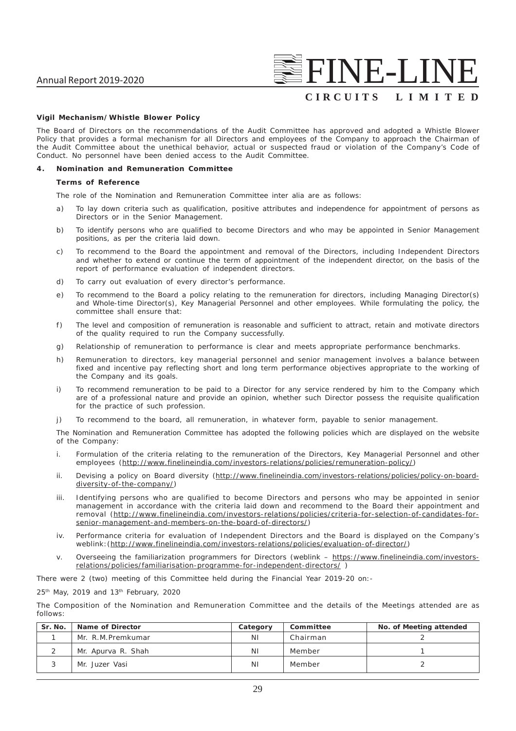# **CIRCUITS LIMITED**

# **Vigil Mechanism/Whistle Blower Policy**

The Board of Directors on the recommendations of the Audit Committee has approved and adopted a Whistle Blower Policy that provides a formal mechanism for all Directors and employees of the Company to approach the Chairman of the Audit Committee about the unethical behavior, actual or suspected fraud or violation of the Company's Code of Conduct. No personnel have been denied access to the Audit Committee.

# **4. Nomination and Remuneration Committee**

## **Terms of Reference**

The role of the Nomination and Remuneration Committee inter alia are as follows:

- a) To lay down criteria such as qualification, positive attributes and independence for appointment of persons as Directors or in the Senior Management.
- b) To identify persons who are qualified to become Directors and who may be appointed in Senior Management positions, as per the criteria laid down.
- c) To recommend to the Board the appointment and removal of the Directors, including Independent Directors and whether to extend or continue the term of appointment of the independent director, on the basis of the report of performance evaluation of independent directors.
- d) To carry out evaluation of every director's performance.
- e) To recommend to the Board a policy relating to the remuneration for directors, including Managing Director(s) and Whole-time Director(s), Key Managerial Personnel and other employees. While formulating the policy, the committee shall ensure that:
- f ) The level and composition of remuneration is reasonable and sufficient to attract, retain and motivate directors of the quality required to run the Company successfully.
- g) Relationship of remuneration to performance is clear and meets appropriate performance benchmarks.
- h) Remuneration to directors, key managerial personnel and senior management involves a balance between fixed and incentive pay reflecting short and long term performance objectives appropriate to the working of the Company and its goals.
- i) To recommend remuneration to be paid to a Director for any service rendered by him to the Company which are of a professional nature and provide an opinion, whether such Director possess the requisite qualification for the practice of such profession.
- j) To recommend to the board, all remuneration, in whatever form, payable to senior management.

The Nomination and Remuneration Committee has adopted the following policies which are displayed on the website of the Company:

- i. Formulation of the criteria relating to the remuneration of the Directors, Key Managerial Personnel and other employees (http://www.finelineindia.com/investors-relations/policies/remuneration-policy/)
- ii. Devising a policy on Board diversity (http://www.finelineindia.com/investors-relations/policies/policy-on-boarddiversity-of-the-company/)
- iii. Identifying persons who are qualified to become Directors and persons who may be appointed in senior management in accordance with the criteria laid down and recommend to the Board their appointment and removal (http://www.finelineindia.com/investors-relations/policies/criteria-for-selection-of-candidates-forsenior-management-and-members-on-the-board-of-directors/)
- iv. Performance criteria for evaluation of Independent Directors and the Board is displayed on the Company's weblink:(http://www.finelineindia.com/investors-relations/policies/evaluation-of-director/)
- v. Overseeing the familiarization programmers for Directors (weblink https://www.finelineindia.com/investorsrelations/policies/familiarisation-programme-for-independent-directors/ )

There were 2 (two) meeting of this Committee held during the Financial Year 2019-20 on:-

25<sup>th</sup> May, 2019 and 13<sup>th</sup> February, 2020

The Composition of the Nomination and Remuneration Committee and the details of the Meetings attended are as follows:

| Sr. No. | Name of Director   | Category | Committee | No. of Meeting attended |
|---------|--------------------|----------|-----------|-------------------------|
|         | Mr. R.M.Premkumar  | ΝI       | Chairman  |                         |
|         | Mr. Apurva R. Shah | ΝI       | Member    |                         |
|         | Mr. Juzer Vasi     | ΝI       | Member    |                         |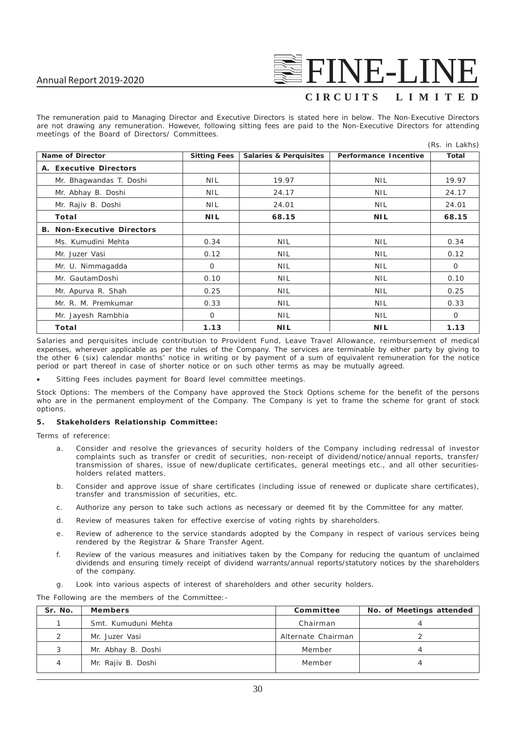# **CIRCUITS LIMITED**

 $(n<sub>2</sub> - 1)$  in Lakhson

The remuneration paid to Managing Director and Executive Directors is stated here in below. The Non-Executive Directors are not drawing any remuneration. However, following sitting fees are paid to the Non-Executive Directors for attending meetings of the Board of Directors/ Committees.

|                                   |                     |                                   |                       | (RS. IN LAKNS) |
|-----------------------------------|---------------------|-----------------------------------|-----------------------|----------------|
| Name of Director                  | <b>Sitting Fees</b> | <b>Salaries &amp; Perquisites</b> | Performance Incentive | Total          |
| A. Executive Directors            |                     |                                   |                       |                |
| Mr. Bhagwandas T. Doshi           | <b>NIL</b>          | 19.97                             | <b>NIL</b>            | 19.97          |
| Mr. Abhay B. Doshi                | <b>NIL</b>          | 24.17                             | <b>NIL</b>            | 24.17          |
| Mr. Rajiv B. Doshi                | <b>NIL</b>          | 24.01                             | <b>NIL</b>            | 24.01          |
| Total                             | <b>NIL</b>          | 68.15                             | <b>NIL</b>            | 68.15          |
| <b>B.</b> Non-Executive Directors |                     |                                   |                       |                |
| Ms. Kumudini Mehta                | 0.34                | <b>NIL</b>                        | <b>NIL</b>            | 0.34           |
| Mr. Juzer Vasi                    | 0.12                | <b>NIL</b>                        | <b>NIL</b>            | 0.12           |
| Mr. U. Nimmagadda                 | $\Omega$            | <b>NIL</b>                        | <b>NIL</b>            | $\Omega$       |
| Mr. GautamDoshi                   | 0.10                | <b>NIL</b>                        | <b>NIL</b>            | 0.10           |
| Mr. Apurva R. Shah                | 0.25                | <b>NIL</b>                        | <b>NIL</b>            | 0.25           |
| Mr. R. M. Premkumar               | 0.33                | <b>NIL</b>                        | <b>NIL</b>            | 0.33           |
| Mr. Jayesh Rambhia                | $\Omega$            | <b>NIL</b>                        | <b>NIL</b>            | $\mathbf 0$    |
| Total                             | 1.13                | <b>NIL</b>                        | <b>NIL</b>            | 1.13           |

Salaries and perquisites include contribution to Provident Fund, Leave Travel Allowance, reimbursement of medical expenses, wherever applicable as per the rules of the Company. The services are terminable by either party by giving to the other 6 (six) calendar months' notice in writing or by payment of a sum of equivalent remuneration for the notice period or part thereof in case of shorter notice or on such other terms as may be mutually agreed.

Sitting Fees includes payment for Board level committee meetings.

Stock Options: The members of the Company have approved the Stock Options scheme for the benefit of the persons who are in the permanent employment of the Company. The Company is yet to frame the scheme for grant of stock options.

## **5. Stakeholders Relationship Committee:**

Terms of reference:

- a. Consider and resolve the grievances of security holders of the Company including redressal of investor complaints such as transfer or credit of securities, non-receipt of dividend/notice/annual reports, transfer/ transmission of shares, issue of new/duplicate certificates, general meetings etc., and all other securitiesholders related matters.
- b. Consider and approve issue of share certificates (including issue of renewed or duplicate share certificates), transfer and transmission of securities, etc.
- c. Authorize any person to take such actions as necessary or deemed fit by the Committee for any matter.
- d. Review of measures taken for effective exercise of voting rights by shareholders.
- e. Review of adherence to the service standards adopted by the Company in respect of various services being rendered by the Registrar & Share Transfer Agent.
- f. Review of the various measures and initiatives taken by the Company for reducing the quantum of unclaimed dividends and ensuring timely receipt of dividend warrants/annual reports/statutory notices by the shareholders of the company.
- g. Look into various aspects of interest of shareholders and other security holders.

The Following are the members of the Committee:-

| Sr. No. | <b>Members</b>      | Committee          | No. of Meetings attended |
|---------|---------------------|--------------------|--------------------------|
|         | Smt. Kumuduni Mehta | Chairman           |                          |
|         | Mr. Juzer Vasi      | Alternate Chairman |                          |
|         | Mr. Abhay B. Doshi  | Member             |                          |
|         | Mr. Rajiv B. Doshi  | Member             |                          |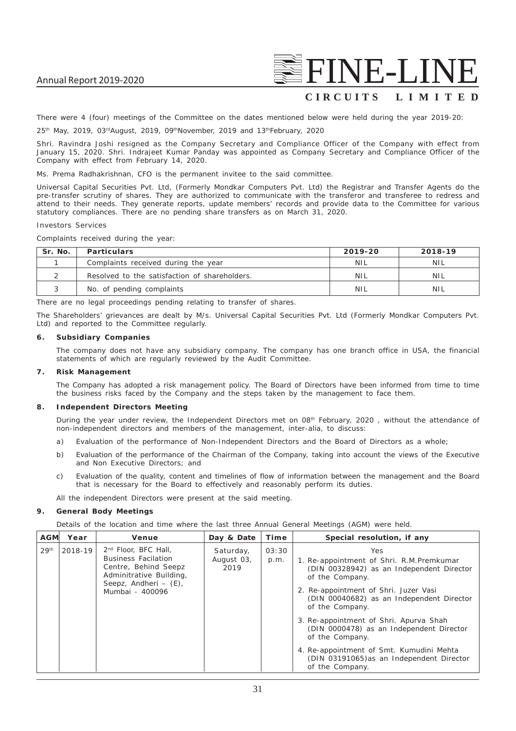# Annual Report 2019-2020 **FINE-LINE CIRCUITS LIMITED**

# There were 4 (four) meetings of the Committee on the dates mentioned below were held during the year 2019-20:

25th May, 2019, 03rdAugust, 2019, 09thNovember, 2019 and 13thFebruary, 2020

Shri. Ravindra Joshi resigned as the Company Secretary and Compliance Officer of the Company with effect from January 15, 2020. Shri. Indrajeet Kumar Panday was appointed as Company Secretary and Compliance Officer of the Company with effect from February 14, 2020.

Ms. Prema Radhakrishnan, CFO is the permanent invitee to the said committee.

Universal Capital Securities Pvt. Ltd, (Formerly Mondkar Computers Pvt. Ltd) the Registrar and Transfer Agents do the pre-transfer scrutiny of shares. They are authorized to communicate with the transferor and transferee to redress and attend to their needs. They generate reports, update members' records and provide data to the Committee for various statutory compliances. There are no pending share transfers as on March 31, 2020.

Investors Services

Complaints received during the year:

| Sr. No. | <b>Particulars</b>                            | 2019-20    | 2018-19    |
|---------|-----------------------------------------------|------------|------------|
|         | Complaints received during the year           | <b>NIL</b> | <b>NIL</b> |
|         | Resolved to the satisfaction of shareholders. | NIL        | NIL        |
|         | No. of pending complaints                     | NIL        | NIL        |

There are no legal proceedings pending relating to transfer of shares.

The Shareholders' grievances are dealt by M/s. Universal Capital Securities Pvt. Ltd (Formerly Mondkar Computers Pvt. Ltd) and reported to the Committee regularly.

# **6. Subsidiary Companies**

The company does not have any subsidiary company. The company has one branch office in USA, the financial statements of which are regularly reviewed by the Audit Committee.

#### **7. Risk Management**

The Company has adopted a risk management policy. The Board of Directors have been informed from time to time the business risks faced by the Company and the steps taken by the management to face them.

## **8. Independent Directors Meeting**

During the year under review, the Independent Directors met on 08<sup>th</sup> February, 2020, without the attendance of non-independent directors and members of the management, inter-alia, to discuss:

- a) Evaluation of the performance of Non-Independent Directors and the Board of Directors as a whole;
- b) Evaluation of the performance of the Chairman of the Company, taking into account the views of the Executive and Non Executive Directors; and
- c) Evaluation of the quality, content and timelines of flow of information between the management and the Board that is necessary for the Board to effectively and reasonably perform its duties.

All the independent Directors were present at the said meeting.

#### **9. General Body Meetings**

Details of the location and time where the last three Annual General Meetings (AGM) were held.

| <b>AGM</b>       | Year    | Venue                                                                                                                                                           | Day & Date                      | <b>Time</b>   | Special resolution, if any                                                                                                                                                                                                                                                                                                                                                                                                                    |
|------------------|---------|-----------------------------------------------------------------------------------------------------------------------------------------------------------------|---------------------------------|---------------|-----------------------------------------------------------------------------------------------------------------------------------------------------------------------------------------------------------------------------------------------------------------------------------------------------------------------------------------------------------------------------------------------------------------------------------------------|
| 29 <sup>th</sup> | 2018-19 | 2 <sup>nd</sup> Floor, BFC Hall,<br><b>Business Facilation</b><br>Centre, Behind Seepz<br>Adminitrative Building,<br>Seepz, Andheri $-$ (E),<br>Mumbai - 400096 | Saturday,<br>August 03,<br>2019 | 03:30<br>p.m. | Yes<br>1. Re-appointment of Shri. R.M.Premkumar<br>(DIN 00328942) as an Independent Director<br>of the Company.<br>2. Re-appointment of Shri. Juzer Vasi<br>(DIN 00040682) as an Independent Director<br>of the Company.<br>3. Re-appointment of Shri. Apurva Shah<br>(DIN 0000478) as an Independent Director<br>of the Company.<br>4. Re-appointment of Smt. Kumudini Mehta<br>(DIN 03191065) as an Independent Director<br>of the Company. |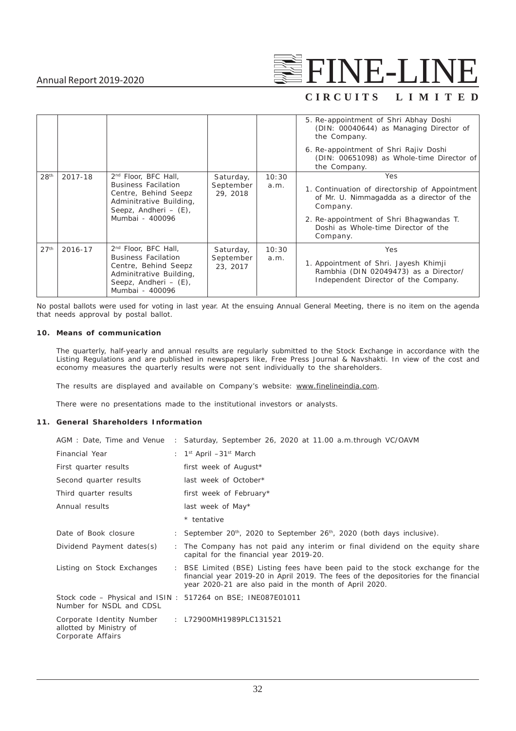# **CIRCUITS LIMITED**

|                  |         |                                                                                                                                                                 |                                    |               | 5. Re-appointment of Shri Abhay Doshi<br>(DIN: 00040644) as Managing Director of<br>the Company.<br>6. Re-appointment of Shri Rajiv Doshi<br>(DIN: 00651098) as Whole-time Director of<br>the Company.       |
|------------------|---------|-----------------------------------------------------------------------------------------------------------------------------------------------------------------|------------------------------------|---------------|--------------------------------------------------------------------------------------------------------------------------------------------------------------------------------------------------------------|
| 28 <sup>th</sup> | 2017-18 | 2 <sup>nd</sup> Floor, BFC Hall,<br><b>Business Facilation</b><br>Centre, Behind Seepz<br>Adminitrative Building,<br>Seepz, Andheri $-$ (E),<br>Mumbai - 400096 | Saturday,<br>September<br>29, 2018 | 10:30<br>a.m. | Yes<br>1. Continuation of directorship of Appointment<br>of Mr. U. Nimmagadda as a director of the<br>Company.<br>2. Re-appointment of Shri Bhagwandas T.<br>Doshi as Whole-time Director of the<br>Company. |
| 27 <sup>th</sup> | 2016-17 | 2 <sup>nd</sup> Floor, BFC Hall,<br><b>Business Facilation</b><br>Centre, Behind Seepz<br>Adminitrative Building,<br>Seepz, Andheri $-$ (E),<br>Mumbai - 400096 | Saturday,<br>September<br>23, 2017 | 10:30<br>a.m. | Yes<br>1. Appointment of Shri. Jayesh Khimji<br>Rambhia (DIN 02049473) as a Director/<br>Independent Director of the Company.                                                                                |

No postal ballots were used for voting in last year. At the ensuing Annual General Meeting, there is no item on the agenda that needs approval by postal ballot.

# **10. Means of communication**

The quarterly, half-yearly and annual results are regularly submitted to the Stock Exchange in accordance with the Listing Regulations and are published in newspapers like, Free Press Journal & Navshakti. In view of the cost and economy measures the quarterly results were not sent individually to the shareholders.

The results are displayed and available on Company's website: www.finelineindia.com.

There were no presentations made to the institutional investors or analysts.

# **11. General Shareholders Information**

|                                                                           | AGM: Date, Time and Venue : Saturday, September 26, 2020 at 11.00 a.m.through VC/OAVM                                                                                                                                         |
|---------------------------------------------------------------------------|-------------------------------------------------------------------------------------------------------------------------------------------------------------------------------------------------------------------------------|
| Financial Year                                                            | : $1st$ April $-31st$ March                                                                                                                                                                                                   |
| First quarter results                                                     | first week of August*                                                                                                                                                                                                         |
| Second quarter results                                                    | last week of October*                                                                                                                                                                                                         |
| Third quarter results                                                     | first week of February*                                                                                                                                                                                                       |
| Annual results                                                            | last week of May*                                                                                                                                                                                                             |
|                                                                           | * tentative                                                                                                                                                                                                                   |
| Date of Book closure                                                      | : September 20 <sup>th</sup> , 2020 to September 26 <sup>th</sup> , 2020 (both days inclusive).                                                                                                                               |
| Dividend Payment dates(s)                                                 | : The Company has not paid any interim or final dividend on the equity share<br>capital for the financial year 2019-20.                                                                                                       |
| Listing on Stock Exchanges                                                | BSE Limited (BSE) Listing fees have been paid to the stock exchange for the<br>financial year 2019-20 in April 2019. The fees of the depositories for the financial<br>year 2020-21 are also paid in the month of April 2020. |
| Number for NSDL and CDSL                                                  | Stock code – Physical and ISIN : 517264 on BSE; INE087E01011                                                                                                                                                                  |
| Corporate Identity Number<br>allotted by Ministry of<br>Corporate Affairs | : L72900MH1989PLC131521                                                                                                                                                                                                       |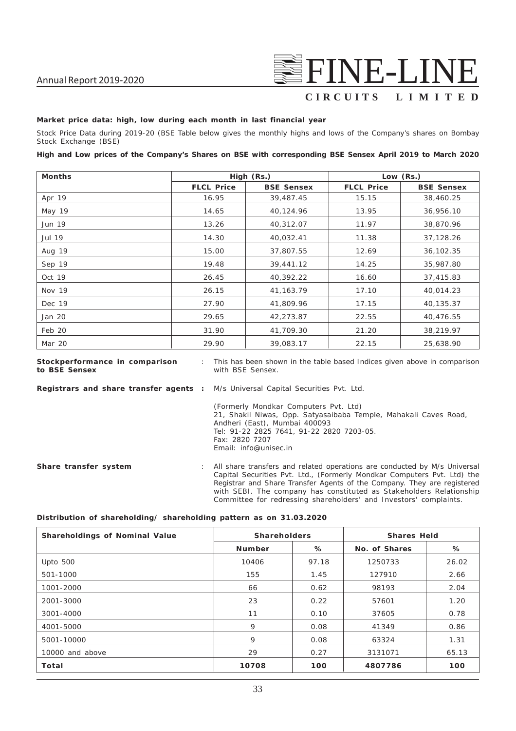

# **Market price data: high, low during each month in last financial year**

Stock Price Data during 2019-20 (BSE Table below gives the monthly highs and lows of the Company's shares on Bombay Stock Exchange (BSE)

**High and Low prices of the Company's Shares on BSE with corresponding BSE Sensex April 2019 to March 2020**

| <b>Months</b> |                   | High (Rs.)        |                   | Low (Rs.)         |
|---------------|-------------------|-------------------|-------------------|-------------------|
|               | <b>FLCL Price</b> | <b>BSE Sensex</b> | <b>FLCL Price</b> | <b>BSE Sensex</b> |
| Apr 19        | 16.95             | 39,487.45         | 15.15             | 38,460.25         |
| May 19        | 14.65             | 40,124.96         | 13.95             | 36,956.10         |
| Jun 19        | 13.26             | 40,312.07         | 11.97             | 38,870.96         |
| Jul 19        | 14.30             | 40,032.41         | 11.38             | 37,128.26         |
| Aug 19        | 15.00             | 37,807.55         | 12.69             | 36,102.35         |
| Sep 19        | 19.48             | 39,441.12         | 14.25             | 35,987.80         |
| Oct 19        | 26.45             | 40,392.22         | 16.60             | 37,415.83         |
| Nov 19        | 26.15             | 41, 163. 79       | 17.10             | 40,014.23         |
| Dec 19        | 27.90             | 41,809.96         | 17.15             | 40,135.37         |
| Jan 20        | 29.65             | 42,273.87         | 22.55             | 40,476.55         |
| Feb 20        | 31.90             | 41,709.30         | 21.20             | 38,219.97         |
| Mar 20        | 29.90             | 39,083.17         | 22.15             | 25,638.90         |

**to BSE Sensex** with BSE Sensex.

**Stockperformance in comparison** : This has been shown in the table based Indices given above in comparison

**Registrars and share transfer agents :** M/s Universal Capital Securities Pvt. Ltd.

(Formerly Mondkar Computers Pvt. Ltd) 21, Shakil Niwas, Opp. Satyasaibaba Temple, Mahakali Caves Road, Andheri (East), Mumbai 400093 Tel: 91-22 2825 7641, 91-22 2820 7203-05. Fax: 2820 7207 Email: info@unisec.in

**Share transfer system** : All share transfers and related operations are conducted by M/s Universal Capital Securities Pvt. Ltd., (Formerly Mondkar Computers Pvt. Ltd) the Registrar and Share Transfer Agents of the Company. They are registered with SEBI. The company has constituted as Stakeholders Relationship Committee for redressing shareholders' and Investors' complaints.

# **Distribution of shareholding/ shareholding pattern as on 31.03.2020**

| Shareholdings of Nominal Value | <b>Shareholders</b> |       | <b>Shares Held</b> |       |  |
|--------------------------------|---------------------|-------|--------------------|-------|--|
|                                | <b>Number</b>       | ℅     | No. of Shares      | ℅     |  |
| <b>Upto 500</b>                | 10406               | 97.18 | 1250733            | 26.02 |  |
| 501-1000                       | 155                 | 1.45  | 127910             | 2.66  |  |
| 1001-2000                      | 66                  | 0.62  | 98193              | 2.04  |  |
| 2001-3000                      | 23                  | 0.22  | 57601              | 1.20  |  |
| 3001-4000                      | 11                  | 0.10  | 37605              | 0.78  |  |
| 4001-5000                      | 9                   | 0.08  | 41349              | 0.86  |  |
| 5001-10000                     | 9                   | 0.08  | 63324              | 1.31  |  |
| 10000 and above                | 29                  | 0.27  | 3131071            | 65.13 |  |
| Total                          | 10708               | 100   | 4807786            | 100   |  |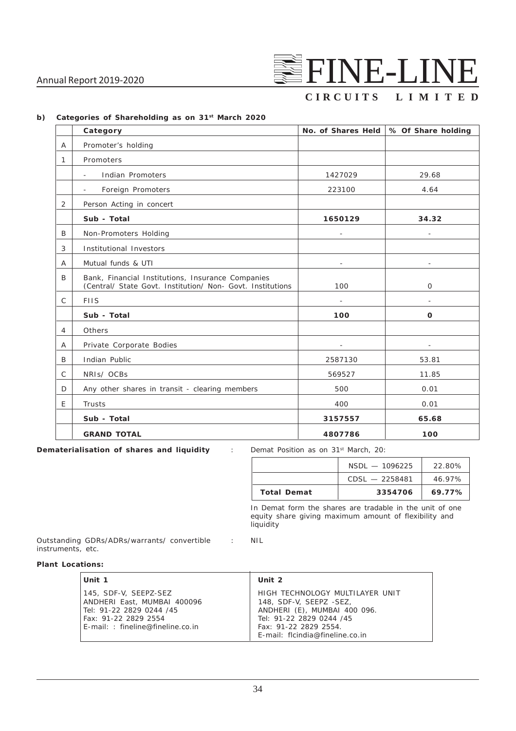# **CIRCUITS LIMITED**

# **b) Categories of Shareholding as on 31st March 2020**

|              | Category                                                                                                        | No. of Shares Held       | % Of Share holding       |
|--------------|-----------------------------------------------------------------------------------------------------------------|--------------------------|--------------------------|
| A            | Promoter's holding                                                                                              |                          |                          |
| 1            | Promoters                                                                                                       |                          |                          |
|              | <b>Indian Promoters</b><br>$\equiv$                                                                             | 1427029                  | 29.68                    |
|              | Foreign Promoters<br>$\sim$                                                                                     | 223100                   | 4.64                     |
| 2            | Person Acting in concert                                                                                        |                          |                          |
|              | Sub - Total                                                                                                     | 1650129                  | 34.32                    |
| B            | Non-Promoters Holding                                                                                           | $\overline{\phantom{a}}$ | $\overline{\phantom{m}}$ |
| 3            | Institutional Investors                                                                                         |                          |                          |
| Α            | Mutual funds & UTI                                                                                              | $\overline{\phantom{a}}$ | $\overline{\phantom{0}}$ |
| B            | Bank, Financial Institutions, Insurance Companies<br>(Central/ State Govt. Institution/ Non- Govt. Institutions | 100                      | $\mathbf{O}$             |
| $\mathsf{C}$ | <b>FIIS</b>                                                                                                     |                          | $\overline{a}$           |
|              | Sub - Total                                                                                                     | 100                      | 0                        |
| 4            | Others                                                                                                          |                          |                          |
| A            | Private Corporate Bodies                                                                                        |                          |                          |
| B            | Indian Public                                                                                                   | 2587130                  | 53.81                    |
| $\mathsf{C}$ | NRIS/ OCBs                                                                                                      | 569527                   | 11.85                    |
| D            | Any other shares in transit - clearing members                                                                  | 500                      | 0.01                     |
| E            | <b>Trusts</b>                                                                                                   | 400                      | 0.01                     |
|              | Sub - Total                                                                                                     | 3157557                  | 65.68                    |
|              | <b>GRAND TOTAL</b>                                                                                              | 4807786                  | 100                      |

**Dematerialisation of shares and liquidity** : Demat Position as on 31<sup>st</sup> March, 20:

|                    | $NSDL - 1096225$ | 22.80% |
|--------------------|------------------|--------|
|                    | $CDSL - 2258481$ | 46.97% |
| <b>Total Demat</b> | 3354706          | 69.77% |

In Demat form the shares are tradable in the unit of one equity share giving maximum amount of flexibility and liquidity

Outstanding GDRs/ADRs/warrants/ convertible : NIL instruments, etc.

# **Plant Locations:**

| Unit 1                                                                                                                                           | Unit 2                                                                                                                                                                             |
|--------------------------------------------------------------------------------------------------------------------------------------------------|------------------------------------------------------------------------------------------------------------------------------------------------------------------------------------|
| 145, SDF-V, SEEPZ-SEZ<br>ANDHERI East, MUMBAI 400096<br>Tel: 91-22 2829 0244 /45<br>Fax: 91-22 2829 2554<br>$E$ -mail: : fineline@fineline.co.in | HIGH TECHNOLOGY MULTILAYER UNIT<br>148, SDF-V, SEEPZ -SEZ,<br>ANDHERI (E), MUMBAI 400 096.<br>Tel: 91-22 2829 0244 /45<br>Fax: 91-22 2829 2554.<br>E-mail: ficindia@fineline.co.in |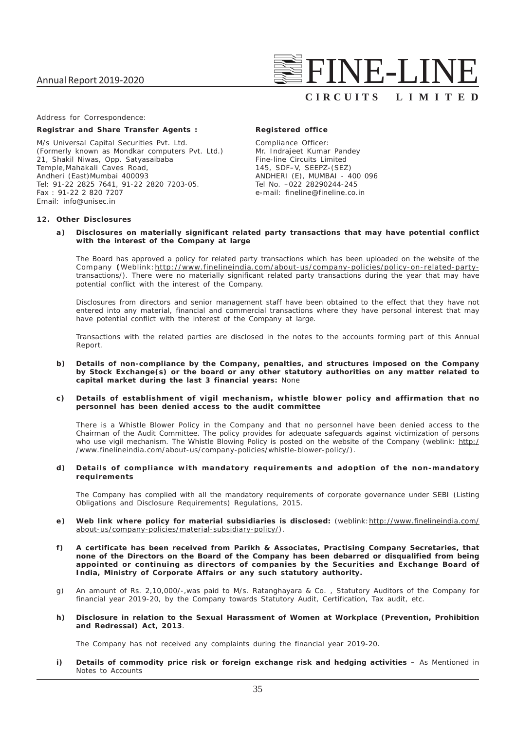

Address for Correspondence:

## **Registrar and Share Transfer Agents :**

M/s Universal Capital Securities Pvt. Ltd. (Formerly known as Mondkar computers Pvt. Ltd.) 21, Shakil Niwas, Opp. Satyasaibaba Temple,Mahakali Caves Road, Andheri (East)Mumbai 400093 Tel: 91-22 2825 7641, 91-22 2820 7203-05. Fax : 91-22 2 820 7207 Email: info@unisec.in

# **Registered office**

Compliance Officer: Mr. Indrajeet Kumar Pandey Fine-line Circuits Limited 145, SDF–V, SEEPZ-(SEZ) ANDHERI (E), MUMBAI - 400 096 Tel No. –022 28290244-245 e-mail: fineline@fineline.co.in

#### **12. Other Disclosures**

## **a) Disclosures on materially significant related party transactions that may have potential conflict with the interest of the Company at large**

The Board has approved a policy for related party transactions which has been uploaded on the website of the Company (Weblink: http://www.finelineindia.com/about-us/company-policies/policy-on-related-partytransactions/). There were no materially significant related party transactions during the year that may have potential conflict with the interest of the Company.

Disclosures from directors and senior management staff have been obtained to the effect that they have not entered into any material, financial and commercial transactions where they have personal interest that may have potential conflict with the interest of the Company at large.

Transactions with the related parties are disclosed in the notes to the accounts forming part of this Annual Report.

- **b) Details of non-compliance by the Company, penalties, and structures imposed on the Company by Stock Exchange(s) or the board or any other statutory authorities on any matter related to capital market during the last 3 financial years:** None
- **c) Details of establishment of vigil mechanism, whistle blower policy and affirmation that no personnel has been denied access to the audit committee**

There is a Whistle Blower Policy in the Company and that no personnel have been denied access to the Chairman of the Audit Committee. The policy provides for adequate safeguards against victimization of persons who use vigil mechanism. The Whistle Blowing Policy is posted on the website of the Company (weblink: http:/ /www.finelineindia.com/about-us/company-policies/whistle-blower-policy/).

### **d) Details of compliance with mandatory requirements and adoption of the non-mandatory requirements**

The Company has complied with all the mandatory requirements of corporate governance under SEBI (Listing Obligations and Disclosure Requirements) Regulations, 2015.

- **e) Web link where policy for material subsidiaries is disclosed:** (weblink:http://www.finelineindia.com/ about-us/company-policies/material-subsidiary-policy/).
- **f) A certificate has been received from Parikh & Associates, Practising Company Secretaries, that none of the Directors on the Board of the Company has been debarred or disqualified from being appointed or continuing as directors of companies by the Securities and Exchange Board of India, Ministry of Corporate Affairs or any such statutory authority.**
- g) An amount of Rs. 2,10,000/-,was paid to M/s. Ratanghayara & Co. , Statutory Auditors of the Company for financial year 2019-20, by the Company towards Statutory Audit, Certification, Tax audit, etc.
- **h) Disclosure in relation to the Sexual Harassment of Women at Workplace (Prevention, Prohibition and Redressal) Act, 2013**.

The Company has not received any complaints during the financial year 2019-20.

**i)** Details of commodity price risk or foreign exchange risk and hedging activities – As Mentioned in Notes to Accounts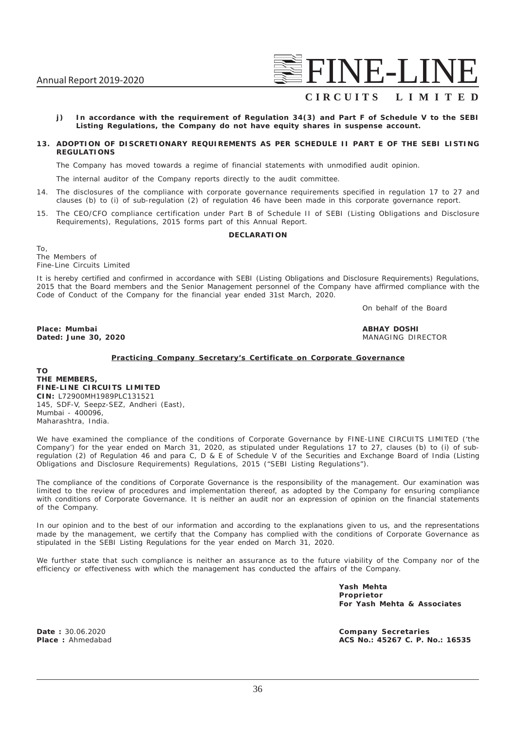# **CIRCUITS LIMITED**

**j) In accordance with the requirement of Regulation 34(3) and Part F of Schedule V to the SEBI Listing Regulations, the Company do not have equity shares in suspense account.**

# **13. ADOPTION OF DISCRETIONARY REQUIREMENTS AS PER SCHEDULE II PART E OF THE SEBI LISTING REGULATIONS**

The Company has moved towards a regime of financial statements with unmodified audit opinion.

The internal auditor of the Company reports directly to the audit committee.

- 14. The disclosures of the compliance with corporate governance requirements specified in regulation 17 to 27 and clauses (b) to (i) of sub-regulation (2) of regulation 46 have been made in this corporate governance report.
- 15. The CEO/CFO compliance certification under Part B of Schedule II of SEBI (Listing Obligations and Disclosure Requirements), Regulations, 2015 forms part of this Annual Report.

# **DECLARATION**

To, The Members of Fine-Line Circuits Limited

It is hereby certified and confirmed in accordance with SEBI (Listing Obligations and Disclosure Requirements) Regulations, 2015 that the Board members and the Senior Management personnel of the Company have affirmed compliance with the Code of Conduct of the Company for the financial year ended 31st March, 2020.

On behalf of the Board

**Place: Mumbai ABHAY DOSHI Dated: June 30, 2020** 

# **Practicing Company Secretary's Certificate on Corporate Governance**

**TO THE MEMBERS, FINE-LINE CIRCUITS LIMITED CIN:** L72900MH1989PLC131521 145, SDF-V, Seepz-SEZ, Andheri (East), Mumbai - 400096, Maharashtra, India.

We have examined the compliance of the conditions of Corporate Governance by FINE-LINE CIRCUITS LIMITED ('the Company') for the year ended on March 31, 2020, as stipulated under Regulations 17 to 27, clauses (b) to (i) of subregulation (2) of Regulation 46 and para C, D & E of Schedule V of the Securities and Exchange Board of India (Listing Obligations and Disclosure Requirements) Regulations, 2015 ("SEBI Listing Regulations").

The compliance of the conditions of Corporate Governance is the responsibility of the management. Our examination was limited to the review of procedures and implementation thereof, as adopted by the Company for ensuring compliance with conditions of Corporate Governance. It is neither an audit nor an expression of opinion on the financial statements of the Company.

In our opinion and to the best of our information and according to the explanations given to us, and the representations made by the management, we certify that the Company has complied with the conditions of Corporate Governance as stipulated in the SEBI Listing Regulations for the year ended on March 31, 2020.

We further state that such compliance is neither an assurance as to the future viability of the Company nor of the efficiency or effectiveness with which the management has conducted the affairs of the Company.

> **Yash Mehta Proprietor For Yash Mehta & Associates**

**Date : 30.06.2020 Company Secretaries**<br> **Place :** Ahmedabad **Company Secretaries**<br> **Place :** Ahmedabad **COMPANY COMPANY ACS No.: 45267 C. P. No.: 45267 C. P. No.: 45267 C. P. No.: 45267 C. P. No.: 45267 C. P. No.: 45267 Place :** Ahmedabad **ACS No.: 45267 C. P. No.: 16535**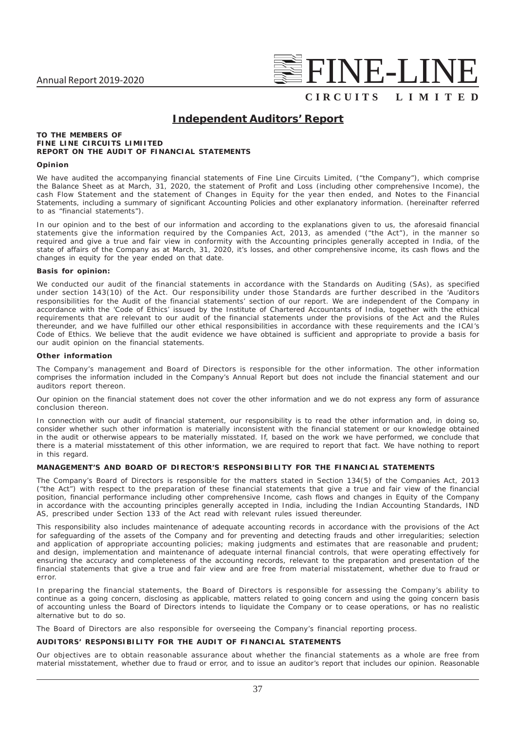Annual Report 2019-2020  $\blacksquare$ 

# **CIRCUITS LIMITED**

# **Independent Auditors' Report**

# **TO THE MEMBERS OF FINE LINE CIRCUITS LIMIITED REPORT ON THE AUDIT OF FINANCIAL STATEMENTS**

### **Opinion**

We have audited the accompanying financial statements of Fine Line Circuits Limited, ("the Company"), which comprise the Balance Sheet as at March, 31, 2020, the statement of Profit and Loss (including other comprehensive Income), the cash Flow Statement and the statement of Changes in Equity for the year then ended, and Notes to the Financial Statements, including a summary of significant Accounting Policies and other explanatory information. (hereinafter referred to as "financial statements").

In our opinion and to the best of our information and according to the explanations given to us, the aforesaid financial statements give the information required by the Companies Act, 2013, as amended ("the Act"), in the manner so required and give a true and fair view in conformity with the Accounting principles generally accepted in India, of the state of affairs of the Company as at March, 31, 2020, it's losses, and other comprehensive income, its cash flows and the changes in equity for the year ended on that date.

# **Basis for opinion:**

We conducted our audit of the financial statements in accordance with the Standards on Auditing (SAs), as specified under section 143(10) of the Act. Our responsibility under those Standards are further described in the 'Auditors responsibilities for the Audit of the financial statements' section of our report. We are independent of the Company in accordance with the 'Code of Ethics' issued by the Institute of Chartered Accountants of India, together with the ethical requirements that are relevant to our audit of the financial statements under the provisions of the Act and the Rules thereunder, and we have fulfilled our other ethical responsibilities in accordance with these requirements and the ICAI's Code of Ethics. We believe that the audit evidence we have obtained is sufficient and appropriate to provide a basis for our audit opinion on the financial statements.

# **Other information**

The Company's management and Board of Directors is responsible for the other information. The other information comprises the information included in the Company's Annual Report but does not include the financial statement and our auditors report thereon.

Our opinion on the financial statement does not cover the other information and we do not express any form of assurance conclusion thereon.

In connection with our audit of financial statement, our responsibility is to read the other information and, in doing so, consider whether such other information is materially inconsistent with the financial statement or our knowledge obtained in the audit or otherwise appears to be materially misstated. If, based on the work we have performed, we conclude that there is a material misstatement of this other information, we are required to report that fact. We have nothing to report in this regard.

# **MANAGEMENT'S AND BOARD OF DIRECTOR'S RESPONSIBILITY FOR THE FINANCIAL STATEMENTS**

The Company's Board of Directors is responsible for the matters stated in Section 134(5) of the Companies Act, 2013 ("the Act") with respect to the preparation of these financial statements that give a true and fair view of the financial position, financial performance including other comprehensive Income, cash flows and changes in Equity of the Company in accordance with the accounting principles generally accepted in India, including the Indian Accounting Standards, IND AS, prescribed under Section 133 of the Act read with relevant rules issued thereunder.

This responsibility also includes maintenance of adequate accounting records in accordance with the provisions of the Act for safeguarding of the assets of the Company and for preventing and detecting frauds and other irregularities; selection and application of appropriate accounting policies; making judgments and estimates that are reasonable and prudent; and design, implementation and maintenance of adequate internal financial controls, that were operating effectively for ensuring the accuracy and completeness of the accounting records, relevant to the preparation and presentation of the financial statements that give a true and fair view and are free from material misstatement, whether due to fraud or error.

In preparing the financial statements, the Board of Directors is responsible for assessing the Company's ability to continue as a going concern, disclosing as applicable, matters related to going concern and using the going concern basis of accounting unless the Board of Directors intends to liquidate the Company or to cease operations, or has no realistic alternative but to do so.

The Board of Directors are also responsible for overseeing the Company's financial reporting process.

# **AUDITORS' RESPONSIBILITY FOR THE AUDIT OF FINANCIAL STATEMENTS**

Our objectives are to obtain reasonable assurance about whether the financial statements as a whole are free from material misstatement, whether due to fraud or error, and to issue an auditor's report that includes our opinion. Reasonable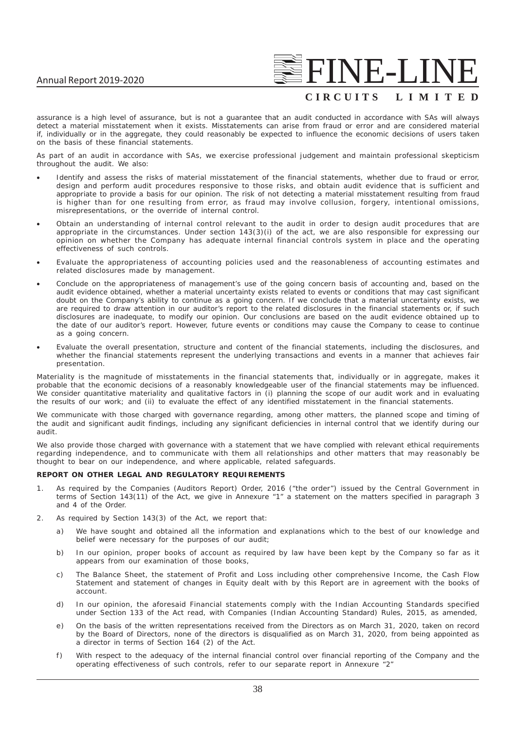# **CIRCUITS LIMITED**

assurance is a high level of assurance, but is not a guarantee that an audit conducted in accordance with SAs will always detect a material misstatement when it exists. Misstatements can arise from fraud or error and are considered material if, individually or in the aggregate, they could reasonably be expected to influence the economic decisions of users taken on the basis of these financial statements.

As part of an audit in accordance with SAs, we exercise professional judgement and maintain professional skepticism throughout the audit. We also:

- Identify and assess the risks of material misstatement of the financial statements, whether due to fraud or error, design and perform audit procedures responsive to those risks, and obtain audit evidence that is sufficient and appropriate to provide a basis for our opinion. The risk of not detecting a material misstatement resulting from fraud is higher than for one resulting from error, as fraud may involve collusion, forgery, intentional omissions, misrepresentations, or the override of internal control.
- Obtain an understanding of internal control relevant to the audit in order to design audit procedures that are appropriate in the circumstances. Under section 143(3)(i) of the act, we are also responsible for expressing our opinion on whether the Company has adequate internal financial controls system in place and the operating effectiveness of such controls.
- Evaluate the appropriateness of accounting policies used and the reasonableness of accounting estimates and related disclosures made by management.
- Conclude on the appropriateness of management's use of the going concern basis of accounting and, based on the audit evidence obtained, whether a material uncertainty exists related to events or conditions that may cast significant doubt on the Company's ability to continue as a going concern. If we conclude that a material uncertainty exists, we are required to draw attention in our auditor's report to the related disclosures in the financial statements or, if such disclosures are inadequate, to modify our opinion. Our conclusions are based on the audit evidence obtained up to the date of our auditor's report. However, future events or conditions may cause the Company to cease to continue as a going concern.
- Evaluate the overall presentation, structure and content of the financial statements, including the disclosures, and whether the financial statements represent the underlying transactions and events in a manner that achieves fair presentation.

Materiality is the magnitude of misstatements in the financial statements that, individually or in aggregate, makes it probable that the economic decisions of a reasonably knowledgeable user of the financial statements may be influenced. We consider quantitative materiality and qualitative factors in (i) planning the scope of our audit work and in evaluating the results of our work; and (ii) to evaluate the effect of any identified misstatement in the financial statements.

We communicate with those charged with governance regarding, among other matters, the planned scope and timing of the audit and significant audit findings, including any significant deficiencies in internal control that we identify during our audit.

We also provide those charged with governance with a statement that we have complied with relevant ethical requirements regarding independence, and to communicate with them all relationships and other matters that may reasonably be thought to bear on our independence, and where applicable, related safeguards.

# **REPORT ON OTHER LEGAL AND REGULATORY REQUIREMENTS**

- 1. As required by the Companies (Auditors Report) Order, 2016 ("the order") issued by the Central Government in terms of Section 143(11) of the Act, we give in Annexure "1" a statement on the matters specified in paragraph 3 and 4 of the Order.
- 2. As required by Section 143(3) of the Act, we report that:
	- a) We have sought and obtained all the information and explanations which to the best of our knowledge and belief were necessary for the purposes of our audit;
	- b) In our opinion, proper books of account as required by law have been kept by the Company so far as it appears from our examination of those books,
	- c) The Balance Sheet, the statement of Profit and Loss including other comprehensive Income, the Cash Flow Statement and statement of changes in Equity dealt with by this Report are in agreement with the books of account.
	- d) In our opinion, the aforesaid Financial statements comply with the Indian Accounting Standards specified under Section 133 of the Act read, with Companies (Indian Accounting Standard) Rules, 2015, as amended,
	- e) On the basis of the written representations received from the Directors as on March 31, 2020, taken on record by the Board of Directors, none of the directors is disqualified as on March 31, 2020, from being appointed as a director in terms of Section 164 (2) of the Act.
	- f ) With respect to the adequacy of the internal financial control over financial reporting of the Company and the operating effectiveness of such controls, refer to our separate report in Annexure "2"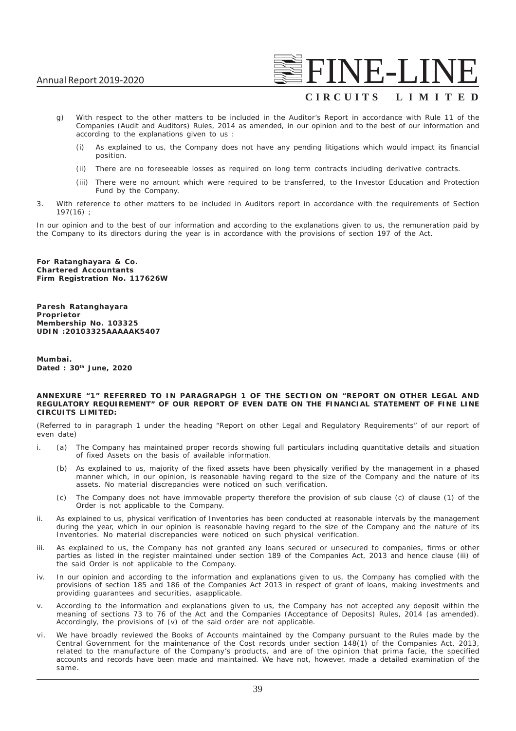# **CIRCUITS LIMITED**

- g) With respect to the other matters to be included in the Auditor's Report in accordance with Rule 11 of the Companies (Audit and Auditors) Rules, 2014 as amended, in our opinion and to the best of our information and according to the explanations given to us :
	- (i) As explained to us, the Company does not have any pending litigations which would impact its financial position.
	- (ii) There are no foreseeable losses as required on long term contracts including derivative contracts.
	- (iii) There were no amount which were required to be transferred, to the Investor Education and Protection Fund by the Company.
- 3. With reference to other matters to be included in Auditors report in accordance with the requirements of Section 197(16) ;

In our opinion and to the best of our information and according to the explanations given to us, the remuneration paid by the Company to its directors during the year is in accordance with the provisions of section 197 of the Act.

**For Ratanghayara & Co. Chartered Accountants Firm Registration No. 117626W**

**Paresh Ratanghayara Proprietor Membership No. 103325 UDIN :20103325AAAAAK5407**

**Mumbai. Dated : 30th June, 2020**

# **ANNEXURE "1" REFERRED TO IN PARAGRAPGH 1 OF THE SECTION ON "REPORT ON OTHER LEGAL AND REGULATORY REQUIREMENT" OF OUR REPORT OF EVEN DATE ON THE FINANCIAL STATEMENT OF FINE LINE CIRCUITS LIMITED:**

(Referred to in paragraph 1 under the heading "Report on other Legal and Regulatory Requirements" of our report of even date)

- i. (a) The Company has maintained proper records showing full particulars including quantitative details and situation of fixed Assets on the basis of available information.
	- (b) As explained to us, majority of the fixed assets have been physically verified by the management in a phased manner which, in our opinion, is reasonable having regard to the size of the Company and the nature of its assets. No material discrepancies were noticed on such verification.
	- (c) The Company does not have immovable property therefore the provision of sub clause (c) of clause (1) of the Order is not applicable to the Company.
- ii. As explained to us, physical verification of Inventories has been conducted at reasonable intervals by the management during the year, which in our opinion is reasonable having regard to the size of the Company and the nature of its Inventories. No material discrepancies were noticed on such physical verification.
- iii. As explained to us, the Company has not granted any loans secured or unsecured to companies, firms or other parties as listed in the register maintained under section 189 of the Companies Act, 2013 and hence clause (iii) of the said Order is not applicable to the Company.
- iv. In our opinion and according to the information and explanations given to us, the Company has complied with the provisions of section 185 and 186 of the Companies Act 2013 in respect of grant of loans, making investments and providing guarantees and securities, asapplicable.
- v. According to the information and explanations given to us, the Company has not accepted any deposit within the meaning of sections 73 to 76 of the Act and the Companies (Acceptance of Deposits) Rules, 2014 (as amended). Accordingly, the provisions of (v) of the said order are not applicable.
- vi. We have broadly reviewed the Books of Accounts maintained by the Company pursuant to the Rules made by the Central Government for the maintenance of the Cost records under section 148(1) of the Companies Act, 2013, related to the manufacture of the Company's products, and are of the opinion that prima facie, the specified accounts and records have been made and maintained. We have not, however, made a detailed examination of the same.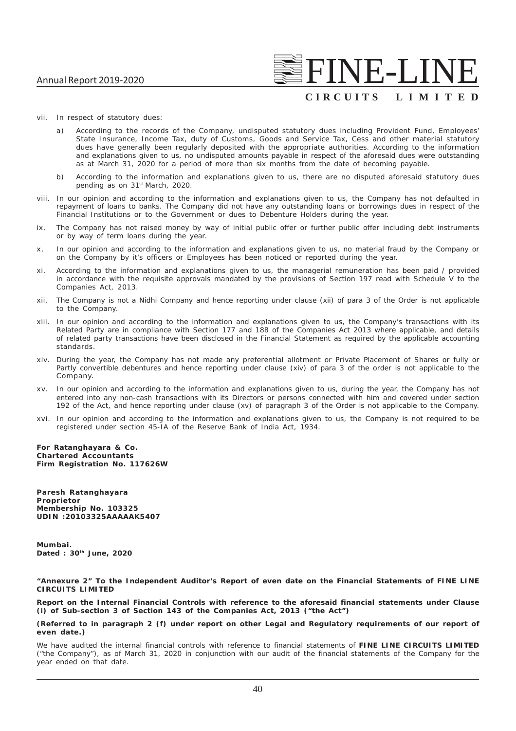# Annual Report 2019-2020 **FINE-LINE CIRCUITS LIMITED**

vii. In respect of statutory dues:

- a) According to the records of the Company, undisputed statutory dues including Provident Fund, Employees' State Insurance, Income Tax, duty of Customs, Goods and Service Tax, Cess and other material statutory dues have generally been regularly deposited with the appropriate authorities. According to the information and explanations given to us, no undisputed amounts payable in respect of the aforesaid dues were outstanding as at March 31, 2020 for a period of more than six months from the date of becoming payable.
- b) According to the information and explanations given to us, there are no disputed aforesaid statutory dues pending as on 31st March, 2020.
- viii. In our opinion and according to the information and explanations given to us, the Company has not defaulted in repayment of loans to banks. The Company did not have any outstanding loans or borrowings dues in respect of the Financial Institutions or to the Government or dues to Debenture Holders during the year.
- ix. The Company has not raised money by way of initial public offer or further public offer including debt instruments or by way of term loans during the year.
- x. In our opinion and according to the information and explanations given to us, no material fraud by the Company or on the Company by it's officers or Employees has been noticed or reported during the year.
- xi. According to the information and explanations given to us, the managerial remuneration has been paid / provided in accordance with the requisite approvals mandated by the provisions of Section 197 read with Schedule V to the Companies Act, 2013.
- xii. The Company is not a Nidhi Company and hence reporting under clause (xii) of para 3 of the Order is not applicable to the Company.
- xiii. In our opinion and according to the information and explanations given to us, the Company's transactions with its Related Party are in compliance with Section 177 and 188 of the Companies Act 2013 where applicable, and details of related party transactions have been disclosed in the Financial Statement as required by the applicable accounting standards.
- xiv. During the year, the Company has not made any preferential allotment or Private Placement of Shares or fully or Partly convertible debentures and hence reporting under clause (xiv) of para 3 of the order is not applicable to the Company.
- xv. In our opinion and according to the information and explanations given to us, during the year, the Company has not entered into any non-cash transactions with its Directors or persons connected with him and covered under section 192 of the Act, and hence reporting under clause (xv) of paragraph 3 of the Order is not applicable to the Company.
- xvi. In our opinion and according to the information and explanations given to us, the Company is not required to be registered under section 45-IA of the Reserve Bank of India Act, 1934.

**For Ratanghayara & Co. Chartered Accountants Firm Registration No. 117626W**

**Paresh Ratanghayara Proprietor Membership No. 103325 UDIN :20103325AAAAAK5407**

**Mumbai. Dated : 30th June, 2020**

**"Annexure 2" To the Independent Auditor's Report of even date on the Financial Statements of FINE LINE CIRCUITS LIMITED**

**Report on the Internal Financial Controls with reference to the aforesaid financial statements under Clause (i) of Sub-section 3 of Section 143 of the Companies Act, 2013 ("the Act")**

**(Referred to in paragraph 2 (f) under report on other Legal and Regulatory requirements of our report of even date.)**

We have audited the internal financial controls with reference to financial statements of **FINE LINE CIRCUITS LIMITED** ("the Company"), as of March 31, 2020 in conjunction with our audit of the financial statements of the Company for the year ended on that date.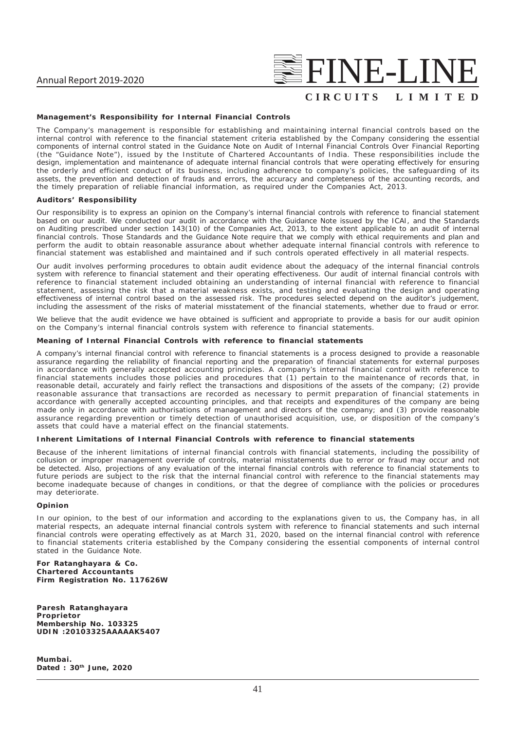# Annual Report 2019-2020  $\blacksquare$

# **CIRCUITS LIMITED**

# **Management's Responsibility for Internal Financial Controls**

The Company's management is responsible for establishing and maintaining internal financial controls based on the internal control with reference to the financial statement criteria established by the Company considering the essential components of internal control stated in the Guidance Note on Audit of Internal Financial Controls Over Financial Reporting (the "Guidance Note"), issued by the Institute of Chartered Accountants of India. These responsibilities include the design, implementation and maintenance of adequate internal financial controls that were operating effectively for ensuring the orderly and efficient conduct of its business, including adherence to company's policies, the safeguarding of its assets, the prevention and detection of frauds and errors, the accuracy and completeness of the accounting records, and the timely preparation of reliable financial information, as required under the Companies Act, 2013.

### **Auditors' Responsibility**

Our responsibility is to express an opinion on the Company's internal financial controls with reference to financial statement based on our audit. We conducted our audit in accordance with the Guidance Note issued by the ICAI, and the Standards on Auditing prescribed under section 143(10) of the Companies Act, 2013, to the extent applicable to an audit of internal financial controls. Those Standards and the Guidance Note require that we comply with ethical requirements and plan and perform the audit to obtain reasonable assurance about whether adequate internal financial controls with reference to financial statement was established and maintained and if such controls operated effectively in all material respects.

Our audit involves performing procedures to obtain audit evidence about the adequacy of the internal financial controls system with reference to financial statement and their operating effectiveness. Our audit of internal financial controls with reference to financial statement included obtaining an understanding of internal financial with reference to financial statement, assessing the risk that a material weakness exists, and testing and evaluating the design and operating effectiveness of internal control based on the assessed risk. The procedures selected depend on the auditor's judgement, including the assessment of the risks of material misstatement of the financial statements, whether due to fraud or error.

We believe that the audit evidence we have obtained is sufficient and appropriate to provide a basis for our audit opinion on the Company's internal financial controls system with reference to financial statements.

#### **Meaning of Internal Financial Controls with reference to financial statements**

A company's internal financial control with reference to financial statements is a process designed to provide a reasonable assurance regarding the reliability of financial reporting and the preparation of financial statements for external purposes in accordance with generally accepted accounting principles. A company's internal financial control with reference to financial statements includes those policies and procedures that (1) pertain to the maintenance of records that, in reasonable detail, accurately and fairly reflect the transactions and dispositions of the assets of the company; (2) provide reasonable assurance that transactions are recorded as necessary to permit preparation of financial statements in accordance with generally accepted accounting principles, and that receipts and expenditures of the company are being made only in accordance with authorisations of management and directors of the company; and (3) provide reasonable assurance regarding prevention or timely detection of unauthorised acquisition, use, or disposition of the company's assets that could have a material effect on the financial statements.

### **Inherent Limitations of Internal Financial Controls with reference to financial statements**

Because of the inherent limitations of internal financial controls with financial statements, including the possibility of collusion or improper management override of controls, material misstatements due to error or fraud may occur and not be detected. Also, projections of any evaluation of the internal financial controls with reference to financial statements to future periods are subject to the risk that the internal financial control with reference to the financial statements may become inadequate because of changes in conditions, or that the degree of compliance with the policies or procedures may deteriorate.

#### **Opinion**

In our opinion, to the best of our information and according to the explanations given to us, the Company has, in all material respects, an adequate internal financial controls system with reference to financial statements and such internal financial controls were operating effectively as at March 31, 2020, based on the internal financial control with reference to financial statements criteria established by the Company considering the essential components of internal control stated in the Guidance Note.

# **For Ratanghayara & Co. Chartered Accountants Firm Registration No. 117626W**

**Paresh Ratanghayara Proprietor Membership No. 103325 UDIN :20103325AAAAAK5407**

**Mumbai. Dated : 30th June, 2020**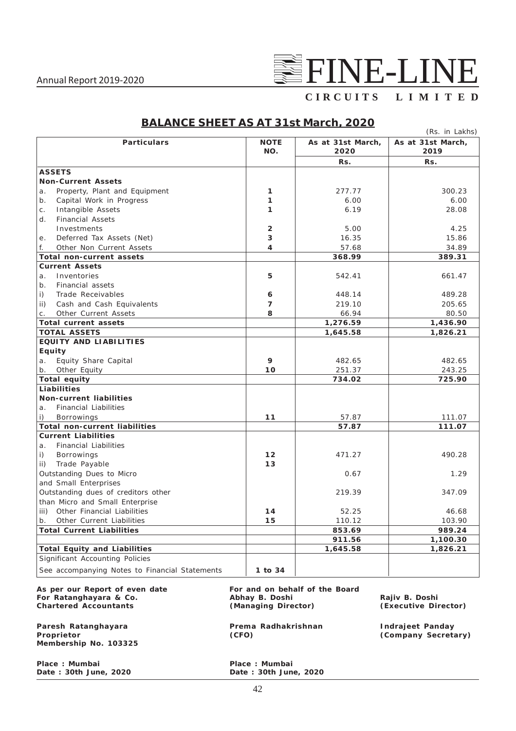# **CIRCUITS LIMITED**

| (Rs. in Lakhs)                                 |                    |                           |                           |  |  |  |  |
|------------------------------------------------|--------------------|---------------------------|---------------------------|--|--|--|--|
| <b>Particulars</b>                             | <b>NOTE</b><br>NO. | As at 31st March,<br>2020 | As at 31st March,<br>2019 |  |  |  |  |
|                                                |                    | Rs.                       | Rs.                       |  |  |  |  |
| <b>ASSETS</b>                                  |                    |                           |                           |  |  |  |  |
| <b>Non-Current Assets</b>                      |                    |                           |                           |  |  |  |  |
| Property, Plant and Equipment<br>a.            | 1                  | 277.77                    | 300.23                    |  |  |  |  |
| Capital Work in Progress<br>b.                 | 1                  | 6.00                      | 6.00                      |  |  |  |  |
| C.<br>Intangible Assets                        | 1                  | 6.19                      | 28.08                     |  |  |  |  |
| $d_{-}$<br><b>Financial Assets</b>             |                    |                           |                           |  |  |  |  |
| Investments                                    | $\overline{2}$     | 5.00                      | 4.25                      |  |  |  |  |
| Deferred Tax Assets (Net)<br>е.                | 3                  | 16.35                     | 15.86                     |  |  |  |  |
| f.<br>Other Non Current Assets                 | 4                  | 57.68                     | 34.89                     |  |  |  |  |
| Total non-current assets                       |                    | 368.99                    | 389.31                    |  |  |  |  |
| <b>Current Assets</b>                          |                    |                           |                           |  |  |  |  |
| a.<br>Inventories                              | 5                  | 542.41                    | 661.47                    |  |  |  |  |
| b <sub>1</sub><br>Financial assets             |                    |                           |                           |  |  |  |  |
| i)<br>Trade Receivables                        | 6                  | 448.14                    | 489.28                    |  |  |  |  |
| ii)<br>Cash and Cash Equivalents               | 7                  | 219.10                    | 205.65                    |  |  |  |  |
| Other Current Assets<br>C.                     | 8                  | 66.94                     | 80.50                     |  |  |  |  |
| <b>Total current assets</b>                    |                    | 1,276.59                  | 1,436.90                  |  |  |  |  |
| <b>TOTAL ASSETS</b>                            |                    | 1,645.58                  | 1,826.21                  |  |  |  |  |
| <b>EQUITY AND LIABILITIES</b>                  |                    |                           |                           |  |  |  |  |
| Equity<br>Equity Share Capital<br>a.           | 9                  | 482.65                    | 482.65                    |  |  |  |  |
| Other Equity<br>b.                             | 10                 | 251.37                    | 243.25                    |  |  |  |  |
| Total equity                                   |                    | 734.02                    | 725.90                    |  |  |  |  |
| Liabilities                                    |                    |                           |                           |  |  |  |  |
| <b>Non-current liabilities</b>                 |                    |                           |                           |  |  |  |  |
| <b>Financial Liabilities</b><br>a <sub>x</sub> |                    |                           |                           |  |  |  |  |
| i)<br><b>Borrowings</b>                        | 11                 | 57.87                     | 111.07                    |  |  |  |  |
| <b>Total non-current liabilities</b>           |                    | 57.87                     | 111.07                    |  |  |  |  |
| <b>Current Liabilities</b>                     |                    |                           |                           |  |  |  |  |
| <b>Financial Liabilities</b><br>a.             |                    |                           |                           |  |  |  |  |
| i)<br><b>Borrowings</b>                        | 12                 | 471.27                    | 490.28                    |  |  |  |  |
| ii)<br>Trade Payable                           | 13                 |                           |                           |  |  |  |  |
| Outstanding Dues to Micro                      |                    | 0.67                      | 1.29                      |  |  |  |  |
| and Small Enterprises                          |                    |                           |                           |  |  |  |  |
| Outstanding dues of creditors other            |                    | 219.39                    | 347.09                    |  |  |  |  |
| than Micro and Small Enterprise                |                    |                           |                           |  |  |  |  |
| iii) Other Financial Liabilities               | 14                 | 52.25                     | 46.68                     |  |  |  |  |
| Other Current Liabilities<br>$b$ .             | 15                 | 110.12                    | 103.90                    |  |  |  |  |
| <b>Total Current Liabilities</b>               |                    | 853.69                    | 989.24                    |  |  |  |  |
|                                                |                    | 911.56                    | 1,100.30                  |  |  |  |  |
| <b>Total Equity and Liabilities</b>            |                    | 1,645.58                  | 1,826.21                  |  |  |  |  |
| Significant Accounting Policies                |                    |                           |                           |  |  |  |  |
| See accompanying Notes to Financial Statements | 1 to $34$          |                           |                           |  |  |  |  |

# **BALANCE SHEET AS AT 31st March, 2020**

**For Ratanghayara & Co. Abhay B. Doshi Rajiv B. Doshi**

Paresh Ratanghayara **Prema Radhakrishnan Indrajeet Panday**<br>Proprietor (CFO) (CFO) (Company Secreta **Membership No. 103325**

**Place : Mumbai Place : Mumbai**

As per our Report of even date **For and on behalf of the Board**<br>For Ratanghayara & Co. **Abhay B. Doshi Chartered Accountants (Managing Director) (Executive Director)**

**Proprietor (CFO) (Company Secretary)**

**Date : 30th June, 2020 Date : 30th June, 2020**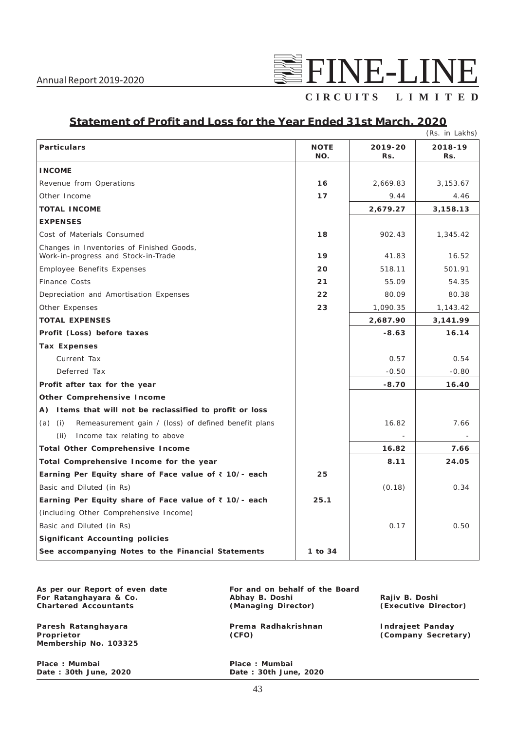# **CIRCUITS LIMITED**

# **Statement of Profit and Loss for the Year Ended 31st March, 2020**

|                                                                                  |                    |                | (Rs. in Lakhs) |
|----------------------------------------------------------------------------------|--------------------|----------------|----------------|
| <b>Particulars</b>                                                               | <b>NOTE</b><br>NO. | 2019-20<br>Rs. | 2018-19<br>Rs. |
| <b>INCOME</b>                                                                    |                    |                |                |
| Revenue from Operations                                                          | 16                 | 2,669.83       | 3,153.67       |
| Other Income                                                                     | 17                 | 9.44           | 4.46           |
| <b>TOTAL INCOME</b>                                                              |                    | 2,679.27       | 3,158.13       |
| <b>EXPENSES</b>                                                                  |                    |                |                |
| Cost of Materials Consumed                                                       | 18                 | 902.43         | 1,345.42       |
| Changes in Inventories of Finished Goods,<br>Work-in-progress and Stock-in-Trade | 19                 | 41.83          | 16.52          |
| <b>Employee Benefits Expenses</b>                                                | 20                 | 518.11         | 501.91         |
| <b>Finance Costs</b>                                                             | 21                 | 55.09          | 54.35          |
| Depreciation and Amortisation Expenses                                           | 22                 | 80.09          | 80.38          |
| Other Expenses                                                                   | 23                 | 1,090.35       | 1,143.42       |
| <b>TOTAL EXPENSES</b>                                                            |                    | 2,687.90       | 3,141.99       |
| Profit (Loss) before taxes                                                       |                    | $-8.63$        | 16.14          |
| <b>Tax Expenses</b>                                                              |                    |                |                |
| Current Tax                                                                      |                    | 0.57           | 0.54           |
| Deferred Tax                                                                     |                    | $-0.50$        | $-0.80$        |
| Profit after tax for the year                                                    |                    | $-8.70$        | 16.40          |
| Other Comprehensive Income                                                       |                    |                |                |
| A) Items that will not be reclassified to profit or loss                         |                    |                |                |
| Remeasurement gain / (loss) of defined benefit plans<br>(a)<br>(i)               |                    | 16.82          | 7.66           |
| (ii)<br>Income tax relating to above                                             |                    |                |                |
| <b>Total Other Comprehensive Income</b>                                          |                    | 16.82          | 7.66           |
| Total Comprehensive Income for the year                                          |                    | 8.11           | 24.05          |
| Earning Per Equity share of Face value of ₹ 10/- each                            | 25                 |                |                |
| Basic and Diluted (in Rs)                                                        |                    | (0.18)         | 0.34           |
| Earning Per Equity share of Face value of ₹ 10/- each                            | 25.1               |                |                |
| (including Other Comprehensive Income)                                           |                    |                |                |
| Basic and Diluted (in Rs)                                                        |                    | 0.17           | 0.50           |
| <b>Significant Accounting policies</b>                                           |                    |                |                |
| See accompanying Notes to the Financial Statements                               | 1 to 34            |                |                |

As per our Report of even date **For and on behalf of the Board**<br>For Ratanghayara & Co. **Abhay B. Doshi For Ratanghayara & Co. Abhay B. Doshi Rajiv B. Doshi**

Paresh Ratanghayara **Prema Radhakrishnan Indrajeet Panday**<br>Proprietor (CFO) (CFO) (Company Secreta **Membership No. 103325**

Place : Mumbai **Place : Mumbai** 

**Chartered Accountants (Managing Director) (Executive Director)**

**Proprietor (CFO) (Company Secretary)**

**Date : 30th June, 2020 Date : 30th June, 2020**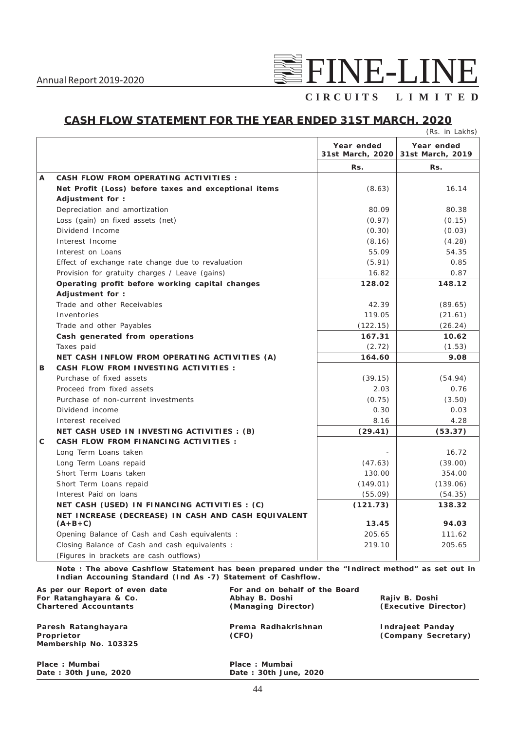# **CIRCUITS LIMITED**

# **CASH FLOW STATEMENT FOR THE YEAR ENDED 31ST MARCH, 2020**

| Year ended<br>Year ended<br>31st March, 2020<br>31st March, 2019<br>Rs.<br>Rs.<br>CASH FLOW FROM OPERATING ACTIVITIES :<br>A<br>Net Profit (Loss) before taxes and exceptional items<br>(8.63)<br>16.14<br>Adjustment for:<br>Depreciation and amortization<br>80.09<br>80.38<br>Loss (gain) on fixed assets (net)<br>(0.97)<br>(0.15)<br>Dividend Income<br>(0.30)<br>(0.03)<br>Interest Income<br>(8.16)<br>(4.28)<br>55.09<br>54.35<br>Interest on Loans<br>Effect of exchange rate change due to revaluation<br>(5.91)<br>0.85<br>Provision for gratuity charges / Leave (gains)<br>16.82<br>0.87<br>128.02<br>148.12<br>Operating profit before working capital changes<br>Adjustment for:<br>Trade and other Receivables<br>42.39<br>(89.65)<br>Inventories<br>119.05<br>(21.61)<br>Trade and other Payables<br>(122.15)<br>(26.24)<br>Cash generated from operations<br>167.31<br>10.62<br>Taxes paid<br>(2.72)<br>(1.53)<br>NET CASH INFLOW FROM OPERATING ACTIVITIES (A)<br>164.60<br>9.08<br>B<br>CASH FLOW FROM INVESTING ACTIVITIES :<br>Purchase of fixed assets<br>(39.15)<br>(54.94)<br>Proceed from fixed assets<br>2.03<br>0.76 | (Rs. in Lakhs) |  |  |  |  |  |
|--------------------------------------------------------------------------------------------------------------------------------------------------------------------------------------------------------------------------------------------------------------------------------------------------------------------------------------------------------------------------------------------------------------------------------------------------------------------------------------------------------------------------------------------------------------------------------------------------------------------------------------------------------------------------------------------------------------------------------------------------------------------------------------------------------------------------------------------------------------------------------------------------------------------------------------------------------------------------------------------------------------------------------------------------------------------------------------------------------------------------------------------------|----------------|--|--|--|--|--|
|                                                                                                                                                                                                                                                                                                                                                                                                                                                                                                                                                                                                                                                                                                                                                                                                                                                                                                                                                                                                                                                                                                                                                  |                |  |  |  |  |  |
|                                                                                                                                                                                                                                                                                                                                                                                                                                                                                                                                                                                                                                                                                                                                                                                                                                                                                                                                                                                                                                                                                                                                                  |                |  |  |  |  |  |
|                                                                                                                                                                                                                                                                                                                                                                                                                                                                                                                                                                                                                                                                                                                                                                                                                                                                                                                                                                                                                                                                                                                                                  |                |  |  |  |  |  |
|                                                                                                                                                                                                                                                                                                                                                                                                                                                                                                                                                                                                                                                                                                                                                                                                                                                                                                                                                                                                                                                                                                                                                  |                |  |  |  |  |  |
|                                                                                                                                                                                                                                                                                                                                                                                                                                                                                                                                                                                                                                                                                                                                                                                                                                                                                                                                                                                                                                                                                                                                                  |                |  |  |  |  |  |
|                                                                                                                                                                                                                                                                                                                                                                                                                                                                                                                                                                                                                                                                                                                                                                                                                                                                                                                                                                                                                                                                                                                                                  |                |  |  |  |  |  |
|                                                                                                                                                                                                                                                                                                                                                                                                                                                                                                                                                                                                                                                                                                                                                                                                                                                                                                                                                                                                                                                                                                                                                  |                |  |  |  |  |  |
|                                                                                                                                                                                                                                                                                                                                                                                                                                                                                                                                                                                                                                                                                                                                                                                                                                                                                                                                                                                                                                                                                                                                                  |                |  |  |  |  |  |
|                                                                                                                                                                                                                                                                                                                                                                                                                                                                                                                                                                                                                                                                                                                                                                                                                                                                                                                                                                                                                                                                                                                                                  |                |  |  |  |  |  |
|                                                                                                                                                                                                                                                                                                                                                                                                                                                                                                                                                                                                                                                                                                                                                                                                                                                                                                                                                                                                                                                                                                                                                  |                |  |  |  |  |  |
|                                                                                                                                                                                                                                                                                                                                                                                                                                                                                                                                                                                                                                                                                                                                                                                                                                                                                                                                                                                                                                                                                                                                                  |                |  |  |  |  |  |
|                                                                                                                                                                                                                                                                                                                                                                                                                                                                                                                                                                                                                                                                                                                                                                                                                                                                                                                                                                                                                                                                                                                                                  |                |  |  |  |  |  |
|                                                                                                                                                                                                                                                                                                                                                                                                                                                                                                                                                                                                                                                                                                                                                                                                                                                                                                                                                                                                                                                                                                                                                  |                |  |  |  |  |  |
|                                                                                                                                                                                                                                                                                                                                                                                                                                                                                                                                                                                                                                                                                                                                                                                                                                                                                                                                                                                                                                                                                                                                                  |                |  |  |  |  |  |
|                                                                                                                                                                                                                                                                                                                                                                                                                                                                                                                                                                                                                                                                                                                                                                                                                                                                                                                                                                                                                                                                                                                                                  |                |  |  |  |  |  |
|                                                                                                                                                                                                                                                                                                                                                                                                                                                                                                                                                                                                                                                                                                                                                                                                                                                                                                                                                                                                                                                                                                                                                  |                |  |  |  |  |  |
|                                                                                                                                                                                                                                                                                                                                                                                                                                                                                                                                                                                                                                                                                                                                                                                                                                                                                                                                                                                                                                                                                                                                                  |                |  |  |  |  |  |
|                                                                                                                                                                                                                                                                                                                                                                                                                                                                                                                                                                                                                                                                                                                                                                                                                                                                                                                                                                                                                                                                                                                                                  |                |  |  |  |  |  |
|                                                                                                                                                                                                                                                                                                                                                                                                                                                                                                                                                                                                                                                                                                                                                                                                                                                                                                                                                                                                                                                                                                                                                  |                |  |  |  |  |  |
|                                                                                                                                                                                                                                                                                                                                                                                                                                                                                                                                                                                                                                                                                                                                                                                                                                                                                                                                                                                                                                                                                                                                                  |                |  |  |  |  |  |
|                                                                                                                                                                                                                                                                                                                                                                                                                                                                                                                                                                                                                                                                                                                                                                                                                                                                                                                                                                                                                                                                                                                                                  |                |  |  |  |  |  |
|                                                                                                                                                                                                                                                                                                                                                                                                                                                                                                                                                                                                                                                                                                                                                                                                                                                                                                                                                                                                                                                                                                                                                  |                |  |  |  |  |  |
|                                                                                                                                                                                                                                                                                                                                                                                                                                                                                                                                                                                                                                                                                                                                                                                                                                                                                                                                                                                                                                                                                                                                                  |                |  |  |  |  |  |
| Purchase of non-current investments<br>(0.75)<br>(3.50)                                                                                                                                                                                                                                                                                                                                                                                                                                                                                                                                                                                                                                                                                                                                                                                                                                                                                                                                                                                                                                                                                          |                |  |  |  |  |  |
| Dividend income<br>0.30<br>0.03                                                                                                                                                                                                                                                                                                                                                                                                                                                                                                                                                                                                                                                                                                                                                                                                                                                                                                                                                                                                                                                                                                                  |                |  |  |  |  |  |
| Interest received<br>8.16<br>4.28                                                                                                                                                                                                                                                                                                                                                                                                                                                                                                                                                                                                                                                                                                                                                                                                                                                                                                                                                                                                                                                                                                                |                |  |  |  |  |  |
| NET CASH USED IN INVESTING ACTIVITIES : (B)<br>(29.41)<br>(53.37)                                                                                                                                                                                                                                                                                                                                                                                                                                                                                                                                                                                                                                                                                                                                                                                                                                                                                                                                                                                                                                                                                |                |  |  |  |  |  |
| C<br>CASH FLOW FROM FINANCING ACTIVITIES :                                                                                                                                                                                                                                                                                                                                                                                                                                                                                                                                                                                                                                                                                                                                                                                                                                                                                                                                                                                                                                                                                                       |                |  |  |  |  |  |
| Long Term Loans taken<br>16.72                                                                                                                                                                                                                                                                                                                                                                                                                                                                                                                                                                                                                                                                                                                                                                                                                                                                                                                                                                                                                                                                                                                   |                |  |  |  |  |  |
| (39.00)<br>Long Term Loans repaid<br>(47.63)                                                                                                                                                                                                                                                                                                                                                                                                                                                                                                                                                                                                                                                                                                                                                                                                                                                                                                                                                                                                                                                                                                     |                |  |  |  |  |  |
| Short Term Loans taken<br>130.00<br>354.00                                                                                                                                                                                                                                                                                                                                                                                                                                                                                                                                                                                                                                                                                                                                                                                                                                                                                                                                                                                                                                                                                                       |                |  |  |  |  |  |
| Short Term Loans repaid<br>(149.01)<br>(139.06)                                                                                                                                                                                                                                                                                                                                                                                                                                                                                                                                                                                                                                                                                                                                                                                                                                                                                                                                                                                                                                                                                                  |                |  |  |  |  |  |
| (55.09)<br>Interest Paid on loans<br>(54.35)                                                                                                                                                                                                                                                                                                                                                                                                                                                                                                                                                                                                                                                                                                                                                                                                                                                                                                                                                                                                                                                                                                     |                |  |  |  |  |  |
| NET CASH (USED) IN FINANCING ACTIVITIES : (C)<br>(121.73)<br>138.32                                                                                                                                                                                                                                                                                                                                                                                                                                                                                                                                                                                                                                                                                                                                                                                                                                                                                                                                                                                                                                                                              |                |  |  |  |  |  |
| NET INCREASE (DECREASE) IN CASH AND CASH EQUIVALENT<br>$(A+B+C)$<br>13.45<br>94.03                                                                                                                                                                                                                                                                                                                                                                                                                                                                                                                                                                                                                                                                                                                                                                                                                                                                                                                                                                                                                                                               |                |  |  |  |  |  |
| 205.65<br>Opening Balance of Cash and Cash equivalents :<br>111.62                                                                                                                                                                                                                                                                                                                                                                                                                                                                                                                                                                                                                                                                                                                                                                                                                                                                                                                                                                                                                                                                               |                |  |  |  |  |  |
| Closing Balance of Cash and cash equivalents :<br>219.10<br>205.65                                                                                                                                                                                                                                                                                                                                                                                                                                                                                                                                                                                                                                                                                                                                                                                                                                                                                                                                                                                                                                                                               |                |  |  |  |  |  |
| (Figures in brackets are cash outflows)                                                                                                                                                                                                                                                                                                                                                                                                                                                                                                                                                                                                                                                                                                                                                                                                                                                                                                                                                                                                                                                                                                          |                |  |  |  |  |  |

**Note : The above Cashflow Statement has been prepared under the "Indirect method" as set out in Indian Accouning Standard (Ind As -7) Statement of Cashflow.**

As per our Report of even date **For and on behalf of the Board**<br>For Ratanghayara & Co. **Abhay B. Doshi For Ratanghayara & Co. Abhay B. Doshi Rajiv B. Doshi Chartered Accountants (Managing Director) (Executive Director)**

**Paresh Ratanghayara Prema Radhakrishnan Indrajeet Panday Proprietor (CFO) (CFO) (Company Secretary) Membership No. 103325**

**Date : 30th June, 2020 Date : 30th June, 2020**

Place : Mumbai **Place : Mumbai**<br>
Date : 30th June, 2020 **Place : 20th June**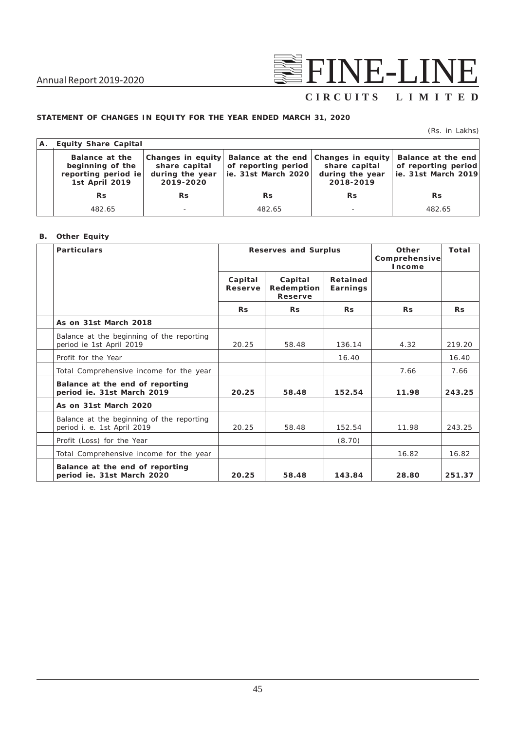# **CIRCUITS LIMITED**

# **STATEMENT OF CHANGES IN EQUITY FOR THE YEAR ENDED MARCH 31, 2020**

(Rs. in Lakhs)

| IA. | <b>Equity Share Capital</b>                                                 |                                               |                                                                                                      |                                               |                                                                  |
|-----|-----------------------------------------------------------------------------|-----------------------------------------------|------------------------------------------------------------------------------------------------------|-----------------------------------------------|------------------------------------------------------------------|
|     | Balance at the<br>beginning of the<br>reporting period ie<br>1st April 2019 | share capital<br>during the year<br>2019-2020 | Changes in equity Balance at the end Changes in equity<br>of reporting period<br>ie. 31st March 2020 | share capital<br>during the year<br>2018-2019 | Balance at the end<br>of reporting period<br>ie. 31st March 2019 |
|     | <b>Rs</b>                                                                   | <b>Rs</b>                                     | <b>Rs</b>                                                                                            | <b>Rs</b>                                     | <b>Rs</b>                                                        |
|     | 482.65                                                                      |                                               | 482.65                                                                                               |                                               | 482.65                                                           |

# **B. Other Equity**

| <b>Particulars</b>                                                       |                    | <b>Reserves and Surplus</b>             |                      | Other<br>Comprehensive<br><b>Income</b> | Total     |
|--------------------------------------------------------------------------|--------------------|-----------------------------------------|----------------------|-----------------------------------------|-----------|
|                                                                          | Capital<br>Reserve | Capital<br>Redemption<br><b>Reserve</b> | Retained<br>Earnings |                                         |           |
|                                                                          | <b>Rs</b>          | Rs                                      | Rs                   | Rs                                      | <b>Rs</b> |
| As on 31st March 2018                                                    |                    |                                         |                      |                                         |           |
| Balance at the beginning of the reporting<br>period ie 1st April 2019    | 20.25              | 58.48                                   | 136.14               | 4.32                                    | 219.20    |
| Profit for the Year                                                      |                    |                                         | 16.40                |                                         | 16.40     |
| Total Comprehensive income for the year                                  |                    |                                         |                      | 7.66                                    | 7.66      |
| Balance at the end of reporting<br>period ie. 31st March 2019            | 20.25              | 58.48                                   | 152.54               | 11.98                                   | 243.25    |
| As on 31st March 2020                                                    |                    |                                         |                      |                                         |           |
| Balance at the beginning of the reporting<br>period i. e. 1st April 2019 | 20.25              | 58.48                                   | 152.54               | 11.98                                   | 243.25    |
| Profit (Loss) for the Year                                               |                    |                                         | (8.70)               |                                         |           |
| Total Comprehensive income for the year                                  |                    |                                         |                      | 16.82                                   | 16.82     |
| Balance at the end of reporting<br>period ie. 31st March 2020            | 20.25              | 58.48                                   | 143.84               | 28.80                                   | 251.37    |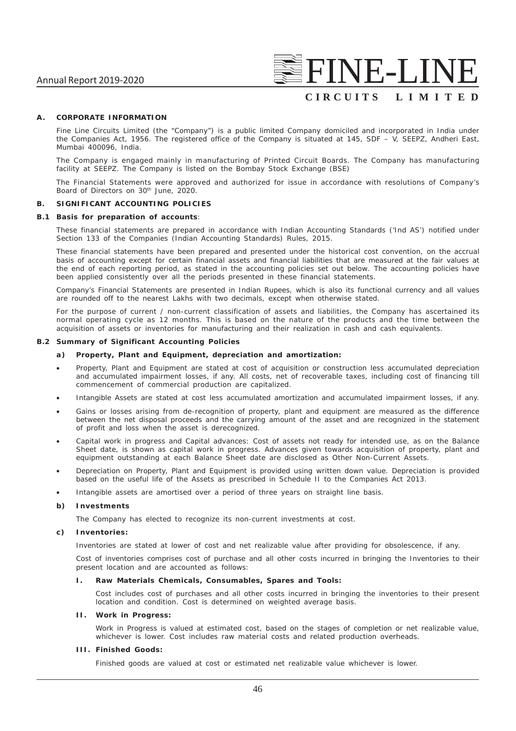# Annual Report 2019-2020  $\blacksquare$

# **CIRCUITS LIMITED**

# **A. CORPORATE INFORMATION**

Fine Line Circuits Limited (the "Company") is a public limited Company domiciled and incorporated in India under the Companies Act, 1956. The registered office of the Company is situated at 145, SDF – V, SEEPZ, Andheri East, Mumbai 400096, India.

The Company is engaged mainly in manufacturing of Printed Circuit Boards. The Company has manufacturing facility at SEEPZ. The Company is listed on the Bombay Stock Exchange (BSE)

The Financial Statements were approved and authorized for issue in accordance with resolutions of Company's Board of Directors on 30th June, 2020.

# **B. SIGNIFICANT ACCOUNTING POLICIES**

#### **B.1 Basis for preparation of accounts**:

These financial statements are prepared in accordance with Indian Accounting Standards ('Ind AS') notified under Section 133 of the Companies (Indian Accounting Standards) Rules, 2015.

These financial statements have been prepared and presented under the historical cost convention, on the accrual basis of accounting except for certain financial assets and financial liabilities that are measured at the fair values at the end of each reporting period, as stated in the accounting policies set out below. The accounting policies have been applied consistently over all the periods presented in these financial statements.

Company's Financial Statements are presented in Indian Rupees, which is also its functional currency and all values are rounded off to the nearest Lakhs with two decimals, except when otherwise stated.

For the purpose of current / non-current classification of assets and liabilities, the Company has ascertained its normal operating cycle as 12 months. This is based on the nature of the products and the time between the acquisition of assets or inventories for manufacturing and their realization in cash and cash equivalents.

#### **B.2 Summary of Significant Accounting Policies**

#### **a) Property, Plant and Equipment, depreciation and amortization:**

- Property, Plant and Equipment are stated at cost of acquisition or construction less accumulated depreciation and accumulated impairment losses, if any. All costs, net of recoverable taxes, including cost of financing till commencement of commercial production are capitalized.
- Intangible Assets are stated at cost less accumulated amortization and accumulated impairment losses, if any.
- Gains or losses arising from de-recognition of property, plant and equipment are measured as the difference between the net disposal proceeds and the carrying amount of the asset and are recognized in the statement of profit and loss when the asset is derecognized.
- Capital work in progress and Capital advances: Cost of assets not ready for intended use, as on the Balance Sheet date, is shown as capital work in progress. Advances given towards acquisition of property, plant and equipment outstanding at each Balance Sheet date are disclosed as Other Non-Current Assets.
- Depreciation on Property, Plant and Equipment is provided using written down value. Depreciation is provided based on the useful life of the Assets as prescribed in Schedule II to the Companies Act 2013.
- Intangible assets are amortised over a period of three years on straight line basis.

#### **b) Investments**

The Company has elected to recognize its non-current investments at cost.

#### **c) Inventories:**

Inventories are stated at lower of cost and net realizable value after providing for obsolescence, if any.

Cost of inventories comprises cost of purchase and all other costs incurred in bringing the Inventories to their present location and are accounted as follows:

## **I. Raw Materials Chemicals, Consumables, Spares and Tools:**

Cost includes cost of purchases and all other costs incurred in bringing the inventories to their present location and condition. Cost is determined on weighted average basis.

# **II. Work in Progress:**

Work in Progress is valued at estimated cost, based on the stages of completion or net realizable value, whichever is lower. Cost includes raw material costs and related production overheads.

#### **III. Finished Goods:**

Finished goods are valued at cost or estimated net realizable value whichever is lower.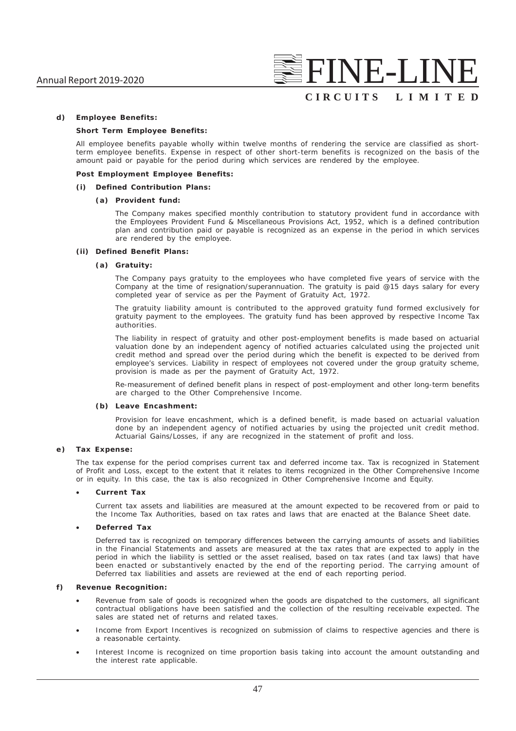# Annual Report 2019-2020 **FINE-LINE CIRCUITS LIMITED**

## **d) Employee Benefits:**

### **Short Term Employee Benefits:**

All employee benefits payable wholly within twelve months of rendering the service are classified as shortterm employee benefits. Expense in respect of other short-term benefits is recognized on the basis of the amount paid or payable for the period during which services are rendered by the employee.

## **Post Employment Employee Benefits:**

### **(i) Defined Contribution Plans:**

### **(a) Provident fund:**

The Company makes specified monthly contribution to statutory provident fund in accordance with the Employees Provident Fund & Miscellaneous Provisions Act, 1952, which is a defined contribution plan and contribution paid or payable is recognized as an expense in the period in which services are rendered by the employee.

# **(ii) Defined Benefit Plans:**

## **(a) Gratuity:**

The Company pays gratuity to the employees who have completed five years of service with the Company at the time of resignation/superannuation. The gratuity is paid @15 days salary for every completed year of service as per the Payment of Gratuity Act, 1972.

The gratuity liability amount is contributed to the approved gratuity fund formed exclusively for gratuity payment to the employees. The gratuity fund has been approved by respective Income Tax authorities.

The liability in respect of gratuity and other post-employment benefits is made based on actuarial valuation done by an independent agency of notified actuaries calculated using the projected unit credit method and spread over the period during which the benefit is expected to be derived from employee's services. Liability in respect of employees not covered under the group gratuity scheme, provision is made as per the payment of Gratuity Act, 1972.

Re-measurement of defined benefit plans in respect of post-employment and other long-term benefits are charged to the Other Comprehensive Income.

### **(b) Leave Encashment:**

Provision for leave encashment, which is a defined benefit, is made based on actuarial valuation done by an independent agency of notified actuaries by using the projected unit credit method. Actuarial Gains/Losses, if any are recognized in the statement of profit and loss.

### **e) Tax Expense:**

The tax expense for the period comprises current tax and deferred income tax. Tax is recognized in Statement of Profit and Loss, except to the extent that it relates to items recognized in the Other Comprehensive Income or in equity. In this case, the tax is also recognized in Other Comprehensive Income and Equity.

### • **Current Tax**

Current tax assets and liabilities are measured at the amount expected to be recovered from or paid to the Income Tax Authorities, based on tax rates and laws that are enacted at the Balance Sheet date.

### • **Deferred Tax**

Deferred tax is recognized on temporary differences between the carrying amounts of assets and liabilities in the Financial Statements and assets are measured at the tax rates that are expected to apply in the period in which the liability is settled or the asset realised, based on tax rates (and tax laws) that have .<br>been enacted or substantively enacted by the end of the reporting period. The carrying amount of Deferred tax liabilities and assets are reviewed at the end of each reporting period.

### **f) Revenue Recognition:**

- Revenue from sale of goods is recognized when the goods are dispatched to the customers, all significant contractual obligations have been satisfied and the collection of the resulting receivable expected. The sales are stated net of returns and related taxes.
- Income from Export Incentives is recognized on submission of claims to respective agencies and there is a reasonable certainty.
- Interest Income is recognized on time proportion basis taking into account the amount outstanding and the interest rate applicable.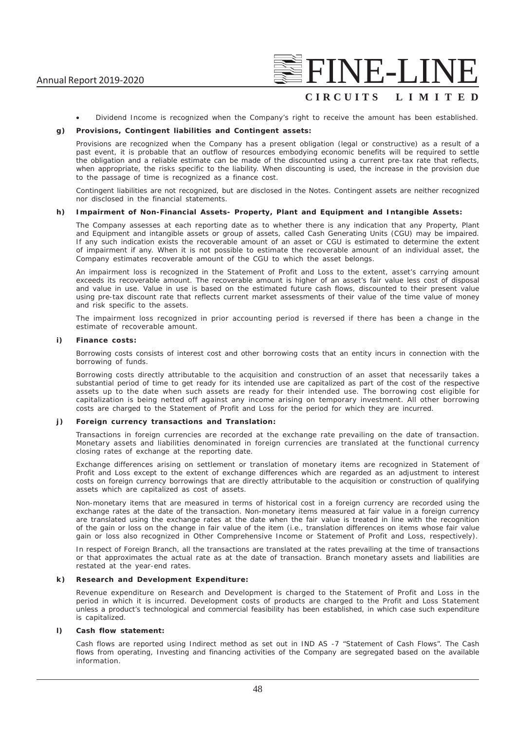

• Dividend Income is recognized when the Company's right to receive the amount has been established.

### **g) Provisions, Contingent liabilities and Contingent assets:**

Provisions are recognized when the Company has a present obligation (legal or constructive) as a result of a past event, it is probable that an outflow of resources embodying economic benefits will be required to settle the obligation and a reliable estimate can be made of the discounted using a current pre-tax rate that reflects, when appropriate, the risks specific to the liability. When discounting is used, the increase in the provision due to the passage of time is recognized as a finance cost.

Contingent liabilities are not recognized, but are disclosed in the Notes. Contingent assets are neither recognized nor disclosed in the financial statements.

# **h) Impairment of Non-Financial Assets- Property, Plant and Equipment and Intangible Assets:**

The Company assesses at each reporting date as to whether there is any indication that any Property, Plant and Equipment and intangible assets or group of assets, called Cash Generating Units (CGU) may be impaired. If any such indication exists the recoverable amount of an asset or CGU is estimated to determine the extent of impairment if any. When it is not possible to estimate the recoverable amount of an individual asset, the Company estimates recoverable amount of the CGU to which the asset belongs.

An impairment loss is recognized in the Statement of Profit and Loss to the extent, asset's carrying amount exceeds its recoverable amount. The recoverable amount is higher of an asset's fair value less cost of disposal and value in use. Value in use is based on the estimated future cash flows, discounted to their present value using pre-tax discount rate that reflects current market assessments of their value of the time value of money and risk specific to the assets.

The impairment loss recognized in prior accounting period is reversed if there has been a change in the estimate of recoverable amount.

# **i) Finance costs:**

Borrowing costs consists of interest cost and other borrowing costs that an entity incurs in connection with the borrowing of funds.

Borrowing costs directly attributable to the acquisition and construction of an asset that necessarily takes a substantial period of time to get ready for its intended use are capitalized as part of the cost of the respective assets up to the date when such assets are ready for their intended use. The borrowing cost eligible for capitalization is being netted off against any income arising on temporary investment. All other borrowing costs are charged to the Statement of Profit and Loss for the period for which they are incurred.

# **j) Foreign currency transactions and Translation:**

Transactions in foreign currencies are recorded at the exchange rate prevailing on the date of transaction. Monetary assets and liabilities denominated in foreign currencies are translated at the functional currency closing rates of exchange at the reporting date.

Exchange differences arising on settlement or translation of monetary items are recognized in Statement of Profit and Loss except to the extent of exchange differences which are regarded as an adjustment to interest costs on foreign currency borrowings that are directly attributable to the acquisition or construction of qualifying assets which are capitalized as cost of assets.

Non-monetary items that are measured in terms of historical cost in a foreign currency are recorded using the exchange rates at the date of the transaction. Non-monetary items measured at fair value in a foreign currency are translated using the exchange rates at the date when the fair value is treated in line with the recognition of the gain or loss on the change in fair value of the item (i.e., translation differences on items whose fair value gain or loss also recognized in Other Comprehensive Income or Statement of Profit and Loss, respectively).

In respect of Foreign Branch, all the transactions are translated at the rates prevailing at the time of transactions or that approximates the actual rate as at the date of transaction. Branch monetary assets and liabilities are restated at the year-end rates.

### **k) Research and Development Expenditure:**

Revenue expenditure on Research and Development is charged to the Statement of Profit and Loss in the period in which it is incurred. Development costs of products are charged to the Profit and Loss Statement unless a product's technological and commercial feasibility has been established, in which case such expenditure is capitalized.

# **l) Cash flow statement:**

Cash flows are reported using Indirect method as set out in IND AS -7 "Statement of Cash Flows". The Cash flows from operating, Investing and financing activities of the Company are segregated based on the available information.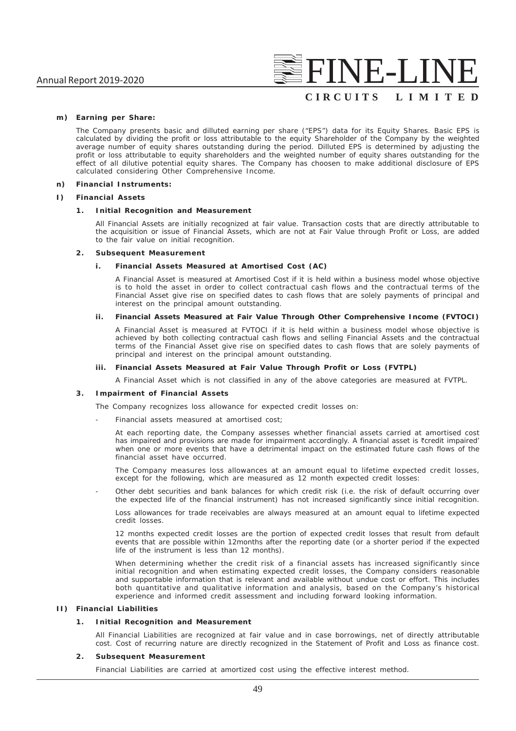# **CIRCUITS LIMITED**

### **m) Earning per Share:**

The Company presents basic and dilluted earning per share ("EPS") data for its Equity Shares. Basic EPS is calculated by dividing the profit or loss attributable to the equity Shareholder of the Company by the weighted average number of equity shares outstanding during the period. Dilluted EPS is determined by adjusting the profit or loss attributable to equity shareholders and the weighted number of equity shares outstanding for the effect of all dilutive potential equity shares. The Company has choosen to make additional disclosure of EPS calculated considering Other Comprehensive Income.

# **n) Financial Instruments:**

#### **I) Financial Assets**

#### **1. Initial Recognition and Measurement**

All Financial Assets are initially recognized at fair value. Transaction costs that are directly attributable to the acquisition or issue of Financial Assets, which are not at Fair Value through Profit or Loss, are added to the fair value on initial recognition.

#### **2. Subsequent Measurement**

#### **i. Financial Assets Measured at Amortised Cost (AC)**

A Financial Asset is measured at Amortised Cost if it is held within a business model whose objective is to hold the asset in order to collect contractual cash flows and the contractual terms of the Financial Asset give rise on specified dates to cash flows that are solely payments of principal and interest on the principal amount outstanding.

#### **ii. Financial Assets Measured at Fair Value Through Other Comprehensive Income (FVTOCI)**

A Financial Asset is measured at FVTOCI if it is held within a business model whose objective is achieved by both collecting contractual cash flows and selling Financial Assets and the contractual terms of the Financial Asset give rise on specified dates to cash flows that are solely payments of principal and interest on the principal amount outstanding.

## **iii. Financial Assets Measured at Fair Value Through Profit or Loss (FVTPL)**

A Financial Asset which is not classified in any of the above categories are measured at FVTPL.

## **3. Impairment of Financial Assets**

The Company recognizes loss allowance for expected credit losses on:

Financial assets measured at amortised cost;

At each reporting date, the Company assesses whether financial assets carried at amortised cost has impaired and provisions are made for impairment accordingly. A financial asset is ₹credit impaired' when one or more events that have a detrimental impact on the estimated future cash flows of the financial asset have occurred.

The Company measures loss allowances at an amount equal to lifetime expected credit losses, except for the following, which are measured as 12 month expected credit losses:

Other debt securities and bank balances for which credit risk (i.e. the risk of default occurring over the expected life of the financial instrument) has not increased significantly since initial recognition.

Loss allowances for trade receivables are always measured at an amount equal to lifetime expected credit losses.

12 months expected credit losses are the portion of expected credit losses that result from default events that are possible within 12months after the reporting date (or a shorter period if the expected life of the instrument is less than 12 months).

When determining whether the credit risk of a financial assets has increased significantly since initial recognition and when estimating expected credit losses, the Company considers reasonable and supportable information that is relevant and available without undue cost or effort. This includes both quantitative and qualitative information and analysis, based on the Company's historical experience and informed credit assessment and including forward looking information.

# **II) Financial Liabilities**

## **1. Initial Recognition and Measurement**

All Financial Liabilities are recognized at fair value and in case borrowings, net of directly attributable cost. Cost of recurring nature are directly recognized in the Statement of Profit and Loss as finance cost.

## **2. Subsequent Measurement**

Financial Liabilities are carried at amortized cost using the effective interest method.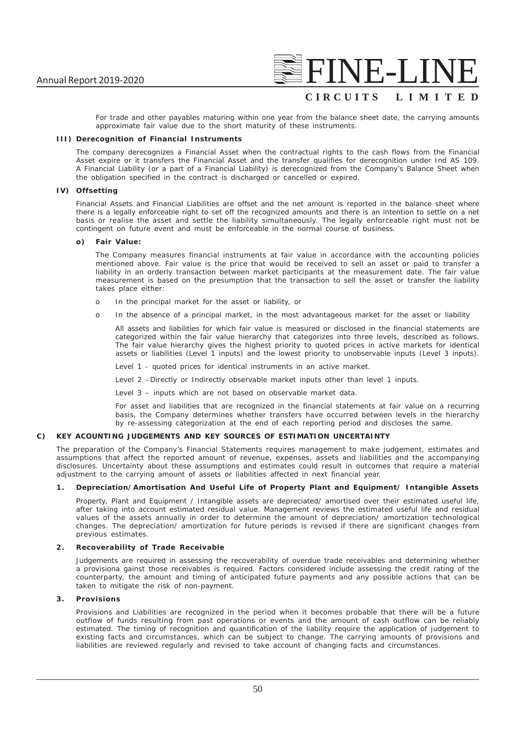# **CIRCUITS LIMITED**

For trade and other payables maturing within one year from the balance sheet date, the carrying amounts approximate fair value due to the short maturity of these instruments.

# **III) Derecognition of Financial Instruments**

The company derecognizes a Financial Asset when the contractual rights to the cash flows from the Financial Asset expire or it transfers the Financial Asset and the transfer qualifies for derecognition under Ind AS 109. A Financial Liability (or a part of a Financial Liability) is derecognized from the Company's Balance Sheet when the obligation specified in the contract is discharged or cancelled or expired.

# **IV) Offsetting**

Financial Assets and Financial Liabilities are offset and the net amount is reported in the balance sheet where there is a legally enforceable right to set off the recognized amounts and there is an intention to settle on a net basis or realise the asset and settle the liability simultaneously. The legally enforceable right must not be contingent on future event and must be enforceable in the normal course of business.

# **o) Fair Value:**

The Company measures financial instruments at fair value in accordance with the accounting policies mentioned above. Fair value is the price that would be received to sell an asset or paid to transfer a liability in an orderly transaction between market participants at the measurement date. The fair value measurement is based on the presumption that the transaction to sell the asset or transfer the liability takes place either:

- o In the principal market for the asset or liability, or
- o In the absence of a principal market, in the most advantageous market for the asset or liability

All assets and liabilities for which fair value is measured or disclosed in the financial statements are categorized within the fair value hierarchy that categorizes into three levels, described as follows. The fair value hierarchy gives the highest priority to quoted prices in active markets for identical assets or liabilities (Level 1 inputs) and the lowest priority to unobservable inputs (Level 3 inputs).

Level 1 - quoted prices for identical instruments in an active market.

Level 2 –Directly or Indirectly observable market inputs other than level 1 inputs.

Level 3 – inputs which are not based on observable market data.

For asset and liabilities that are recognized in the financial statements at fair value on a recurring basis, the Company determines whether transfers have occurred between levels in the hierarchy by re-assessing categorization at the end of each reporting period and discloses the same.

# **C) KEY ACOUNTING JUDGEMENTS AND KEY SOURCES OF ESTIMATION UNCERTAINTY**

The preparation of the Company's Financial Statements requires management to make judgement, estimates and assumptions that affect the reported amount of revenue, expenses, assets and liabilities and the accompanying disclosures. Uncertainty about these assumptions and estimates could result in outcomes that require a material adjustment to the carrying amount of assets or liabilities affected in next financial year.

# **1. Depreciation/Amortisation And Useful Life of Property Plant and Equipment/ Intangible Assets**

Property, Plant and Equipment / Intangible assets are depreciated/ amortised over their estimated useful life, after taking into account estimated residual value. Management reviews the estimated useful life and residual values of the assets annually in order to determine the amount of depreciation/ amortization technological changes. The depreciation/ amortization for future periods is revised if there are significant changes from previous estimates.

# **2. Recoverability of Trade Receivable**

Judgements are required in assessing the recoverability of overdue trade receivables and determining whether a provisiona gainst those receivables is required. Factors considered include assessing the credit rating of the counterparty, the amount and timing of anticipated future payments and any possible actions that can be taken to mitigate the risk of non-payment.

## **3. Provisions**

Provisions and Liabilities are recognized in the period when it becomes probable that there will be a future outflow of funds resulting from past operations or events and the amount of cash outflow can be reliably estimated. The timing of recognition and quantification of the liability require the application of judgement to existing facts and circumstances, which can be subject to change. The carrying amounts of provisions and liabilities are reviewed regularly and revised to take account of changing facts and circumstances.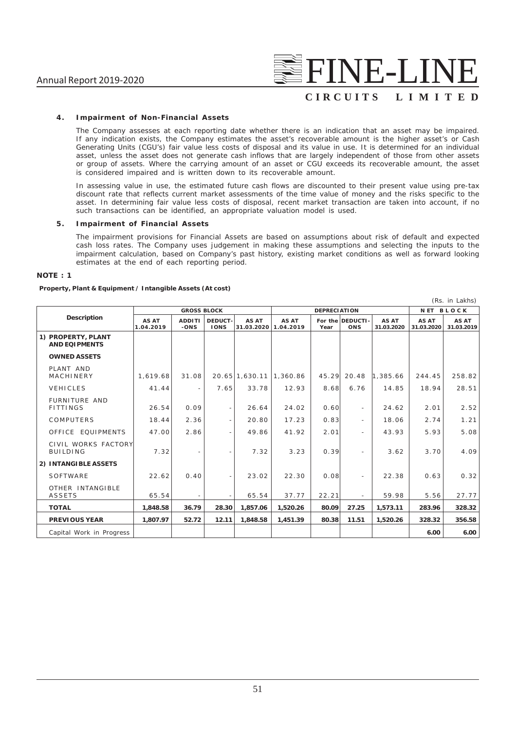# **CIRCUITS LIMITED**

# **4. Impairment of Non-Financial Assets**

The Company assesses at each reporting date whether there is an indication that an asset may be impaired. If any indication exists, the Company estimates the asset's recoverable amount is the higher asset's or Cash Generating Units (CGU's) fair value less costs of disposal and its value in use. It is determined for an individual asset, unless the asset does not generate cash inflows that are largely independent of those from other assets or group of assets. Where the carrying amount of an asset or CGU exceeds its recoverable amount, the asset is considered impaired and is written down to its recoverable amount.

In assessing value in use, the estimated future cash flows are discounted to their present value using pre-tax discount rate that reflects current market assessments of the time value of money and the risks specific to the asset. In determining fair value less costs of disposal, recent market transaction are taken into account, if no such transactions can be identified, an appropriate valuation model is used.

# **5. Impairment of Financial Assets**

The impairment provisions for Financial Assets are based on assumptions about risk of default and expected cash loss rates. The Company uses judgement in making these assumptions and selecting the inputs to the impairment calculation, based on Company's past history, existing market conditions as well as forward looking estimates at the end of each reporting period.

# **NOTE : 1**

## **Property, Plant & Equipment / Intangible Assets (At cost)**

| (Rs. in Lakhs)                             |                           |                          |                          |                            |                     |       |                                |                            |                     |                     |
|--------------------------------------------|---------------------------|--------------------------|--------------------------|----------------------------|---------------------|-------|--------------------------------|----------------------------|---------------------|---------------------|
|                                            |                           | <b>GROSS BLOCK</b>       |                          |                            | <b>DEPRECIATION</b> |       |                                |                            | NET BLOCK           |                     |
| <b>Description</b>                         | <b>AS AT</b><br>1.04.2019 | <b>ADDITI</b><br>-ONS    | DEDUCT-<br><b>IONS</b>   | <b>AS AT</b><br>31.03.2020 | AS AT<br>1.04.2019  | Year  | For the DEDUCTI-<br><b>ONS</b> | <b>AS AT</b><br>31.03.2020 | AS AT<br>31.03.2020 | AS AT<br>31.03.2019 |
| 1) PROPERTY, PLANT<br><b>AND EQIPMENTS</b> |                           |                          |                          |                            |                     |       |                                |                            |                     |                     |
| <b>OWNED ASSETS</b>                        |                           |                          |                          |                            |                     |       |                                |                            |                     |                     |
| PLANT AND<br><b>MACHINERY</b>              | 1,619.68                  | 31.08                    |                          | $20.65$ 1,630.11           | 1,360.86            | 45.29 | 20.48                          | 1.385.66                   | 244.45              | 258.82              |
| VEHICLES                                   | 41.44                     | $\sim$                   | 7.65                     | 33.78                      | 12.93               | 8.68  | 6.76                           | 14.85                      | 18.94               | 28.51               |
| <b>FURNITURE AND</b><br><b>FITTINGS</b>    | 26.54                     | 0.09                     | $\overline{\phantom{a}}$ | 26.64                      | 24.02               | 0.60  | $\overline{\phantom{0}}$       | 24.62                      | 2.01                | 2.52                |
| COMPUTERS                                  | 18.44                     | 2.36                     |                          | 20.80                      | 17.23               | 0.83  | $\overline{\phantom{0}}$       | 18.06                      | 2.74                | 1.21                |
| OFFICE EQUIPMENTS                          | 47.00                     | 2.86                     |                          | 49.86                      | 41.92               | 2.01  |                                | 43.93                      | 5.93                | 5.08                |
| CIVIL WORKS FACTORY<br><b>BUILDING</b>     | 7.32                      |                          |                          | 7.32                       | 3.23                | 0.39  |                                | 3.62                       | 3.70                | 4.09                |
| 2) INTANGIBLE ASSETS                       |                           |                          |                          |                            |                     |       |                                |                            |                     |                     |
| SOFTWARE                                   | 22.62                     | 0.40                     |                          | 23.02                      | 22.30               | 0.08  |                                | 22.38                      | 0.63                | 0.32                |
| OTHER INTANGIBLE<br><b>ASSETS</b>          | 65.54                     | $\overline{\phantom{a}}$ |                          | 65.54                      | 37.77               | 22.21 | $\overline{\phantom{0}}$       | 59.98                      | 5.56                | 27.77               |
| <b>TOTAL</b>                               | 1,848.58                  | 36.79                    | 28.30                    | 1,857.06                   | 1,520.26            | 80.09 | 27.25                          | 1,573.11                   | 283.96              | 328.32              |
| <b>PREVIOUS YEAR</b>                       | 1,807.97                  | 52.72                    | 12.11                    | 1,848.58                   | 1,451.39            | 80.38 | 11.51                          | 1,520.26                   | 328.32              | 356.58              |
| Capital Work in Progress                   |                           |                          |                          |                            |                     |       |                                |                            | 6.00                | 6.00                |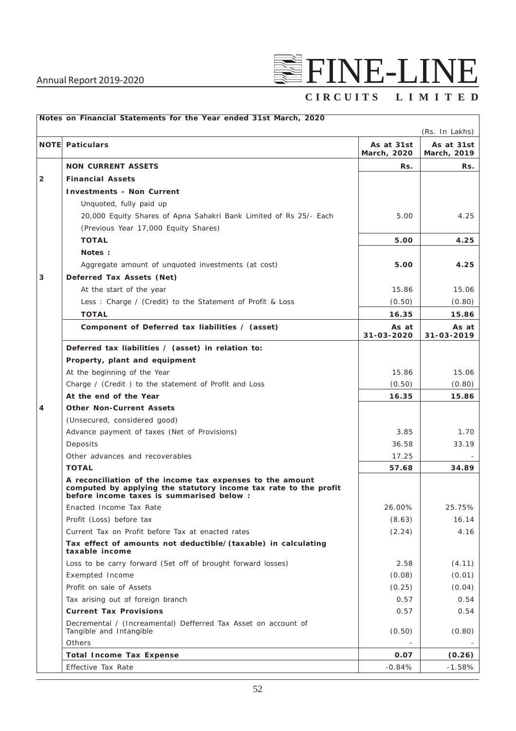# **CIRCUITS LIMITED**

|                | Notes on Financial Statements for the Year ended 31st March, 2020                                                                                                         |                           |                           |
|----------------|---------------------------------------------------------------------------------------------------------------------------------------------------------------------------|---------------------------|---------------------------|
|                |                                                                                                                                                                           |                           | (Rs. In Lakhs)            |
|                | <b>NOTE Paticulars</b>                                                                                                                                                    | As at 31st<br>March, 2020 | As at 31st<br>March, 2019 |
|                | <b>NON CURRENT ASSETS</b>                                                                                                                                                 | Rs.                       | Rs.                       |
| $\overline{2}$ | <b>Financial Assets</b>                                                                                                                                                   |                           |                           |
|                | <b>Investments - Non Current</b>                                                                                                                                          |                           |                           |
|                | Unquoted, fully paid up                                                                                                                                                   |                           |                           |
|                | 20,000 Equity Shares of Apna Sahakri Bank Limited of Rs 25/- Each                                                                                                         | 5.00                      | 4.25                      |
|                | (Previous Year 17,000 Equity Shares)                                                                                                                                      |                           |                           |
|                | <b>TOTAL</b>                                                                                                                                                              | 5.00                      | 4.25                      |
|                | Notes:                                                                                                                                                                    |                           |                           |
|                | Aggregate amount of unquoted investments (at cost)                                                                                                                        | 5.00                      | 4.25                      |
| 3              | Deferred Tax Assets (Net)                                                                                                                                                 |                           |                           |
|                | At the start of the year                                                                                                                                                  | 15.86                     | 15.06                     |
|                | Less: Charge / (Credit) to the Statement of Profit & Loss                                                                                                                 | (0.50)                    | (0.80)                    |
|                | <b>TOTAL</b>                                                                                                                                                              | 16.35                     | 15.86                     |
|                | Component of Deferred tax liabilities / (asset)                                                                                                                           | As at<br>31-03-2020       | As at<br>31-03-2019       |
|                | Deferred tax liabilities / (asset) in relation to:                                                                                                                        |                           |                           |
|                | Property, plant and equipment                                                                                                                                             |                           |                           |
|                | At the beginning of the Year                                                                                                                                              | 15.86                     | 15.06                     |
|                | Charge / (Credit) to the statement of Profit and Loss                                                                                                                     | (0.50)                    | (0.80)                    |
|                | At the end of the Year                                                                                                                                                    | 16.35                     | 15.86                     |
| 4              | <b>Other Non-Current Assets</b>                                                                                                                                           |                           |                           |
|                | (Unsecured, considered good)                                                                                                                                              |                           |                           |
|                | Advance payment of taxes (Net of Provisions)                                                                                                                              | 3.85                      | 1.70                      |
|                | Deposits                                                                                                                                                                  | 36.58                     | 33.19                     |
|                | Other advances and recoverables                                                                                                                                           | 17.25                     |                           |
|                | <b>TOTAL</b>                                                                                                                                                              | 57.68                     | 34.89                     |
|                | A reconciliation of the income tax expenses to the amount<br>computed by applying the statutory income tax rate to the profit<br>before income taxes is summarised below: |                           |                           |
|                | Enacted Income Tax Rate                                                                                                                                                   | 26.00%                    | 25.75%                    |
|                | Profit (Loss) before tax                                                                                                                                                  | (8.63)                    | 16.14                     |
|                | Current Tax on Profit before Tax at enacted rates                                                                                                                         | (2.24)                    | 4.16                      |
|                | Tax effect of amounts not deductible/(taxable) in calculating<br>taxable income                                                                                           |                           |                           |
|                | Loss to be carry forward (Set off of brought forward losses)                                                                                                              | 2.58                      | (4.11)                    |
|                | Exempted Income                                                                                                                                                           | (0.08)                    | (0.01)                    |
|                | Profit on sale of Assets                                                                                                                                                  | (0.25)                    | (0.04)                    |
|                | Tax arising out of foreign branch                                                                                                                                         | 0.57                      | 0.54                      |
|                | <b>Current Tax Provisions</b>                                                                                                                                             | 0.57                      | 0.54                      |
|                | Decremental / (Increamental) Defferred Tax Asset on account of<br>Tangible and Intangible                                                                                 | (0.50)                    | (0.80)                    |
|                | Others                                                                                                                                                                    |                           |                           |
|                | <b>Total Income Tax Expense</b>                                                                                                                                           | 0.07                      | (0.26)                    |
|                | Effective Tax Rate                                                                                                                                                        | $-0.84%$                  | $-1.58%$                  |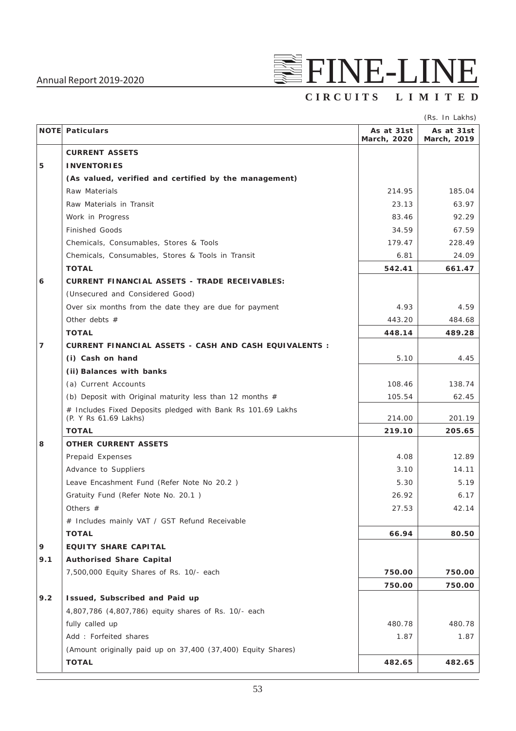# **CIRCUITS LIMITED**

|                | <b>NOTE Paticulars</b>                                                               | As at 31st  | (RS. III LANIS)<br>As at 31st |
|----------------|--------------------------------------------------------------------------------------|-------------|-------------------------------|
|                |                                                                                      | March, 2020 | March, 2019                   |
|                | <b>CURRENT ASSETS</b>                                                                |             |                               |
| 5              | <b>INVENTORIES</b>                                                                   |             |                               |
|                | (As valued, verified and certified by the management)                                |             |                               |
|                | Raw Materials                                                                        | 214.95      | 185.04                        |
|                | Raw Materials in Transit                                                             | 23.13       | 63.97                         |
|                | Work in Progress                                                                     | 83.46       | 92.29                         |
|                | Finished Goods                                                                       | 34.59       | 67.59                         |
|                | Chemicals, Consumables, Stores & Tools                                               | 179.47      | 228.49                        |
|                | Chemicals, Consumables, Stores & Tools in Transit                                    | 6.81        | 24.09                         |
|                | <b>TOTAL</b>                                                                         | 542.41      | 661.47                        |
| 6              | <b>CURRENT FINANCIAL ASSETS - TRADE RECEIVABLES:</b>                                 |             |                               |
|                | (Unsecured and Considered Good)                                                      |             |                               |
|                | Over six months from the date they are due for payment                               | 4.93        | 4.59                          |
|                | Other debts $#$                                                                      | 443.20      | 484.68                        |
|                | <b>TOTAL</b>                                                                         | 448.14      | 489.28                        |
| $\overline{7}$ | CURRENT FINANCIAL ASSETS - CASH AND CASH EQUIVALENTS :                               |             |                               |
|                | (i) Cash on hand                                                                     | 5.10        | 4.45                          |
|                | (ii) Balances with banks                                                             |             |                               |
|                | (a) Current Accounts                                                                 | 108.46      | 138.74                        |
|                | (b) Deposit with Original maturity less than 12 months #                             | 105.54      | 62.45                         |
|                | # Includes Fixed Deposits pledged with Bank Rs 101.69 Lakhs<br>(P. Y Rs 61.69 Lakhs) | 214.00      | 201.19                        |
|                | <b>TOTAL</b>                                                                         | 219.10      | 205.65                        |
| 8              | OTHER CURRENT ASSETS                                                                 |             |                               |
|                | Prepaid Expenses                                                                     | 4.08        | 12.89                         |
|                | Advance to Suppliers                                                                 | 3.10        | 14.11                         |
|                | Leave Encashment Fund (Refer Note No 20.2)                                           | 5.30        | 5.19                          |
|                | Gratuity Fund (Refer Note No. 20.1)                                                  | 26.92       | 6.17                          |
|                | Others $#$                                                                           | 27.53       | 42.14                         |
|                | # Includes mainly VAT / GST Refund Receivable                                        |             |                               |
|                | <b>TOTAL</b>                                                                         | 66.94       | 80.50                         |
| 9              | <b>EQUITY SHARE CAPITAL</b>                                                          |             |                               |
| 9.1            | <b>Authorised Share Capital</b>                                                      |             |                               |
|                | 7,500,000 Equity Shares of Rs. 10/- each                                             | 750.00      | 750.00                        |
|                |                                                                                      | 750.00      | 750.00                        |
| 9.2            | Issued, Subscribed and Paid up                                                       |             |                               |
|                | 4,807,786 (4,807,786) equity shares of Rs. 10/- each                                 |             |                               |
|                | fully called up                                                                      | 480.78      | 480.78                        |
|                | Add: Forfeited shares                                                                | 1.87        | 1.87                          |
|                | (Amount originally paid up on 37,400 (37,400) Equity Shares)                         |             |                               |
|                | <b>TOTAL</b>                                                                         | 482.65      | 482.65                        |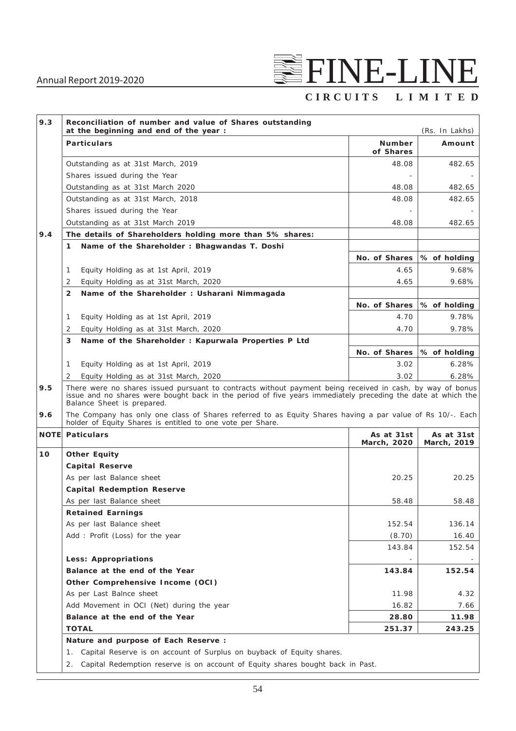# Annual Report 2019-2020<br>  $\blacksquare$  FINE-LINE

# **CIRCUITS LIMITED**

| 9.3         | Reconciliation of number and value of Shares outstanding<br>at the beginning and end of the year :<br>(Rs. In Lakhs)                                                                                                                                    |                            |                           |  |  |  |
|-------------|---------------------------------------------------------------------------------------------------------------------------------------------------------------------------------------------------------------------------------------------------------|----------------------------|---------------------------|--|--|--|
|             | <b>Particulars</b>                                                                                                                                                                                                                                      | <b>Number</b><br>of Shares | Amount                    |  |  |  |
|             | Outstanding as at 31st March, 2019                                                                                                                                                                                                                      | 48.08                      | 482.65                    |  |  |  |
|             | Shares issued during the Year                                                                                                                                                                                                                           |                            |                           |  |  |  |
|             | Outstanding as at 31st March 2020                                                                                                                                                                                                                       | 48.08                      | 482.65                    |  |  |  |
|             | Outstanding as at 31st March, 2018                                                                                                                                                                                                                      | 48.08                      | 482.65                    |  |  |  |
|             | Shares issued during the Year                                                                                                                                                                                                                           |                            |                           |  |  |  |
|             | Outstanding as at 31st March 2019                                                                                                                                                                                                                       | 48.08                      | 482.65                    |  |  |  |
| 9.4         | The details of Shareholders holding more than 5% shares:                                                                                                                                                                                                |                            |                           |  |  |  |
|             | Name of the Shareholder: Bhagwandas T. Doshi<br>1                                                                                                                                                                                                       |                            |                           |  |  |  |
|             |                                                                                                                                                                                                                                                         | No. of Shares              | % of holding              |  |  |  |
|             | Equity Holding as at 1st April, 2019<br>1                                                                                                                                                                                                               | 4.65                       | 9.68%                     |  |  |  |
|             | Equity Holding as at 31st March, 2020<br>2                                                                                                                                                                                                              | 4.65                       | 9.68%                     |  |  |  |
|             | $\overline{2}$<br>Name of the Shareholder: Usharani Nimmagada                                                                                                                                                                                           |                            |                           |  |  |  |
|             |                                                                                                                                                                                                                                                         | No. of Shares              | % of holding              |  |  |  |
|             | Equity Holding as at 1st April, 2019<br>1                                                                                                                                                                                                               | 4.70                       | 9.78%                     |  |  |  |
|             | Equity Holding as at 31st March, 2020<br>2                                                                                                                                                                                                              | 4.70                       | 9.78%                     |  |  |  |
|             | 3<br>Name of the Shareholder : Kapurwala Properties P Ltd                                                                                                                                                                                               |                            |                           |  |  |  |
|             |                                                                                                                                                                                                                                                         | No. of Shares              | % of holding              |  |  |  |
|             | Equity Holding as at 1st April, 2019<br>1                                                                                                                                                                                                               | 3.02                       | 6.28%                     |  |  |  |
|             | 2<br>Equity Holding as at 31st March, 2020                                                                                                                                                                                                              | 3.02                       | 6.28%                     |  |  |  |
| 9.5         | There were no shares issued pursuant to contracts without payment being received in cash, by way of bonus<br>issue and no shares were bought back in the period of five years immediately preceding the date at which the<br>Balance Sheet is prepared. |                            |                           |  |  |  |
| 9.6         | The Company has only one class of Shares referred to as Equity Shares having a par value of Rs 10/-. Each<br>holder of Equity Shares is entitled to one vote per Share.                                                                                 |                            |                           |  |  |  |
| <b>NOTE</b> | <b>Paticulars</b>                                                                                                                                                                                                                                       | As at 31st<br>March, 2020  | As at 31st<br>March, 2019 |  |  |  |
| 10          | <b>Other Equity</b>                                                                                                                                                                                                                                     |                            |                           |  |  |  |
|             | <b>Capital Reserve</b>                                                                                                                                                                                                                                  |                            |                           |  |  |  |
|             | As per last Balance sheet                                                                                                                                                                                                                               | 20.25                      | 20.25                     |  |  |  |
|             | <b>Capital Redemption Reserve</b>                                                                                                                                                                                                                       |                            |                           |  |  |  |
|             | As per last Balance sheet                                                                                                                                                                                                                               | 58.48                      | 58.48                     |  |  |  |
|             | <b>Retained Earnings</b>                                                                                                                                                                                                                                |                            |                           |  |  |  |
|             | As per last Balance sheet                                                                                                                                                                                                                               | 152.54                     | 136.14                    |  |  |  |
|             | Add: Profit (Loss) for the year                                                                                                                                                                                                                         | (8.70)                     | 16.40                     |  |  |  |
|             |                                                                                                                                                                                                                                                         | 143.84                     | 152.54                    |  |  |  |
|             | <b>Less: Appropriations</b>                                                                                                                                                                                                                             |                            |                           |  |  |  |
|             | Balance at the end of the Year                                                                                                                                                                                                                          | 143.84                     | 152.54                    |  |  |  |
|             | Other Comprehensive Income (OCI)                                                                                                                                                                                                                        |                            |                           |  |  |  |
|             | As per Last Balnce sheet                                                                                                                                                                                                                                | 11.98                      | 4.32                      |  |  |  |
|             | Add Movement in OCI (Net) during the year                                                                                                                                                                                                               | 16.82                      | 7.66                      |  |  |  |
|             | Balance at the end of the Year                                                                                                                                                                                                                          | 28.80                      | 11.98                     |  |  |  |
|             | <b>TOTAL</b>                                                                                                                                                                                                                                            | 251.37                     | 243.25                    |  |  |  |
|             | Nature and purpose of Each Reserve :                                                                                                                                                                                                                    |                            |                           |  |  |  |
|             | Capital Reserve is on account of Surplus on buyback of Equity shares.<br>1.                                                                                                                                                                             |                            |                           |  |  |  |
|             | Capital Redemption reserve is on account of Equity shares bought back in Past.<br>2.                                                                                                                                                                    |                            |                           |  |  |  |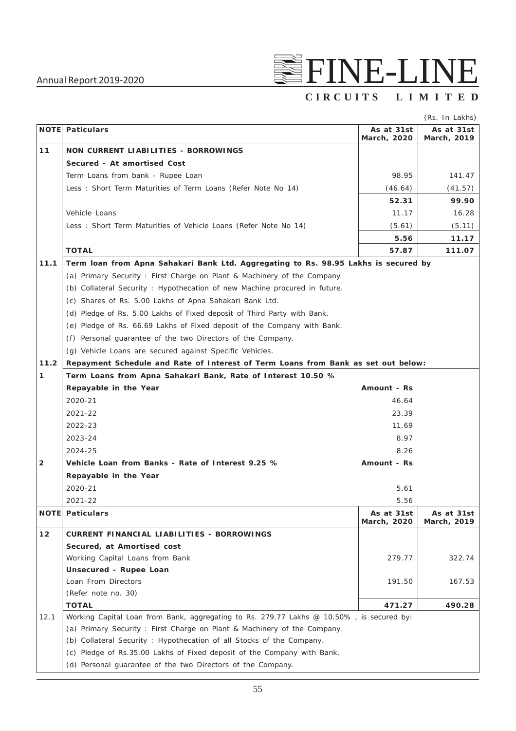# Annual Report 2019-2020<br>  $\blacksquare$  FINE-LINE

# **CIRCUITS LIMITED**

|      | (Rs. In Lakhs)                                                                           |                           |                           |  |  |  |
|------|------------------------------------------------------------------------------------------|---------------------------|---------------------------|--|--|--|
|      | <b>NOTE Paticulars</b>                                                                   | As at 31st<br>March, 2020 | As at 31st<br>March, 2019 |  |  |  |
| 11   | NON CURRENT LIABILITIES - BORROWINGS                                                     |                           |                           |  |  |  |
|      | Secured - At amortised Cost                                                              |                           |                           |  |  |  |
|      | Term Loans from bank - Rupee Loan                                                        | 98.95                     | 141.47                    |  |  |  |
|      | Less: Short Term Maturities of Term Loans (Refer Note No 14)                             | (46.64)                   | (41.57)                   |  |  |  |
|      |                                                                                          | 52.31                     | 99.90                     |  |  |  |
|      | Vehicle Loans                                                                            | 11.17                     | 16.28                     |  |  |  |
|      | Less: Short Term Maturities of Vehicle Loans (Refer Note No 14)                          | (5.61)                    | (5.11)                    |  |  |  |
|      |                                                                                          | 5.56                      | 11.17                     |  |  |  |
|      | <b>TOTAL</b>                                                                             | 57.87                     | 111.07                    |  |  |  |
| 11.1 | Term Ioan from Apna Sahakari Bank Ltd. Aggregating to Rs. 98.95 Lakhs is secured by      |                           |                           |  |  |  |
|      | (a) Primary Security: First Charge on Plant & Machinery of the Company.                  |                           |                           |  |  |  |
|      | (b) Collateral Security: Hypothecation of new Machine procured in future.                |                           |                           |  |  |  |
|      | (c) Shares of Rs. 5.00 Lakhs of Apna Sahakari Bank Ltd.                                  |                           |                           |  |  |  |
|      | (d) Pledge of Rs. 5.00 Lakhs of Fixed deposit of Third Party with Bank.                  |                           |                           |  |  |  |
|      | (e) Pledge of Rs. 66.69 Lakhs of Fixed deposit of the Company with Bank.                 |                           |                           |  |  |  |
|      | (f) Personal guarantee of the two Directors of the Company.                              |                           |                           |  |  |  |
|      | (g) Vehicle Loans are secured against Specific Vehicles.                                 |                           |                           |  |  |  |
| 11.2 | Repayment Schedule and Rate of Interest of Term Loans from Bank as set out below:        |                           |                           |  |  |  |
| 1    | Term Loans from Apna Sahakari Bank, Rate of Interest 10.50 %                             |                           |                           |  |  |  |
|      | Repayable in the Year                                                                    | Amount - Rs               |                           |  |  |  |
|      | 2020-21                                                                                  | 46.64                     |                           |  |  |  |
|      | 2021-22                                                                                  | 23.39                     |                           |  |  |  |
|      | 2022-23                                                                                  | 11.69                     |                           |  |  |  |
|      | 2023-24                                                                                  | 8.97                      |                           |  |  |  |
|      | 2024-25                                                                                  | 8.26                      |                           |  |  |  |
| 2    | Vehicle Loan from Banks - Rate of Interest 9.25 %                                        | Amount - Rs               |                           |  |  |  |
|      | Repayable in the Year                                                                    |                           |                           |  |  |  |
|      | 2020-21                                                                                  | 5.61                      |                           |  |  |  |
|      | 2021-22                                                                                  | 5.56                      |                           |  |  |  |
|      | <b>NOTE Paticulars</b>                                                                   | As at 31st                | As at 31st                |  |  |  |
|      |                                                                                          | March, 2020               | March, 2019               |  |  |  |
| 12   | <b>CURRENT FINANCIAL LIABILITIES - BORROWINGS</b><br>Secured, at Amortised cost          |                           |                           |  |  |  |
|      | Working Capital Loans from Bank                                                          | 279.77                    | 322.74                    |  |  |  |
|      | Unsecured - Rupee Loan                                                                   |                           |                           |  |  |  |
|      | Loan From Directors                                                                      | 191.50                    | 167.53                    |  |  |  |
|      | (Refer note no. 30)                                                                      |                           |                           |  |  |  |
|      | <b>TOTAL</b>                                                                             | 471.27                    | 490.28                    |  |  |  |
| 12.1 | Working Capital Loan from Bank, aggregating to Rs. 279.77 Lakhs @ 10.50%, is secured by: |                           |                           |  |  |  |
|      | (a) Primary Security: First Charge on Plant & Machinery of the Company.                  |                           |                           |  |  |  |
|      | (b) Collateral Security : Hypothecation of all Stocks of the Company.                    |                           |                           |  |  |  |
|      | (c) Pledge of Rs.35.00 Lakhs of Fixed deposit of the Company with Bank.                  |                           |                           |  |  |  |
|      | (d) Personal guarantee of the two Directors of the Company.                              |                           |                           |  |  |  |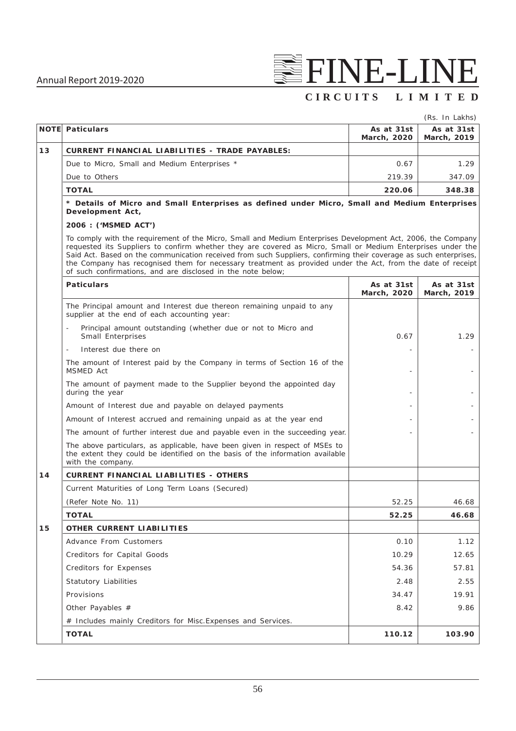# Annual Report 2019-2020 **Example 1**

# **CIRCUITS LIMITED**

|    |                                                                                                                                                                                                                                                                                                                                                                                                                                                                                                                                |                           | (Rs. In Lakhs)            |
|----|--------------------------------------------------------------------------------------------------------------------------------------------------------------------------------------------------------------------------------------------------------------------------------------------------------------------------------------------------------------------------------------------------------------------------------------------------------------------------------------------------------------------------------|---------------------------|---------------------------|
|    | <b>NOTE Paticulars</b>                                                                                                                                                                                                                                                                                                                                                                                                                                                                                                         | As at 31st<br>March, 2020 | As at 31st<br>March, 2019 |
| 13 | CURRENT FINANCIAL LIABILITIES - TRADE PAYABLES:                                                                                                                                                                                                                                                                                                                                                                                                                                                                                |                           |                           |
|    | Due to Micro, Small and Medium Enterprises *                                                                                                                                                                                                                                                                                                                                                                                                                                                                                   | 0.67                      | 1.29                      |
|    | Due to Others                                                                                                                                                                                                                                                                                                                                                                                                                                                                                                                  | 219.39                    | 347.09                    |
|    | <b>TOTAL</b>                                                                                                                                                                                                                                                                                                                                                                                                                                                                                                                   | 220.06                    | 348.38                    |
|    | * Details of Micro and Small Enterprises as defined under Micro, Small and Medium Enterprises<br>Development Act,                                                                                                                                                                                                                                                                                                                                                                                                              |                           |                           |
|    | 2006 : ('MSMED ACT')                                                                                                                                                                                                                                                                                                                                                                                                                                                                                                           |                           |                           |
|    | To comply with the requirement of the Micro, Small and Medium Enterprises Development Act, 2006, the Company<br>requested its Suppliers to confirm whether they are covered as Micro, Small or Medium Enterprises under the<br>Said Act. Based on the communication received from such Suppliers, confirming their coverage as such enterprises,<br>the Company has recognised them for necessary treatment as provided under the Act, from the date of receipt<br>of such confirmations, and are disclosed in the note below; |                           |                           |
|    | <b>Paticulars</b>                                                                                                                                                                                                                                                                                                                                                                                                                                                                                                              | As at 31st<br>March, 2020 | As at 31st<br>March, 2019 |
|    | The Principal amount and Interest due thereon remaining unpaid to any<br>supplier at the end of each accounting year:                                                                                                                                                                                                                                                                                                                                                                                                          |                           |                           |
|    | Principal amount outstanding (whether due or not to Micro and<br>÷,<br>Small Enterprises                                                                                                                                                                                                                                                                                                                                                                                                                                       | 0.67                      | 1.29                      |
|    | Interest due there on                                                                                                                                                                                                                                                                                                                                                                                                                                                                                                          |                           |                           |
|    | The amount of Interest paid by the Company in terms of Section 16 of the<br>MSMED Act                                                                                                                                                                                                                                                                                                                                                                                                                                          |                           |                           |
|    | The amount of payment made to the Supplier beyond the appointed day<br>during the year                                                                                                                                                                                                                                                                                                                                                                                                                                         |                           |                           |
|    | Amount of Interest due and payable on delayed payments                                                                                                                                                                                                                                                                                                                                                                                                                                                                         |                           |                           |
|    | Amount of Interest accrued and remaining unpaid as at the year end                                                                                                                                                                                                                                                                                                                                                                                                                                                             |                           |                           |
|    | The amount of further interest due and payable even in the succeeding year.                                                                                                                                                                                                                                                                                                                                                                                                                                                    |                           |                           |
|    | The above particulars, as applicable, have been given in respect of MSEs to<br>the extent they could be identified on the basis of the information available<br>with the company.                                                                                                                                                                                                                                                                                                                                              |                           |                           |
| 14 | <b>CURRENT FINANCIAL LIABILITIES - OTHERS</b>                                                                                                                                                                                                                                                                                                                                                                                                                                                                                  |                           |                           |
|    | Current Maturities of Long Term Loans (Secured)                                                                                                                                                                                                                                                                                                                                                                                                                                                                                |                           |                           |
|    | (Refer Note No. 11)                                                                                                                                                                                                                                                                                                                                                                                                                                                                                                            | 52.25                     | 46.68                     |
|    | <b>TOTAL</b>                                                                                                                                                                                                                                                                                                                                                                                                                                                                                                                   | 52.25                     | 46.68                     |
| 15 | OTHER CURRENT LIABILITIES                                                                                                                                                                                                                                                                                                                                                                                                                                                                                                      |                           |                           |
|    | Advance From Customers                                                                                                                                                                                                                                                                                                                                                                                                                                                                                                         | 0.10                      | 1.12                      |
|    | Creditors for Capital Goods                                                                                                                                                                                                                                                                                                                                                                                                                                                                                                    | 10.29                     | 12.65                     |
|    | Creditors for Expenses                                                                                                                                                                                                                                                                                                                                                                                                                                                                                                         | 54.36                     | 57.81                     |
|    | <b>Statutory Liabilities</b>                                                                                                                                                                                                                                                                                                                                                                                                                                                                                                   | 2.48                      | 2.55                      |
|    | Provisions                                                                                                                                                                                                                                                                                                                                                                                                                                                                                                                     | 34.47                     | 19.91                     |
|    | Other Payables #                                                                                                                                                                                                                                                                                                                                                                                                                                                                                                               | 8.42                      | 9.86                      |
|    | # Includes mainly Creditors for Misc. Expenses and Services.                                                                                                                                                                                                                                                                                                                                                                                                                                                                   |                           |                           |

**TOTAL 110.12 103.90**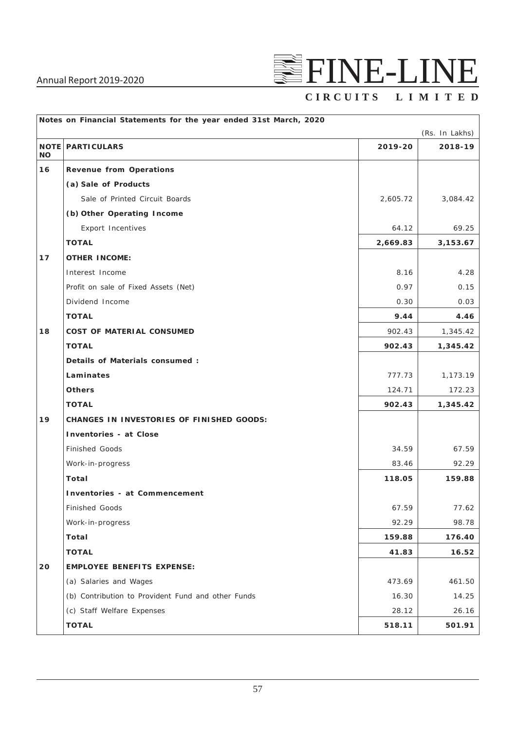# **CIRCUITS LIMITED**

|           | Notes on Financial Statements for the year ended 31st March, 2020 |          |                |
|-----------|-------------------------------------------------------------------|----------|----------------|
|           |                                                                   |          | (Rs. In Lakhs) |
| <b>NO</b> | <b>NOTE PARTICULARS</b>                                           | 2019-20  | 2018-19        |
| 16        | <b>Revenue from Operations</b>                                    |          |                |
|           | (a) Sale of Products                                              |          |                |
|           | Sale of Printed Circuit Boards                                    | 2,605.72 | 3,084.42       |
|           | (b) Other Operating Income                                        |          |                |
|           | Export Incentives                                                 | 64.12    | 69.25          |
|           | <b>TOTAL</b>                                                      | 2,669.83 | 3,153.67       |
| 17        | <b>OTHER INCOME:</b>                                              |          |                |
|           | Interest Income                                                   | 8.16     | 4.28           |
|           | Profit on sale of Fixed Assets (Net)                              | 0.97     | 0.15           |
|           | Dividend Income                                                   | 0.30     | 0.03           |
|           | <b>TOTAL</b>                                                      | 9.44     | 4.46           |
| 18        | COST OF MATERIAL CONSUMED                                         | 902.43   | 1,345.42       |
|           | <b>TOTAL</b>                                                      | 902.43   | 1,345.42       |
|           | Details of Materials consumed :                                   |          |                |
|           | Laminates                                                         | 777.73   | 1,173.19       |
|           | <b>Others</b>                                                     | 124.71   | 172.23         |
|           | <b>TOTAL</b>                                                      | 902.43   | 1,345.42       |
| 19        | CHANGES IN INVESTORIES OF FINISHED GOODS:                         |          |                |
|           | <b>Inventories - at Close</b>                                     |          |                |
|           | Finished Goods                                                    | 34.59    | 67.59          |
|           | Work-in-progress                                                  | 83.46    | 92.29          |
|           | Total                                                             | 118.05   | 159.88         |
|           | Inventories - at Commencement                                     |          |                |
|           | Finished Goods                                                    | 67.59    | 77.62          |
|           | Work-in-progress                                                  | 92.29    | 98.78          |
|           | Total                                                             | 159.88   | 176.40         |
|           | <b>TOTAL</b>                                                      | 41.83    | 16.52          |
| 20        | <b>EMPLOYEE BENEFITS EXPENSE:</b>                                 |          |                |
|           | (a) Salaries and Wages                                            | 473.69   | 461.50         |
|           | (b) Contribution to Provident Fund and other Funds                | 16.30    | 14.25          |
|           | (c) Staff Welfare Expenses                                        | 28.12    | 26.16          |
|           | <b>TOTAL</b>                                                      | 518.11   | 501.91         |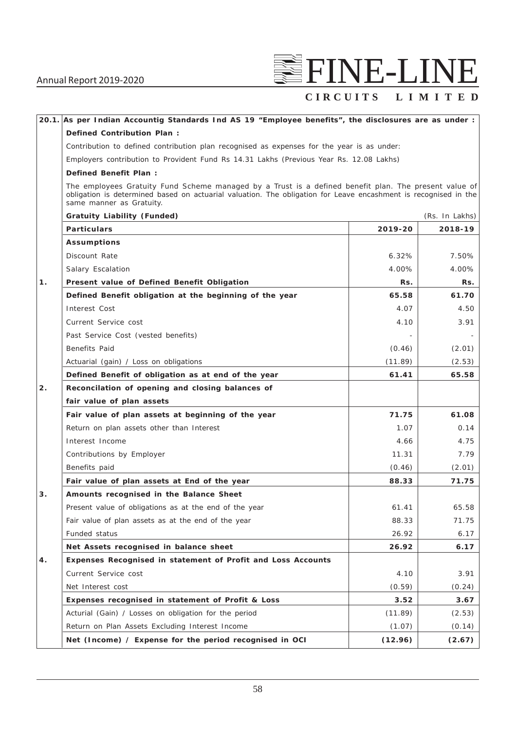# Annual Report 2019-2020<br>  $\blacksquare$  FINE-LINE

# **CIRCUITS LIMITED**

|    | 20.1. As per Indian Accountig Standards Ind AS 19 "Employee benefits", the disclosures are as under :                                                                                                                                                |         |                |  |  |  |  |
|----|------------------------------------------------------------------------------------------------------------------------------------------------------------------------------------------------------------------------------------------------------|---------|----------------|--|--|--|--|
|    | Defined Contribution Plan:                                                                                                                                                                                                                           |         |                |  |  |  |  |
|    | Contribution to defined contribution plan recognised as expenses for the year is as under:                                                                                                                                                           |         |                |  |  |  |  |
|    | Employers contribution to Provident Fund Rs 14.31 Lakhs (Previous Year Rs. 12.08 Lakhs)                                                                                                                                                              |         |                |  |  |  |  |
|    | Defined Benefit Plan:                                                                                                                                                                                                                                |         |                |  |  |  |  |
|    | The employees Gratuity Fund Scheme managed by a Trust is a defined benefit plan. The present value of<br>obligation is determined based on actuarial valuation. The obligation for Leave encashment is recognised in the<br>same manner as Gratuity. |         |                |  |  |  |  |
|    | <b>Gratuity Liability (Funded)</b>                                                                                                                                                                                                                   |         | (Rs. In Lakhs) |  |  |  |  |
|    | <b>Particulars</b>                                                                                                                                                                                                                                   | 2019-20 | 2018-19        |  |  |  |  |
|    | <b>Assumptions</b>                                                                                                                                                                                                                                   |         |                |  |  |  |  |
|    | Discount Rate                                                                                                                                                                                                                                        | 6.32%   | 7.50%          |  |  |  |  |
|    | Salary Escalation                                                                                                                                                                                                                                    | 4.00%   | 4.00%          |  |  |  |  |
| 1. | Present value of Defined Benefit Obligation                                                                                                                                                                                                          | Rs.     | Rs.            |  |  |  |  |
|    | Defined Benefit obligation at the beginning of the year                                                                                                                                                                                              | 65.58   | 61.70          |  |  |  |  |
|    | Interest Cost                                                                                                                                                                                                                                        | 4.07    | 4.50           |  |  |  |  |
|    | Current Service cost                                                                                                                                                                                                                                 | 4.10    | 3.91           |  |  |  |  |
|    | Past Service Cost (vested benefits)                                                                                                                                                                                                                  |         |                |  |  |  |  |
|    | <b>Benefits Paid</b>                                                                                                                                                                                                                                 | (0.46)  | (2.01)         |  |  |  |  |
|    | Actuarial (gain) / Loss on obligations                                                                                                                                                                                                               | (11.89) | (2.53)         |  |  |  |  |
|    | Defined Benefit of obligation as at end of the year                                                                                                                                                                                                  | 61.41   | 65.58          |  |  |  |  |
| 2. | Reconcilation of opening and closing balances of                                                                                                                                                                                                     |         |                |  |  |  |  |
|    | fair value of plan assets                                                                                                                                                                                                                            |         |                |  |  |  |  |
|    | Fair value of plan assets at beginning of the year                                                                                                                                                                                                   | 71.75   | 61.08          |  |  |  |  |
|    | Return on plan assets other than Interest                                                                                                                                                                                                            | 1.07    | 0.14           |  |  |  |  |
|    | Interest Income                                                                                                                                                                                                                                      | 4.66    | 4.75           |  |  |  |  |
|    | Contributions by Employer                                                                                                                                                                                                                            | 11.31   | 7.79           |  |  |  |  |
|    | Benefits paid                                                                                                                                                                                                                                        | (0.46)  | (2.01)         |  |  |  |  |
|    | Fair value of plan assets at End of the year                                                                                                                                                                                                         | 88.33   | 71.75          |  |  |  |  |
| 3. | Amounts recognised in the Balance Sheet                                                                                                                                                                                                              |         |                |  |  |  |  |
|    | Present value of obligations as at the end of the year                                                                                                                                                                                               | 61.41   | 65.58          |  |  |  |  |
|    | Fair value of plan assets as at the end of the year                                                                                                                                                                                                  | 88.33   | 71.75          |  |  |  |  |
|    | Funded status                                                                                                                                                                                                                                        | 26.92   | 6.17           |  |  |  |  |
|    | Net Assets recognised in balance sheet                                                                                                                                                                                                               | 26.92   | 6.17           |  |  |  |  |
| 4. | Expenses Recognised in statement of Profit and Loss Accounts                                                                                                                                                                                         |         |                |  |  |  |  |
|    | Current Service cost                                                                                                                                                                                                                                 | 4.10    | 3.91           |  |  |  |  |
|    | Net Interest cost                                                                                                                                                                                                                                    | (0.59)  | (0.24)         |  |  |  |  |
|    | Expenses recognised in statement of Profit & Loss                                                                                                                                                                                                    | 3.52    | 3.67           |  |  |  |  |
|    | Acturial (Gain) / Losses on obligation for the period                                                                                                                                                                                                | (11.89) | (2.53)         |  |  |  |  |
|    | Return on Plan Assets Excluding Interest Income                                                                                                                                                                                                      | (1.07)  | (0.14)         |  |  |  |  |
|    | Net (Income) / Expense for the period recognised in OCI                                                                                                                                                                                              | (12.96) | (2.67)         |  |  |  |  |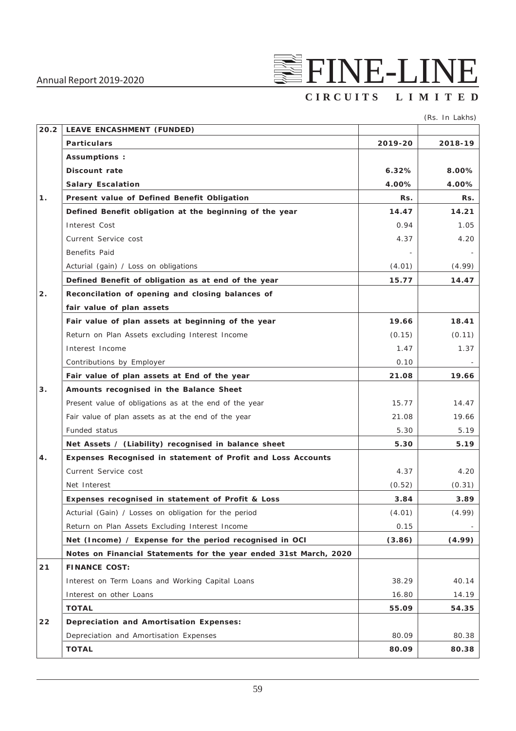# **CIRCUITS LIMITED**

| 20.2 | <b>LEAVE ENCASHMENT (FUNDED)</b>                                  |         |         |
|------|-------------------------------------------------------------------|---------|---------|
|      | <b>Particulars</b>                                                | 2019-20 | 2018-19 |
|      | Assumptions:                                                      |         |         |
|      | Discount rate                                                     | 6.32%   | 8.00%   |
|      | <b>Salary Escalation</b>                                          | 4.00%   | 4.00%   |
| 1.   | Present value of Defined Benefit Obligation                       | Rs.     | Rs.     |
|      | Defined Benefit obligation at the beginning of the year           | 14.47   | 14.21   |
|      | Interest Cost                                                     | 0.94    | 1.05    |
|      | Current Service cost                                              | 4.37    | 4.20    |
|      | Benefits Paid                                                     |         |         |
|      | Acturial (gain) / Loss on obligations                             | (4.01)  | (4.99)  |
|      | Defined Benefit of obligation as at end of the year               | 15.77   | 14.47   |
| 2.   | Reconcilation of opening and closing balances of                  |         |         |
|      | fair value of plan assets                                         |         |         |
|      | Fair value of plan assets at beginning of the year                | 19.66   | 18.41   |
|      | Return on Plan Assets excluding Interest Income                   | (0.15)  | (0.11)  |
|      | Interest Income                                                   | 1.47    | 1.37    |
|      | Contributions by Employer                                         | 0.10    |         |
|      | Fair value of plan assets at End of the year                      | 21.08   | 19.66   |
| 3.   | Amounts recognised in the Balance Sheet                           |         |         |
|      | Present value of obligations as at the end of the year            | 15.77   | 14.47   |
|      | Fair value of plan assets as at the end of the year               | 21.08   | 19.66   |
|      | Funded status                                                     | 5.30    | 5.19    |
|      | Net Assets / (Liability) recognised in balance sheet              | 5.30    | 5.19    |
| 4.   | Expenses Recognised in statement of Profit and Loss Accounts      |         |         |
|      | Current Service cost                                              | 4.37    | 4.20    |
|      | Net Interest                                                      | (0.52)  | (0.31)  |
|      | Expenses recognised in statement of Profit & Loss                 | 3.84    | 3.89    |
|      | Acturial (Gain) / Losses on obligation for the period             | (4.01)  | (4.99)  |
|      | Return on Plan Assets Excluding Interest Income                   | 0.15    |         |
|      | Net (Income) / Expense for the period recognised in OCI           | (3.86)  | (4.99)  |
|      | Notes on Financial Statements for the year ended 31st March, 2020 |         |         |
| 21   | <b>FINANCE COST:</b>                                              |         |         |
|      | Interest on Term Loans and Working Capital Loans                  | 38.29   | 40.14   |
|      | Interest on other Loans                                           | 16.80   | 14.19   |
|      | <b>TOTAL</b>                                                      | 55.09   | 54.35   |
| 22   | Depreciation and Amortisation Expenses:                           |         |         |
|      | Depreciation and Amortisation Expenses                            | 80.09   | 80.38   |
|      | <b>TOTAL</b>                                                      | 80.09   | 80.38   |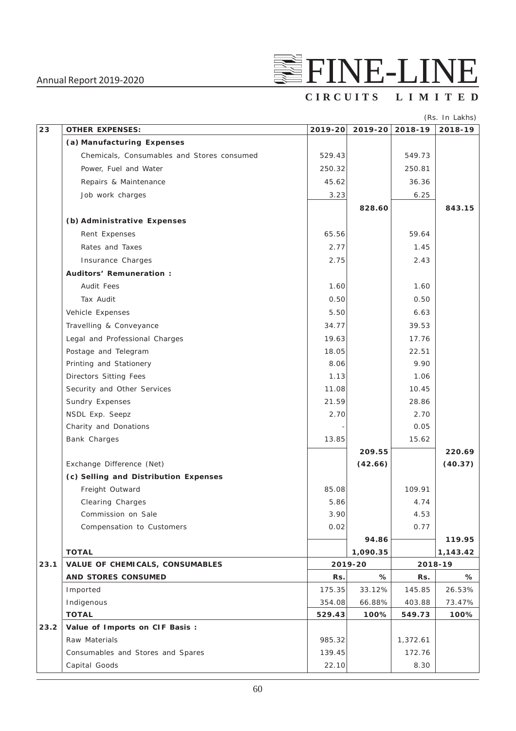# **CIRCUITS LIMITED**

| 23   | <b>OTHER EXPENSES:</b>                                 |        | 2019-20 2019-20     | 2018-19  | 2018-19      |
|------|--------------------------------------------------------|--------|---------------------|----------|--------------|
|      | (a) Manufacturing Expenses                             |        |                     |          |              |
|      | Chemicals, Consumables and Stores consumed             | 529.43 |                     | 549.73   |              |
|      | Power, Fuel and Water                                  | 250.32 |                     | 250.81   |              |
|      | Repairs & Maintenance                                  | 45.62  |                     | 36.36    |              |
|      | Job work charges                                       | 3.23   |                     | 6.25     |              |
|      |                                                        |        | 828.60              |          | 843.15       |
|      | (b) Administrative Expenses                            |        |                     |          |              |
|      | Rent Expenses                                          | 65.56  |                     | 59.64    |              |
|      | Rates and Taxes                                        | 2.77   |                     | 1.45     |              |
|      | Insurance Charges                                      | 2.75   |                     | 2.43     |              |
|      | <b>Auditors' Remuneration:</b>                         |        |                     |          |              |
|      | Audit Fees                                             | 1.60   |                     | 1.60     |              |
|      | Tax Audit                                              | 0.50   |                     | 0.50     |              |
|      | Vehicle Expenses                                       | 5.50   |                     | 6.63     |              |
|      | Travelling & Conveyance                                | 34.77  |                     | 39.53    |              |
|      | Legal and Professional Charges                         | 19.63  |                     | 17.76    |              |
|      | Postage and Telegram                                   | 18.05  |                     | 22.51    |              |
|      | Printing and Stationery                                | 8.06   |                     | 9.90     |              |
|      | Directors Sitting Fees                                 | 1.13   |                     | 1.06     |              |
|      | Security and Other Services                            | 11.08  |                     | 10.45    |              |
|      | Sundry Expenses                                        | 21.59  |                     | 28.86    |              |
|      | NSDL Exp. Seepz                                        | 2.70   |                     | 2.70     |              |
|      | Charity and Donations                                  |        |                     | 0.05     |              |
|      | Bank Charges                                           | 13.85  |                     | 15.62    |              |
|      |                                                        |        | 209.55              |          | 220.69       |
|      | Exchange Difference (Net)                              |        | (42.66)             |          | (40.37)      |
|      | (c) Selling and Distribution Expenses                  |        |                     |          |              |
|      | Freight Outward                                        | 85.08  |                     | 109.91   |              |
|      | Clearing Charges                                       | 5.86   |                     | 4.74     |              |
|      | Commission on Sale                                     | 3.90   |                     | 4.53     |              |
|      | Compensation to Customers                              | 0.02   |                     | 0.77     |              |
|      |                                                        |        | 94.86               |          | 119.95       |
| 23.1 | <b>TOTAL</b>                                           |        | 1,090.35<br>2019-20 |          | 1,143.42     |
|      | VALUE OF CHEMICALS, CONSUMABLES<br>AND STORES CONSUMED | Rs.    | $\%$                | Rs.      | 2018-19<br>% |
|      | Imported                                               | 175.35 | 33.12%              | 145.85   | 26.53%       |
|      | Indigenous                                             | 354.08 | 66.88%              | 403.88   | 73.47%       |
|      | <b>TOTAL</b>                                           | 529.43 | 100%                | 549.73   | 100%         |
| 23.2 | Value of Imports on CIF Basis :                        |        |                     |          |              |
|      | Raw Materials                                          | 985.32 |                     | 1,372.61 |              |
|      | Consumables and Stores and Spares                      | 139.45 |                     | 172.76   |              |
|      | Capital Goods                                          | 22.10  |                     | 8.30     |              |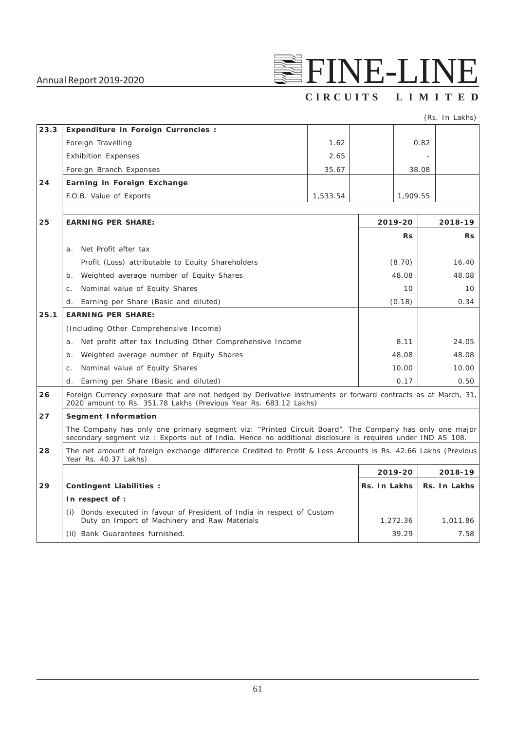# Annual Report 2019-2020 **Example 1**

# **CIRCUITS LIMITED**

|      |                                                                                                                                                                                                                    |          |              |           |       | (RS. IN LAKNS) |  |
|------|--------------------------------------------------------------------------------------------------------------------------------------------------------------------------------------------------------------------|----------|--------------|-----------|-------|----------------|--|
| 23.3 | <b>Expenditure in Foreign Currencies :</b>                                                                                                                                                                         |          |              |           |       |                |  |
|      | Foreign Travelling                                                                                                                                                                                                 | 1.62     |              |           | 0.82  |                |  |
|      | <b>Exhibition Expenses</b>                                                                                                                                                                                         | 2.65     |              |           |       |                |  |
|      | Foreign Branch Expenses                                                                                                                                                                                            | 35.67    |              |           | 38.08 |                |  |
| 24   | Earning in Foreign Exchange                                                                                                                                                                                        |          |              |           |       |                |  |
|      | F.O.B. Value of Exports                                                                                                                                                                                            | 1,533.54 |              | 1,909.55  |       |                |  |
|      |                                                                                                                                                                                                                    |          |              |           |       |                |  |
| 25   | <b>EARNING PER SHARE:</b>                                                                                                                                                                                          |          |              | 2019-20   |       | 2018-19        |  |
|      |                                                                                                                                                                                                                    |          |              | <b>Rs</b> |       | <b>Rs</b>      |  |
|      | a. Net Profit after tax                                                                                                                                                                                            |          |              |           |       |                |  |
|      | Profit (Loss) attributable to Equity Shareholders                                                                                                                                                                  |          |              | (8.70)    |       | 16.40          |  |
|      | b. Weighted average number of Equity Shares                                                                                                                                                                        |          |              | 48.08     |       | 48.08          |  |
|      | Nominal value of Equity Shares<br>C <sub>1</sub>                                                                                                                                                                   |          |              | 10        |       | 10             |  |
|      | Earning per Share (Basic and diluted)<br>d.                                                                                                                                                                        |          |              | (0.18)    |       | 0.34           |  |
| 25.1 | <b>EARNING PER SHARE:</b>                                                                                                                                                                                          |          |              |           |       |                |  |
|      | (Including Other Comprehensive Income)                                                                                                                                                                             |          |              |           |       |                |  |
|      | Net profit after tax Including Other Comprehensive Income<br>а.                                                                                                                                                    |          |              | 8.11      |       | 24.05          |  |
|      | b. Weighted average number of Equity Shares                                                                                                                                                                        |          |              | 48.08     |       | 48.08          |  |
|      | Nominal value of Equity Shares<br>С.                                                                                                                                                                               | 10.00    |              |           |       | 10.00          |  |
|      | Earning per Share (Basic and diluted)<br>d.                                                                                                                                                                        |          |              |           |       | 0.50           |  |
| 26   | Foreign Currency exposure that are not hedged by Derivative instruments or forward contracts as at March, 31,<br>2020 amount to Rs. 351.78 Lakhs (Previous Year Rs. 683.12 Lakhs)                                  |          |              |           |       |                |  |
| 27   | Segment Information                                                                                                                                                                                                |          |              |           |       |                |  |
|      | The Company has only one primary segment viz: "Printed Circuit Board". The Company has only one major<br>secondary segment viz: Exports out of India. Hence no additional disclosure is required under IND AS 108. |          |              |           |       |                |  |
| 28   | The net amount of foreign exchange difference Credited to Profit & Loss Accounts is Rs. 42.66 Lakhs (Previous<br>Year Rs. 40.37 Lakhs)                                                                             |          |              |           |       |                |  |
|      |                                                                                                                                                                                                                    |          |              | 2019-20   |       | 2018-19        |  |
| 29   | <b>Contingent Liabilities:</b>                                                                                                                                                                                     |          | Rs. In Lakhs |           |       | Rs. In Lakhs   |  |
|      | In respect of :                                                                                                                                                                                                    |          |              |           |       |                |  |
|      | (i) Bonds executed in favour of President of India in respect of Custom<br>Duty on Import of Machinery and Raw Materials                                                                                           |          |              | 1,272.36  |       | 1,011.86       |  |
|      | (ii) Bank Guarantees furnished.                                                                                                                                                                                    |          |              | 39.29     |       | 7.58           |  |
|      |                                                                                                                                                                                                                    |          |              |           |       |                |  |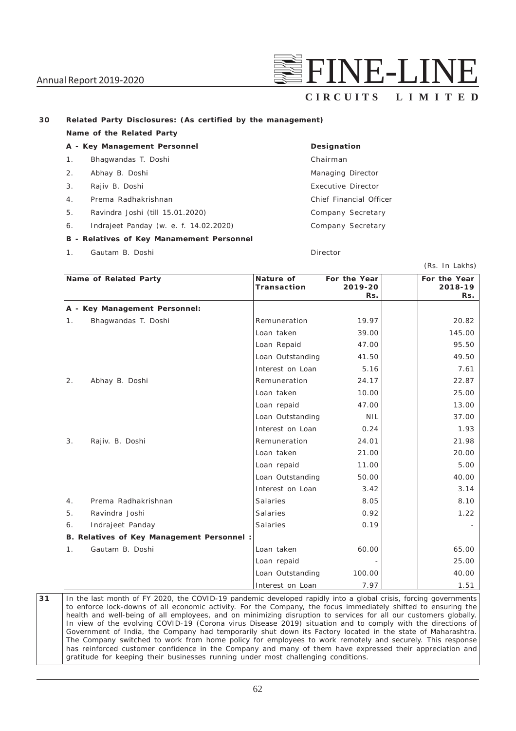

| 30 | Related Party Disclosures: (As certified by the management) |
|----|-------------------------------------------------------------|
|    | Name of the Related Party                                   |

- **A Key Management Personnel Designation**
- 1. Bhagwandas T. Doshi Chairman
- 2. Abhay B. Doshi Managing Director
- 3. Rajiv B. Doshi Executive Director
- 4. Prema Radhakrishnan Chief Financial Officer
- 5. Ravindra Joshi (till 15.01.2020) Company Secretary
- 6. Indrajeet Panday (w. e. f. 14.02.2020) Company Secretary
- **B Relatives of Key Manamement Personnel**
- 1. Gautam B. Doshi Director

(Rs. In Lakhs)

|                | Name of Related Party                      | Nature of<br><b>Transaction</b> | For the Year<br>2019-20<br>Rs. | For the Year<br>2018-19<br>Rs. |
|----------------|--------------------------------------------|---------------------------------|--------------------------------|--------------------------------|
|                | A - Key Management Personnel:              |                                 |                                |                                |
| 1 <sub>1</sub> | Bhagwandas T. Doshi                        | Remuneration                    | 19.97                          | 20.82                          |
|                |                                            | Loan taken                      | 39.00                          | 145.00                         |
|                |                                            | Loan Repaid                     | 47.00                          | 95.50                          |
|                |                                            | Loan Outstanding                | 41.50                          | 49.50                          |
|                |                                            | Interest on Loan                | 5.16                           | 7.61                           |
| 2.             | Abhay B. Doshi                             | Remuneration                    | 24.17                          | 22.87                          |
|                |                                            | Loan taken                      | 10.00                          | 25.00                          |
|                |                                            | Loan repaid                     | 47.00                          | 13.00                          |
|                |                                            | Loan Outstanding                | <b>NIL</b>                     | 37.00                          |
|                |                                            | Interest on Loan                | 0.24                           | 1.93                           |
| 3 <sub>1</sub> | Rajiv. B. Doshi                            | Remuneration                    | 24.01                          | 21.98                          |
|                |                                            | Loan taken                      | 21.00                          | 20.00                          |
|                |                                            | Loan repaid                     | 11.00                          | 5.00                           |
|                |                                            | Loan Outstanding                | 50.00                          | 40.00                          |
|                |                                            | Interest on Loan                | 3.42                           | 3.14                           |
| 4.             | Prema Radhakrishnan                        | <b>Salaries</b>                 | 8.05                           | 8.10                           |
| 5.             | Ravindra Joshi                             | <b>Salaries</b>                 | 0.92                           | 1.22                           |
| 6.             | Indrajeet Panday                           | <b>Salaries</b>                 | 0.19                           |                                |
|                | B. Relatives of Key Management Personnel : |                                 |                                |                                |
| 1.             | Gautam B. Doshi                            | Loan taken                      | 60.00                          | 65.00                          |
|                |                                            | Loan repaid                     |                                | 25.00                          |
|                |                                            | Loan Outstanding                | 100.00                         | 40.00                          |
|                |                                            | Interest on Loan                | 7.97                           | 1.51                           |

health and well-being of all employees, and on minimizing disruption to services for all our customers globally. In view of the evolving COVID-19 (Corona virus Disease 2019) situation and to comply with the directions of Government of India, the Company had temporarily shut down its Factory located in the state of Maharashtra. The Company switched to work from home policy for employees to work remotely and securely. This response has reinforced customer confidence in the Company and many of them have expressed their appreciation and gratitude for keeping their businesses running under most challenging conditions.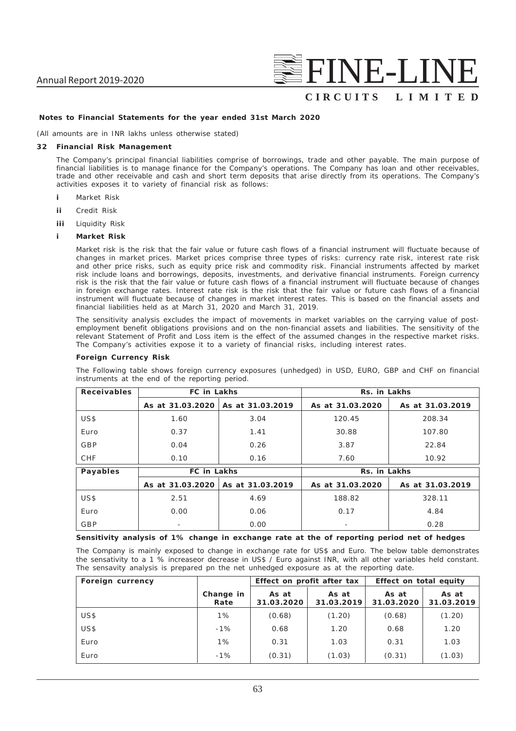

### **Notes to Financial Statements for the year ended 31st March 2020**

*(All amounts are in INR lakhs unless otherwise stated)*

# **32 Financial Risk Management**

The Company's principal financial liabilities comprise of borrowings, trade and other payable. The main purpose of financial liabilities is to manage finance for the Company's operations. The Company has loan and other receivables, trade and other receivable and cash and short term deposits that arise directly from its operations. The Company's activities exposes it to variety of financial risk as follows:

- **i** Market Risk
- **ii** Credit Risk
- **iii** Liquidity Risk

#### **i Market Risk**

Market risk is the risk that the fair value or future cash flows of a financial instrument will fluctuate because of changes in market prices. Market prices comprise three types of risks: currency rate risk, interest rate risk and other price risks, such as equity price risk and commodity risk. Financial instruments affected by market risk include loans and borrowings, deposits, investments, and derivative financial instruments. Foreign currency risk is the risk that the fair value or future cash flows of a financial instrument will fluctuate because of changes in foreign exchange rates. Interest rate risk is the risk that the fair value or future cash flows of a financial instrument will fluctuate because of changes in market interest rates. This is based on the financial assets and financial liabilities held as at March 31, 2020 and March 31, 2019.

The sensitivity analysis excludes the impact of movements in market variables on the carrying value of postemployment benefit obligations provisions and on the non-financial assets and liabilities. The sensitivity of the relevant Statement of Profit and Loss item is the effect of the assumed changes in the respective market risks. The Company's activities expose it to a variety of financial risks, including interest rates.

#### **Foreign Currency Risk**

The Following table shows foreign currency exposures (unhedged) in USD, EURO, GBP and CHF on financial instruments at the end of the reporting period.

| <b>Receivables</b> | FC in Lakhs      |                  | Rs. in Lakhs     |                  |  |
|--------------------|------------------|------------------|------------------|------------------|--|
|                    | As at 31.03.2020 | As at 31.03.2019 | As at 31.03.2020 | As at 31.03.2019 |  |
| US\$               | 1.60             | 3.04             | 120.45           | 208.34           |  |
| Euro               | 0.37             | 1.41             | 30.88            | 107.80           |  |
| GBP                | 0.04             | 0.26             | 3.87             | 22.84            |  |
| <b>CHF</b>         | 0.10             | 0.16             | 7.60             | 10.92            |  |
| Payables           | FC in Lakhs      |                  | Rs. in Lakhs     |                  |  |
|                    | As at 31.03.2020 | As at 31.03.2019 | As at 31.03.2020 | As at 31.03.2019 |  |
| US\$               | 2.51             | 4.69             | 188.82           | 328.11           |  |
| Euro               | 0.00             | 0.06             | 0.17             | 4.84             |  |
| GBP                |                  | 0.00             | -                | 0.28             |  |

**Sensitivity analysis of 1% change in exchange rate at the of reporting period net of hedges**

The Company is mainly exposed to change in exchange rate for US\$ and Euro. The below table demonstrates the sensativity to a 1 % increaseor decrease in US\$ / Euro against INR, with all other variables held constant. The sensavity analysis is prepared pn the net unhedged exposure as at the reporting date.

| Foreign currency |                   |                     | Effect on profit after tax | Effect on total equity |                     |  |
|------------------|-------------------|---------------------|----------------------------|------------------------|---------------------|--|
|                  | Change in<br>Rate | As at<br>31.03.2020 | As at<br>31.03.2019        | As at<br>31.03.2020    | As at<br>31.03.2019 |  |
| US\$             | $1\%$             | (0.68)              | (1.20)                     | (0.68)                 | (1.20)              |  |
| US\$             | $-1%$             | 0.68                | 1.20                       | 0.68                   | 1.20                |  |
| Euro             | 1%                | 0.31                | 1.03                       | 0.31                   | 1.03                |  |
| Euro             | $-1%$             | (0.31)              | (1.03)                     | (0.31)                 | (1.03)              |  |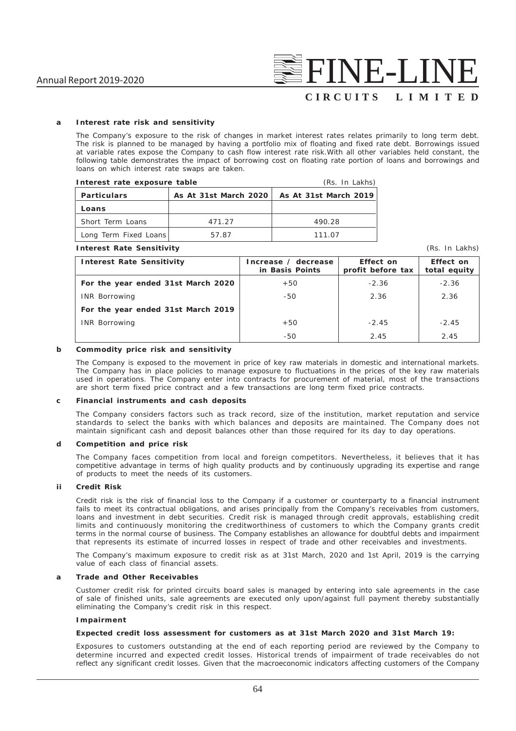# Annual Report 2019-2020 **FINE-LINE CIRCUITS LIMITED**

# **a Interest rate risk and sensitivity**

The Company's exposure to the risk of changes in market interest rates relates primarily to long term debt. The risk is planned to be managed by having a portfolio mix of floating and fixed rate debt. Borrowings issued at variable rates expose the Company to cash flow interest rate risk.With all other variables held constant, the following table demonstrates the impact of borrowing cost on floating rate portion of loans and borrowings and loans on which interest rate swaps are taken.

| Interest rate exposure table                | (Rs. In Lakhs) |                       |
|---------------------------------------------|----------------|-----------------------|
| As At 31st March 2020<br><b>Particulars</b> |                | As At 31st March 2019 |
| Loans                                       |                |                       |
| Short Term Loans                            | 471.27         | 490.28                |
| Long Term Fixed Loans                       | 57.87          | 111.07                |

# **Interest Rate Sensitivity** (Rs. In Lakhs)

| <b>Interest Rate Sensitivity</b>   | Increase / decrease<br>in Basis Points | Effect on<br>profit before tax | Effect on<br>total equity |  |
|------------------------------------|----------------------------------------|--------------------------------|---------------------------|--|
| For the year ended 31st March 2020 | $+50$                                  | $-2.36$                        | $-2.36$                   |  |
| <b>INR Borrowing</b>               | -50                                    | 2.36                           | 2.36                      |  |
| For the year ended 31st March 2019 |                                        |                                |                           |  |
| <b>INR Borrowing</b>               | $+50$                                  | $-2.45$                        | $-2.45$                   |  |
|                                    | -50                                    | 2.45                           | 2.45                      |  |

# **b Commodity price risk and sensitivity**

The Company is exposed to the movement in price of key raw materials in domestic and international markets. The Company has in place policies to manage exposure to fluctuations in the prices of the key raw materials used in operations. The Company enter into contracts for procurement of material, most of the transactions are short term fixed price contract and a few transactions are long term fixed price contracts.

### **c Financial instruments and cash deposits**

The Company considers factors such as track record, size of the institution, market reputation and service standards to select the banks with which balances and deposits are maintained. The Company does not maintain significant cash and deposit balances other than those required for its day to day operations.

# **d Competition and price risk**

The Company faces competition from local and foreign competitors. Nevertheless, it believes that it has competitive advantage in terms of high quality products and by continuously upgrading its expertise and range of products to meet the needs of its customers.

# **ii Credit Risk**

Credit risk is the risk of financial loss to the Company if a customer or counterparty to a financial instrument fails to meet its contractual obligations, and arises principally from the Company's receivables from customers, loans and investment in debt securities. Credit risk is managed through credit approvals, establishing credit limits and continuously monitoring the creditworthiness of customers to which the Company grants credit terms in the normal course of business. The Company establishes an allowance for doubtful debts and impairment that represents its estimate of incurred losses in respect of trade and other receivables and investments.

The Company's maximum exposure to credit risk as at 31st March, 2020 and 1st April, 2019 is the carrying value of each class of financial assets.

## **a Trade and Other Receivables**

Customer credit risk for printed circuits board sales is managed by entering into sale agreements in the case of sale of finished units, sale agreements are executed only upon/against full payment thereby substantially eliminating the Company's credit risk in this respect.

### **Impairment**

## **Expected credit loss assessment for customers as at 31st March 2020 and 31st March 19:**

Exposures to customers outstanding at the end of each reporting period are reviewed by the Company to determine incurred and expected credit losses. Historical trends of impairment of trade receivables do not reflect any significant credit losses. Given that the macroeconomic indicators affecting customers of the Company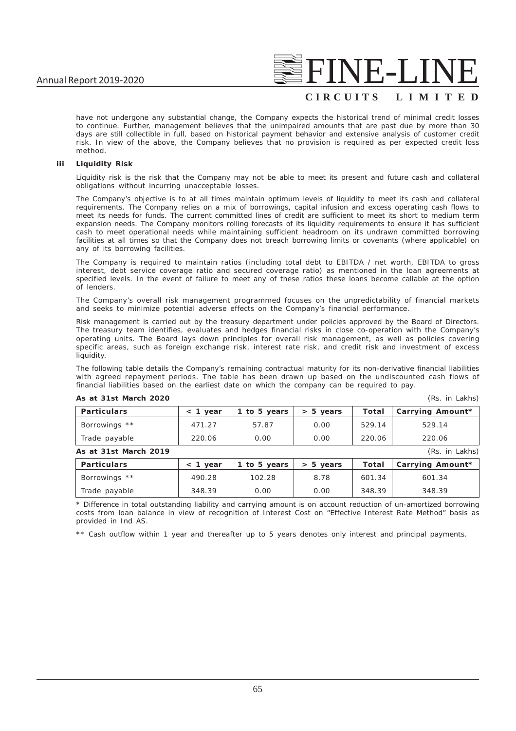# **CIRCUITS LIMITED**

have not undergone any substantial change, the Company expects the historical trend of minimal credit losses to continue. Further, management believes that the unimpaired amounts that are past due by more than 30 days are still collectible in full, based on historical payment behavior and extensive analysis of customer credit risk. In view of the above, the Company believes that no provision is required as per expected credit loss method.

# **iii Liquidity Risk**

Liquidity risk is the risk that the Company may not be able to meet its present and future cash and collateral obligations without incurring unacceptable losses.

The Company's objective is to at all times maintain optimum levels of liquidity to meet its cash and collateral requirements. The Company relies on a mix of borrowings, capital infusion and excess operating cash flows to meet its needs for funds. The current committed lines of credit are sufficient to meet its short to medium term expansion needs. The Company monitors rolling forecasts of its liquidity requirements to ensure it has sufficient cash to meet operational needs while maintaining sufficient headroom on its undrawn committed borrowing facilities at all times so that the Company does not breach borrowing limits or covenants (where applicable) on any of its borrowing facilities.

The Company is required to maintain ratios (including total debt to EBITDA / net worth, EBITDA to gross interest, debt service coverage ratio and secured coverage ratio) as mentioned in the loan agreements at specified levels. In the event of failure to meet any of these ratios these loans become callable at the option of lenders.

The Company's overall risk management programmed focuses on the unpredictability of financial markets and seeks to minimize potential adverse effects on the Company's financial performance.

Risk management is carried out by the treasury department under policies approved by the Board of Directors. The treasury team identifies, evaluates and hedges financial risks in close co-operation with the Company's operating units. The Board lays down principles for overall risk management, as well as policies covering specific areas, such as foreign exchange risk, interest rate risk, and credit risk and investment of excess liquidity.

The following table details the Company's remaining contractual maturity for its non-derivative financial liabilities with agreed repayment periods. The table has been drawn up based on the undiscounted cash flows of financial liabilities based on the earliest date on which the company can be required to pay.

| <b>Particulars</b>    | $< 1$ year | to 5 years   | > 5 years   | Total  | Carrying Amount* |
|-----------------------|------------|--------------|-------------|--------|------------------|
| Borrowings **         | 471.27     | 57.87        | 0.00        | 529.14 | 529.14           |
| Trade payable         | 220.06     | 0.00         | 0.00        | 220.06 | 220.06           |
| As at 31st March 2019 |            |              |             |        | (Rs. in Lakhs)   |
| <b>Particulars</b>    | $< 1$ year | 1 to 5 years | $> 5$ years | Total  | Carrying Amount* |
| Borrowings **         | 490.28     | 102.28       | 8.78        | 601.34 | 601.34           |
| Trade payable         | 348.39     | 0.00         | 0.00        | 348.39 | 348.39           |

### **As at 31st March 2020** (Rs. in Lakhs)

\* Difference in total outstanding liability and carrying amount is on account reduction of un-amortized borrowing costs from loan balance in view of recognition of Interest Cost on "Effective Interest Rate Method" basis as provided in Ind AS.

\*\* Cash outflow within 1 year and thereafter up to 5 years denotes only interest and principal payments.